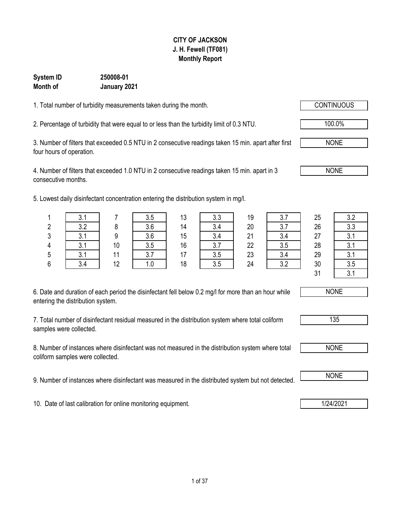#### **CITY OF JACKSON J. H. Fewell (TF081) Monthly Report**

#### **January 2021 System ID 250008-01 Month of**

entering the distribution system.

samples were collected.

1. Total number of turbidity measurements taken during the month.

2. Percentage of turbidity that were equal to or less than the turbidity limit of 0.3 NTU.  $\sqrt{100.0\%}$ 

3. Number of filters that exceeded 0.5 NTU in 2 consecutive readings taken 15 min. apart after first four hours of operation.

4. Number of filters that exceeded 1.0 NTU in 2 consecutive readings taken 15 min. apart in 3 consecutive months.

5. Lowest daily disinfectant concentration entering the distribution system in mg/l.

|                                                                                                      |  | 10 | າ ⊏<br>3.5 | 16 | າ   | 22 | 3.5 | 28 | ? 1 |  |  |  |  |
|------------------------------------------------------------------------------------------------------|--|----|------------|----|-----|----|-----|----|-----|--|--|--|--|
|                                                                                                      |  | 11 |            |    | 3.5 | 23 |     | 29 | ? 1 |  |  |  |  |
|                                                                                                      |  | 12 |            | 18 | 3.5 | 24 | າ າ | 30 | 3.5 |  |  |  |  |
|                                                                                                      |  |    |            |    |     |    |     |    |     |  |  |  |  |
|                                                                                                      |  |    |            |    |     |    |     |    |     |  |  |  |  |
| 6. Date and duration of each period the disinfectant fell below 0.2 mg/l for more than an hour while |  |    | NONE       |    |     |    |     |    |     |  |  |  |  |

7. Total number of disinfectant residual measured in the distribution system where total coliform

8. Number of instances where disinfectant was not measured in the distribution system where total coliform samples were collected.

9. Number of instances where disinfectant was measured in the distributed system but not detected. NONE

10. Date of last calibration for online monitoring equipment. 10. Date of last calibration for online monitoring equipment.

NONE



|         | v.                |    | 3.5 | 13 | 3.3       | 19 | ? 7<br>J.I  | 25 | っっ<br>J.Z               |
|---------|-------------------|----|-----|----|-----------|----|-------------|----|-------------------------|
| 2       | 3.2               | 8  | 3.6 | 14 | 3.4       | 20 | 27          | 26 | २ २<br>ບ.ບ              |
| C.<br>J | -21<br>v. 1       | a  | 3.6 | 15 | 3.4       | 21 | 3.4         | 27 | $\mathbf{\Omega}$<br>J. |
| 4       | 2                 | 10 | 3.5 | 16 | 27<br>v.i | 22 | 3.5         | 28 | ◠                       |
| 5       | <b>21</b><br>∪. ∣ | 11 | 3.7 | 17 | 3.5       | 23 | 3.4         | 29 | $\mathbf{C}$<br>v. I    |
| 6       | 3.4               | 12 | 1.0 | 18 | 3.5       | 24 | າ າ<br>ے. ب | 30 | 3.5                     |
|         |                   |    |     |    |           |    |             | 24 | $\Omega$                |





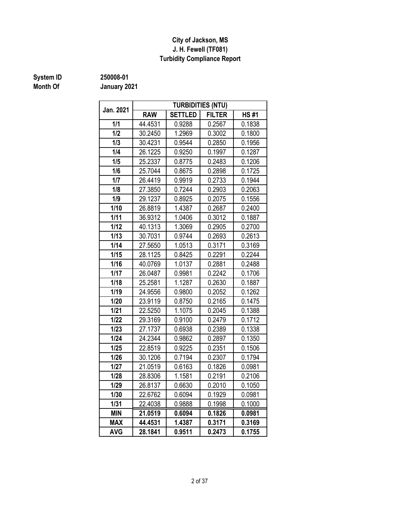#### **J. H. Fewell (TF081) Turbidity Compliance Report City of Jackson, MS**

# **Month Of**

**System ID 250008-01**

| Jan. 2021  |            |                | <b>TURBIDITIES (NTU)</b> |             |
|------------|------------|----------------|--------------------------|-------------|
|            | <b>RAW</b> | <b>SETTLED</b> | <b>FILTER</b>            | <b>HS#1</b> |
| 1/1        | 44.4531    | 0.9288         | 0.2567                   | 0.1838      |
| 1/2        | 30.2450    | 1.2969         | 0.3002                   | 0.1800      |
| 1/3        | 30.4231    | 0.9544         | 0.2850                   | 0.1956      |
| 1/4        | 26.1225    | 0.9250         | 0.1997                   | 0.1287      |
| 1/5        | 25.2337    | 0.8775         | 0.2483                   | 0.1206      |
| 1/6        | 25.7044    | 0.8675         | 0.2898                   | 0.1725      |
| 1/7        | 26.4419    | 0.9919         | 0.2733                   | 0.1944      |
| 1/8        | 27.3850    | 0.7244         | 0.2903                   | 0.2063      |
| 1/9        | 29.1237    | 0.8925         | 0.2075                   | 0.1556      |
| 1/10       | 26.8819    | 1.4387         | 0.2687                   | 0.2400      |
| 1/11       | 36.9312    | 1.0406         | 0.3012                   | 0.1887      |
| 1/12       | 40.1313    | 1.3069         | 0.2905                   | 0.2700      |
| 1/13       | 30.7031    | 0.9744         | 0.2693                   | 0.2613      |
| 1/14       | 27.5650    | 1.0513         | 0.3171                   | 0.3169      |
| 1/15       | 28.1125    | 0.8425         | 0.2291                   | 0.2244      |
| 1/16       | 40.0769    | 1.0137         | 0.2881                   | 0.2488      |
| 1/17       | 26.0487    | 0.9981         | 0.2242                   | 0.1706      |
| 1/18       | 25.2581    | 1.1287         | 0.2630                   | 0.1887      |
| 1/19       | 24.9556    | 0.9800         | 0.2052                   | 0.1262      |
| 1/20       | 23.9119    | 0.8750         | 0.2165                   | 0.1475      |
| 1/21       | 22.5250    | 1.1075         | 0.2045                   | 0.1388      |
| 1/22       | 29.3169    | 0.9100         | 0.2479                   | 0.1712      |
| 1/23       | 27.1737    | 0.6938         | 0.2389                   | 0.1338      |
| 1/24       | 24.2344    | 0.9862         | 0.2897                   | 0.1350      |
| 1/25       | 22.8519    | 0.9225         | 0.2351                   | 0.1506      |
| 1/26       | 30.1206    | 0.7194         | 0.2307                   | 0.1794      |
| 1/27       | 21.0519    | 0.6163         | 0.1826                   | 0.0981      |
| 1/28       | 28.8306    | 1.1581         | 0.2191                   | 0.2106      |
| 1/29       | 26.8137    | 0.6630         | 0.2010                   | 0.1050      |
| 1/30       | 22.6762    | 0.6094         | 0.1929                   | 0.0981      |
| 1/31       | 22.4038    | 0.9888         | 0.1998                   | 0.1000      |
| <b>MIN</b> | 21.0519    | 0.6094         | 0.1826                   | 0.0981      |
| <b>MAX</b> | 44.4531    | 1.4387         | 0.3171                   | 0.3169      |
| <b>AVG</b> | 28.1841    | 0.9511         | 0.2473                   | 0.1755      |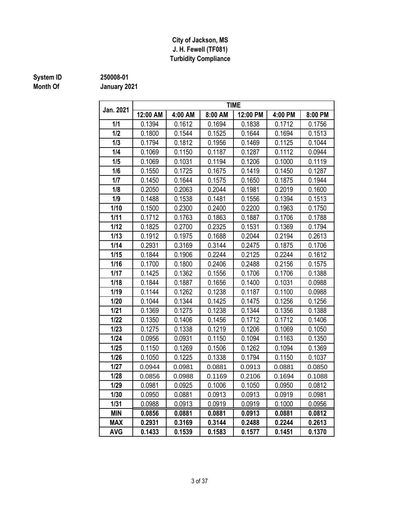#### **J. H. Fewell (TF081) Turbidity Compliance City of Jackson, MS**

# **Month Of**

### **System ID 250008-01**

| Jan. 2021  |          |         |         | <b>TIME</b> |         |         |
|------------|----------|---------|---------|-------------|---------|---------|
|            | 12:00 AM | 4:00 AM | 8:00 AM | 12:00 PM    | 4:00 PM | 8:00 PM |
| 1/1        | 0.1394   | 0.1612  | 0.1694  | 0.1838      | 0.1712  | 0.1756  |
| 1/2        | 0.1800   | 0.1544  | 0.1525  | 0.1644      | 0.1694  | 0.1513  |
| 1/3        | 0.1794   | 0.1812  | 0.1956  | 0.1469      | 0.1125  | 0.1044  |
| 1/4        | 0.1069   | 0.1150  | 0.1187  | 0.1287      | 0.1112  | 0.0944  |
| 1/5        | 0.1069   | 0.1031  | 0.1194  | 0.1206      | 0.1000  | 0.1119  |
| 1/6        | 0.1550   | 0.1725  | 0.1675  | 0.1419      | 0.1450  | 0.1287  |
| 1/7        | 0.1450   | 0.1644  | 0.1575  | 0.1650      | 0.1875  | 0.1944  |
| 1/8        | 0.2050   | 0.2063  | 0.2044  | 0.1981      | 0.2019  | 0.1600  |
| 1/9        | 0.1488   | 0.1538  | 0.1481  | 0.1556      | 0.1394  | 0.1513  |
| 1/10       | 0.1500   | 0.2300  | 0.2400  | 0.2200      | 0.1963  | 0.1750  |
| 1/11       | 0.1712   | 0.1763  | 0.1863  | 0.1887      | 0.1706  | 0.1788  |
| 1/12       | 0.1825   | 0.2700  | 0.2325  | 0.1531      | 0.1369  | 0.1794  |
| 1/13       | 0.1912   | 0.1975  | 0.1688  | 0.2044      | 0.2194  | 0.2613  |
| 1/14       | 0.2931   | 0.3169  | 0.3144  | 0.2475      | 0.1875  | 0.1706  |
| 1/15       | 0.1844   | 0.1906  | 0.2244  | 0.2125      | 0.2244  | 0.1612  |
| 1/16       | 0.1700   | 0.1800  | 0.2406  | 0.2488      | 0.2156  | 0.1575  |
| 1/17       | 0.1425   | 0.1362  | 0.1556  | 0.1706      | 0.1706  | 0.1388  |
| 1/18       | 0.1844   | 0.1887  | 0.1656  | 0.1400      | 0.1031  | 0.0988  |
| 1/19       | 0.1144   | 0.1262  | 0.1238  | 0.1187      | 0.1100  | 0.0988  |
| 1/20       | 0.1044   | 0.1344  | 0.1425  | 0.1475      | 0.1256  | 0.1256  |
| 1/21       | 0.1369   | 0.1275  | 0.1238  | 0.1344      | 0.1356  | 0.1388  |
| 1/22       | 0.1350   | 0.1406  | 0.1456  | 0.1712      | 0.1712  | 0.1406  |
| 1/23       | 0.1275   | 0.1338  | 0.1219  | 0.1206      | 0.1069  | 0.1050  |
| 1/24       | 0.0956   | 0.0931  | 0.1150  | 0.1094      | 0.1163  | 0.1350  |
| 1/25       | 0.1150   | 0.1269  | 0.1506  | 0.1262      | 0.1094  | 0.1369  |
| 1/26       | 0.1050   | 0.1225  | 0.1338  | 0.1794      | 0.1150  | 0.1037  |
| 1/27       | 0.0944   | 0.0981  | 0.0881  | 0.0913      | 0.0881  | 0.0850  |
| 1/28       | 0.0856   | 0.0988  | 0.1169  | 0.2106      | 0.1694  | 0.1088  |
| 1/29       | 0.0981   | 0.0925  | 0.1006  | 0.1050      | 0.0950  | 0.0812  |
| 1/30       | 0.0950   | 0.0881  | 0.0913  | 0.0913      | 0.0919  | 0.0981  |
| $1/31$     | 0.0988   | 0.0913  | 0.0919  | 0.0919      | 0.1000  | 0.0956  |
| <b>MIN</b> | 0.0856   | 0.0881  | 0.0881  | 0.0913      | 0.0881  | 0.0812  |
| <b>MAX</b> | 0.2931   | 0.3169  | 0.3144  | 0.2488      | 0.2244  | 0.2613  |
| <b>AVG</b> | 0.1433   | 0.1539  | 0.1583  | 0.1577      | 0.1451  | 0.1370  |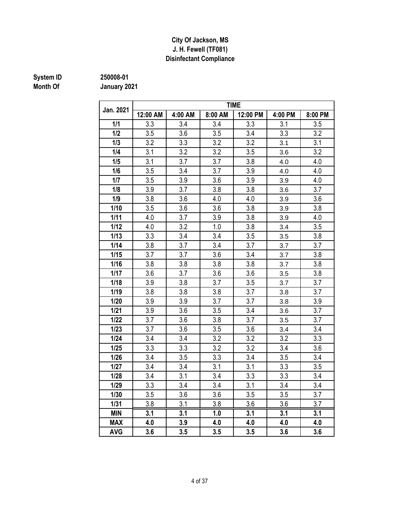#### **Disinfectant Compliance City Of Jackson, MS J. H. Fewell (TF081)**

# **Month Of**

**System ID 250008-01**

|            |          |         |         | <b>TIME</b> |         |         |
|------------|----------|---------|---------|-------------|---------|---------|
| Jan. 2021  | 12:00 AM | 4:00 AM | 8:00 AM | 12:00 PM    | 4:00 PM | 8:00 PM |
| 1/1        | 3.3      | 3.4     | 3.4     | 3.3         | 3.1     | 3.5     |
| 1/2        | 3.5      | 3.6     | 3.5     | 3.4         | 3.3     | 3.2     |
| 1/3        | 3.2      | 3.3     | 3.2     | 3.2         | 3.1     | 3.1     |
| 1/4        | 3.1      | 3.2     | 3.2     | 3.5         | 3.6     | 3.2     |
| 1/5        | 3.1      | 3.7     | 3.7     | 3.8         | 4.0     | 4.0     |
| 1/6        | 3.5      | 3.4     | 3.7     | 3.9         | 4.0     | 4.0     |
| 1/7        | 3.5      | 3.9     | 3.6     | 3.9         | 3.9     | 4.0     |
| 1/8        | 3.9      | 3.7     | 3.8     | 3.8         | 3.6     | 3.7     |
| 1/9        | 3.8      | 3.6     | 4.0     | 4.0         | 3.9     | 3.6     |
| 1/10       | 3.5      | 3.6     | 3.6     | 3.8         | 3.9     | 3.8     |
| 1/11       | 4.0      | 3.7     | 3.9     | 3.8         | 3.9     | 4.0     |
| 1/12       | 4.0      | 3.2     | 1.0     | 3.8         | 3.4     | 3.5     |
| 1/13       | 3.3      | 3.4     | 3.4     | 3.5         | 3.5     | 3.8     |
| 1/14       | 3.8      | 3.7     | 3.4     | 3.7         | 3.7     | 3.7     |
| 1/15       | 3.7      | 3.7     | 3.6     | 3.4         | 3.7     | 3.8     |
| 1/16       | 3.8      | 3.8     | 3.8     | 3.8         | 3.7     | 3.8     |
| 1/17       | 3.6      | 3.7     | 3.6     | 3.6         | 3.5     | 3.8     |
| 1/18       | 3.9      | 3.8     | 3.7     | 3.5         | 3.7     | 3.7     |
| 1/19       | 3.8      | 3.8     | 3.8     | 3.7         | 3.8     | 3.7     |
| 1/20       | 3.9      | 3.9     | 3.7     | 3.7         | 3.8     | 3.9     |
| $1/21$     | 3.9      | 3.6     | 3.5     | 3.4         | 3.6     | 3.7     |
| $1/22$     | 3.7      | 3.6     | 3.8     | 3.7         | 3.5     | 3.7     |
| 1/23       | 3.7      | 3.6     | 3.5     | 3.6         | 3.4     | 3.4     |
| 1/24       | 3.4      | 3.4     | 3.2     | 3.2         | 3.2     | 3.3     |
| 1/25       | 3.3      | 3.3     | 3.2     | 3.2         | 3.4     | 3.6     |
| 1/26       | 3.4      | 3.5     | 3.3     | 3.4         | 3.5     | 3.4     |
| 1/27       | 3.4      | 3.4     | 3.1     | 3.1         | 3.3     | 3.5     |
| 1/28       | 3.4      | 3.1     | 3.4     | 3.3         | 3.3     | 3.4     |
| 1/29       | 3.3      | 3.4     | 3.4     | 3.1         | 3.4     | 3.4     |
| 1/30       | 3.5      | 3.6     | 3.6     | 3.5         | 3.5     | 3.7     |
| $1/31$     | 3.8      | 3.1     | 3.8     | 3.6         | 3.6     | 3.7     |
| <b>MIN</b> | 3.1      | 3.1     | 1.0     | 3.1         | 3.1     | 3.1     |
| <b>MAX</b> | 4.0      | 3.9     | 4.0     | 4.0         | 4.0     | 4.0     |
| <b>AVG</b> | 3.6      | 3.5     | 3.5     | 3.5         | 3.6     | 3.6     |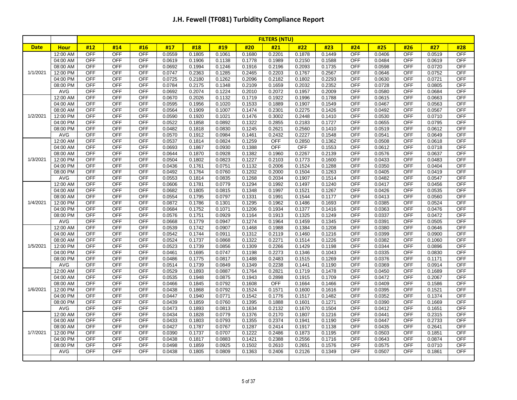| #12<br>#19<br>#20<br>#22<br>#25<br>#14<br>#16<br>#17<br>#18<br>#21<br>#23<br>#24<br>#26<br>#27<br>#28<br><b>Date</b><br><b>Hour</b><br><b>OFF</b><br><b>OFF</b><br>0.0406<br><b>OFF</b><br>12:00 AM<br><b>OFF</b><br>OFF<br>0.0559<br>0.1805<br>0.1061<br>0.1680<br>0.2201<br>0.1878<br>0.1449<br><b>OFF</b><br>0.0519<br><b>OFF</b><br><b>OFF</b><br><b>OFF</b><br><b>OFF</b><br><b>OFF</b><br>04:00 AM<br>0.0619<br>0.1906<br>0.1138<br>0.1778<br>0.1989<br>0.2150<br>0.1588<br>0.0484<br><b>OFF</b><br>0.0619<br>OFF<br>OFF<br><b>OFF</b><br>0.1246<br><b>OFF</b><br>0.0598<br><b>OFF</b><br>08:00 AM<br>0.0692<br>0.1994<br>0.1916<br>0.2196<br>0.2093<br>0.1735<br><b>OFF</b><br>0.0720<br>1/1/2021<br><b>OFF</b><br><b>OFF</b><br><b>OFF</b><br><b>OFF</b><br>12:00 PM<br><b>OFF</b><br>0.2363<br>0.1285<br>0.2465<br>0.2203<br>0.1767<br>0.2567<br>0.0646<br><b>OFF</b><br>0.0752<br>0.0747<br><b>OFF</b><br><b>OFF</b><br>OFF<br>0.1262<br>OFF<br><b>OFF</b><br>04:00 PM<br>0.0725<br>0.2180<br>0.2096<br>0.2182<br>0.1802<br>0.2293<br>0.0630<br><b>OFF</b><br>0.0721<br>OFF<br>OFF<br>OFF<br>OFF<br>0.1348<br><b>OFF</b><br>0.0728<br><b>OFF</b><br>08:00 PM<br>0.0784<br>0.2175<br>0.2109<br>0.1659<br>0.2032<br>0.2352<br>0.0805<br>AVG<br><b>OFF</b><br>OFF<br><b>OFF</b><br><b>OFF</b><br><b>OFF</b><br><b>OFF</b><br>0.0692<br>0.2074<br>0.1224<br>0.2010<br>0.2072<br>0.1957<br>0.0580<br>0.2009<br>0.0684<br><b>OFF</b><br>12:00 AM<br><b>OFF</b><br><b>OFF</b><br>OFF<br>0.2026<br>0.1132<br>OFF<br>0.0615<br><b>OFF</b><br>0.0670<br>0.1719<br>0.1922<br>0.1996<br>0.1788<br>0.0663<br>04:00 AM<br><b>OFF</b><br><b>OFF</b><br><b>OFF</b><br>0.1020<br>0.1533<br><b>OFF</b><br>OFF<br><b>OFF</b><br>0.0595<br>0.1956<br>0.1889<br>0.1907<br>0.0467<br>0.0563<br>0.1549<br><b>OFF</b><br><b>OFF</b><br><b>OFF</b><br>0.1007<br><b>OFF</b><br><b>OFF</b><br><b>OFF</b><br>08:00 AM<br>0.0564<br>0.1909<br>0.1474<br>0.2301<br>0.2275<br>0.1426<br>0.0492<br>0.0567<br>1/2/2021<br>12:00 PM<br><b>OFF</b><br><b>OFF</b><br>OFF<br>0.1920<br>0.1021<br>0.1476<br>0.3002<br>OFF<br>0.0530<br><b>OFF</b><br><b>OFF</b><br>0.0590<br>0.2448<br>0.1410<br>0.0710<br><b>OFF</b><br><b>OFF</b><br>OFF<br><b>OFF</b><br>0.0892<br>0.1322<br>OFF<br>0.0655<br>OFF<br>04:00 PM<br>0.0522<br>0.1858<br>0.2855<br>0.2183<br>0.1727<br>0.0795<br>OFF<br><b>OFF</b><br>OFF<br><b>OFF</b><br><b>OFF</b><br><b>OFF</b><br>08:00 PM<br>0.0482<br>0.1818<br>0.0830<br>0.1245<br>0.2621<br>0.2560<br>0.0519<br>0.0612<br>0.1410<br><b>OFF</b><br><b>OFF</b><br>AVG<br><b>OFF</b><br><b>OFF</b><br>0.0570<br>0.1912<br>0.0984<br>0.1461<br>0.2432<br>0.2227<br>OFF<br>0.0541<br><b>OFF</b><br>0.0649<br>0.1548<br><b>OFF</b><br><b>OFF</b><br>12:00 AM<br>OFF<br><b>OFF</b><br>0.0824<br>0.1259<br>OFF<br><b>OFF</b><br>0.0508<br><b>OFF</b><br>0.0537<br>0.1814<br>0.2850<br>0.1362<br>0.0618<br><b>OFF</b><br><b>OFF</b><br><b>OFF</b><br>0.0930<br>OFF<br><b>OFF</b><br><b>OFF</b><br><b>OFF</b><br><b>OFF</b><br>04:00 AM<br>0.0693<br>0.1867<br>0.1388<br>0.1553<br>0.0612<br>0.0718<br>OFF<br><b>OFF</b><br>OFF<br><b>OFF</b><br><b>OFF</b><br>08:00 AM<br>0.0644<br>0.1870<br>0.0928<br>0.1382<br>0.1960<br>0.2267<br>0.2139<br>0.0576<br><b>OFF</b><br>0.0637<br><b>OFF</b><br><b>OFF</b><br><b>OFF</b><br><b>OFF</b><br><b>OFF</b><br><b>OFF</b><br>1/3/2021<br>12:00 PM<br>0.0504<br>0.1802<br>0.0823<br>0.1227<br>0.0433<br>0.0483<br>0.2103<br>0.1773<br>0.1600<br><b>OFF</b><br>04:00 PM<br><b>OFF</b><br><b>OFF</b><br><b>OFF</b><br>0.0751<br>0.1132<br>0.2006<br>OFF<br>0.0350<br>OFF<br>0.0436<br>0.1761<br>0.1524<br>0.1288<br>0.0404<br>08:00 PM<br><b>OFF</b><br><b>OFF</b><br><b>OFF</b><br><b>OFF</b><br><b>OFF</b><br><b>OFF</b><br>0.0492<br>0.1764<br>0.0760<br>0.1202<br>0.2000<br>0.1504<br>0.1263<br>0.0405<br>0.0419<br><b>AVG</b><br><b>OFF</b><br>OFF<br><b>OFF</b><br>0.0835<br><b>OFF</b><br><b>OFF</b><br>0.0553<br>0.1814<br>0.1268<br>0.2034<br>0.1907<br>0.0482<br><b>OFF</b><br>0.0547<br>0.1514<br><b>OFF</b><br>12:00 AM<br><b>OFF</b><br><b>OFF</b><br><b>OFF</b><br>0.0779<br>0.1294<br>OFF<br>0.0417<br><b>OFF</b><br>0.0606<br>0.1781<br>0.1992<br>0.1497<br>0.1240<br>0.0456<br><b>OFF</b><br><b>OFF</b><br>04:00 AM<br><b>OFF</b><br><b>OFF</b><br>0.1805<br>0.0815<br>0.1348<br>OFF<br>0.0426<br><b>OFF</b><br>0.0682<br>0.1997<br>0.1521<br>0.1267<br>0.0535<br><b>OFF</b><br>OFF<br><b>OFF</b><br>OFF<br>0.0413<br><b>OFF</b><br><b>OFF</b><br>08:00 AM<br>0.0554<br>0.1795<br>0.0797<br>0.1331<br>0.1991<br>0.1544<br>0.1177<br>0.0560<br><b>OFF</b><br><b>OFF</b><br>1/4/2021<br>12:00 PM<br><b>OFF</b><br><b>OFF</b><br>0.0872<br>0.1786<br>0.1301<br>0.1295<br>0.1962<br>OFF<br>0.0385<br><b>OFF</b><br>0.0524<br>0.1486<br>0.1693<br><b>OFF</b><br>04:00 PM<br><b>OFF</b><br><b>OFF</b><br>OFF<br>0.1752<br>0.1071<br>0.1206<br>0.1934<br><b>OFF</b><br>0.0363<br>OFF<br>0.0476<br>0.0684<br>0.1377<br>0.1416<br><b>OFF</b><br>08:00 PM<br><b>OFF</b><br><b>OFF</b><br><b>OFF</b><br>0.1751<br>0.0929<br>0.1164<br>0.1249<br>OFF<br>0.0337<br><b>OFF</b><br>0.0472<br>0.0576<br>0.1913<br>0.1325<br><b>OFF</b><br>OFF<br>OFF<br>0.1274<br><b>OFF</b><br><b>OFF</b><br><b>OFF</b><br>AVG<br>0.0668<br>0.1779<br>0.0947<br>0.1964<br>0.1459<br>0.1345<br>0.0391<br>0.0505<br><b>OFF</b><br>OFF<br><b>OFF</b><br><b>OFF</b><br><b>OFF</b><br><b>OFF</b><br>12:00 AM<br>0.0907<br>0.1468<br>0.0380<br>0.0539<br>0.1742<br>0.1988<br>0.1384<br>0.1208<br>0.0646<br><b>OFF</b><br><b>OFF</b><br><b>OFF</b><br>OFF<br>0.0911<br>OFF<br>0.0399<br><b>OFF</b><br>04:00 AM<br>0.0542<br>0.1744<br>0.1312<br>0.2119<br>0.1460<br>0.1216<br>0.0900<br><b>OFF</b><br><b>OFF</b><br><b>OFF</b><br>0.0868<br>0.1322<br>0.2271<br><b>OFF</b><br>0.0382<br><b>OFF</b><br><b>OFF</b><br>08:00 AM<br>0.0524<br>0.1737<br>0.1514<br>0.1226<br>0.1060<br>1/5/2021<br><b>OFF</b><br><b>OFF</b><br><b>OFF</b><br><b>OFF</b><br>12:00 PM<br><b>OFF</b><br>0.0523<br>0.1739<br>0.0856<br>0.1309<br>0.2266<br>0.1198<br>0.0344<br><b>OFF</b><br>0.1429<br>0.0896<br><b>OFF</b><br>04:00 PM<br><b>OFF</b><br><b>OFF</b><br><b>OFF</b><br>0.1695<br>0.0747<br>0.1198<br>0.2273<br>OFF<br>0.0335<br><b>OFF</b><br>0.0461<br>0.1346<br>0.1043<br>0.0830<br><b>OFF</b><br><b>OFF</b><br>OFF<br>OFF<br>08:00 PM<br>OFF<br>0.0376<br>OFF<br>0.0486<br>0.1775<br>0.0817<br>0.1488<br>0.2483<br>0.1515<br>0.1269<br>0.1171<br>AVG<br><b>OFF</b><br><b>OFF</b><br><b>OFF</b><br><b>OFF</b><br><b>OFF</b><br><b>OFF</b><br>0.0514<br>0.1739<br>0.0849<br>0.1349<br>0.2238<br>0.1441<br>0.0369<br>0.0914<br>0.1190<br><b>OFF</b><br><b>OFF</b><br><b>OFF</b><br>12:00 AM<br><b>OFF</b><br>0.0529<br>0.1893<br>0.0887<br>0.1764<br>0.2821<br>0.1719<br>0.1478<br>OFF<br>0.0450<br><b>OFF</b><br>0.1689<br><b>OFF</b><br><b>OFF</b><br>04:00 AM<br>OFF<br>OFF<br>0.1948<br>0.0875<br>0.1943<br>0.2898<br>OFF<br>0.0472<br><b>OFF</b><br>0.0535<br>0.1915<br>0.1709<br>0.2067<br>08:00 AM<br><b>OFF</b><br><b>OFF</b><br>OFF<br>0.0792<br>0.1608<br>OFF<br>OFF<br>0.0409<br><b>OFF</b><br><b>OFF</b><br>0.0466<br>0.1845<br>0.1664<br>0.1466<br>0.1586<br><b>OFF</b><br><b>OFF</b><br>1/6/2021<br>12:00 PM<br><b>OFF</b><br>OFF<br>0.0438<br>0.1868<br>0.0792<br>0.1524<br>0.1571<br>OFF<br>0.0395<br><b>OFF</b><br>0.1600<br>0.1616<br>0.1521<br><b>OFF</b><br><b>OFF</b><br><b>OFF</b><br><b>OFF</b><br>04:00 PM<br>OFF<br>0.0447<br>0.1940<br>0.0771<br>0.1542<br>0.0352<br><b>OFF</b><br>0.1776<br>0.1517<br>0.1482<br>0.1374<br><b>OFF</b><br>OFF<br><b>OFF</b><br><b>OFF</b><br><b>OFF</b><br>08:00 PM<br>0.0760<br>0.1395<br>0.0390<br><b>OFF</b><br>0.1669<br>0.0439<br>0.1859<br>0.1888<br>0.1601<br>0.1271<br>AVG<br>OFF<br>OFF<br>OFF<br>OFF<br><b>OFF</b><br>0.0473<br>0.1893<br>0.0813<br>0.1634<br>0.2132<br>0.1670<br>0.1504<br>0.0412<br><b>OFF</b><br>0.1651<br><b>OFF</b><br><b>OFF</b><br>0.0779<br><b>OFF</b><br><b>OFF</b><br>12:00 AM<br>OFF<br>0.0434<br>0.1828<br>0.1376<br>0.2170<br>0.1807<br>0.0441<br><b>OFF</b><br>0.2315<br>0.1216<br><b>OFF</b><br>04:00 AM<br><b>OFF</b><br><b>OFF</b><br><b>OFF</b><br>0.0793<br>0.1355<br>0.2374<br>OFF<br>0.0447<br><b>OFF</b><br>0.2733<br>0.0433<br>0.1803<br>0.1941<br>0.1190<br><b>OFF</b><br><b>OFF</b><br><b>OFF</b><br><b>OFF</b><br>0.0767<br><b>OFF</b><br>0.0435<br><b>OFF</b><br>08:00 AM<br>0.0427<br>0.1787<br>0.1287<br>0.2414<br>0.1917<br>0.1138<br>0.2641<br>1/7/2021<br><b>OFF</b><br>OFF<br>OFF<br>OFF<br><b>OFF</b><br><b>OFF</b><br>12:00 PM<br>0.0707<br>0.1222<br>0.2486<br>0.1873<br>0.0503<br>0.0390<br>0.1737<br>0.1195<br>0.1851<br><b>OFF</b><br>04:00 PM<br><b>OFF</b><br><b>OFF</b><br><b>OFF</b><br>0.0883<br>0.1421<br>0.2388<br>0.2556<br>OFF<br>0.0643<br><b>OFF</b><br>0.0874<br>0.0438<br>0.1817<br>0.1716 |  |          | <b>FILTERS (NTU)</b> |            |            |        |        |        |        |        |        |        |     |        |            |        |            |
|----------------------------------------------------------------------------------------------------------------------------------------------------------------------------------------------------------------------------------------------------------------------------------------------------------------------------------------------------------------------------------------------------------------------------------------------------------------------------------------------------------------------------------------------------------------------------------------------------------------------------------------------------------------------------------------------------------------------------------------------------------------------------------------------------------------------------------------------------------------------------------------------------------------------------------------------------------------------------------------------------------------------------------------------------------------------------------------------------------------------------------------------------------------------------------------------------------------------------------------------------------------------------------------------------------------------------------------------------------------------------------------------------------------------------------------------------------------------------------------------------------------------------------------------------------------------------------------------------------------------------------------------------------------------------------------------------------------------------------------------------------------------------------------------------------------------------------------------------------------------------------------------------------------------------------------------------------------------------------------------------------------------------------------------------------------------------------------------------------------------------------------------------------------------------------------------------------------------------------------------------------------------------------------------------------------------------------------------------------------------------------------------------------------------------------------------------------------------------------------------------------------------------------------------------------------------------------------------------------------------------------------------------------------------------------------------------------------------------------------------------------------------------------------------------------------------------------------------------------------------------------------------------------------------------------------------------------------------------------------------------------------------------------------------------------------------------------------------------------------------------------------------------------------------------------------------------------------------------------------------------------------------------------------------------------------------------------------------------------------------------------------------------------------------------------------------------------------------------------------------------------------------------------------------------------------------------------------------------------------------------------------------------------------------------------------------------------------------------------------------------------------------------------------------------------------------------------------------------------------------------------------------------------------------------------------------------------------------------------------------------------------------------------------------------------------------------------------------------------------------------------------------------------------------------------------------------------------------------------------------------------------------------------------------------------------------------------------------------------------------------------------------------------------------------------------------------------------------------------------------------------------------------------------------------------------------------------------------------------------------------------------------------------------------------------------------------------------------------------------------------------------------------------------------------------------------------------------------------------------------------------------------------------------------------------------------------------------------------------------------------------------------------------------------------------------------------------------------------------------------------------------------------------------------------------------------------------------------------------------------------------------------------------------------------------------------------------------------------------------------------------------------------------------------------------------------------------------------------------------------------------------------------------------------------------------------------------------------------------------------------------------------------------------------------------------------------------------------------------------------------------------------------------------------------------------------------------------------------------------------------------------------------------------------------------------------------------------------------------------------------------------------------------------------------------------------------------------------------------------------------------------------------------------------------------------------------------------------------------------------------------------------------------------------------------------------------------------------------------------------------------------------------------------------------------------------------------------------------------------------------------------------------------------------------------------------------------------------------------------------------------------------------------------------------------------------------------------------------------------------------------------------------------------------------------------------------------------------------------------------------------------------------------------------------------------------------------------------------------------------------------------------------------------------------------------------------------------------------------------------------------------------------------------------------------------------------------------------------------------------------------------------------------------------------------------------------------------------------------------------------------------------------------------------------------------------------------------------------------------------------------------------------------------------------------------------------------------------------------------------------------------------------------------------------------------------------------------------------------------------------------------------------------------------------------------------------------------------------------------------------------------------------------------------------------------------------------------------------------------------------------------------------------------------------------------------------------------------------------------------------------------------------------------------------------------------------------------------------------------------------------------------------------------------------------------------------------------------------------------------------------------------------------------------------------------------------------------------------------------------------------------------------------------------------------------------------------------------------------------------------------------------------------------------------------------------------------------------------------------------------------------------------------------------------------------------------|--|----------|----------------------|------------|------------|--------|--------|--------|--------|--------|--------|--------|-----|--------|------------|--------|------------|
|                                                                                                                                                                                                                                                                                                                                                                                                                                                                                                                                                                                                                                                                                                                                                                                                                                                                                                                                                                                                                                                                                                                                                                                                                                                                                                                                                                                                                                                                                                                                                                                                                                                                                                                                                                                                                                                                                                                                                                                                                                                                                                                                                                                                                                                                                                                                                                                                                                                                                                                                                                                                                                                                                                                                                                                                                                                                                                                                                                                                                                                                                                                                                                                                                                                                                                                                                                                                                                                                                                                                                                                                                                                                                                                                                                                                                                                                                                                                                                                                                                                                                                                                                                                                                                                                                                                                                                                                                                                                                                                                                                                                                                                                                                                                                                                                                                                                                                                                                                                                                                                                                                                                                                                                                                                                                                                                                                                                                                                                                                                                                                                                                                                                                                                                                                                                                                                                                                                                                                                                                                                                                                                                                                                                                                                                                                                                                                                                                                                                                                                                                                                                                                                                                                                                                                                                                                                                                                                                                                                                                                                                                                                                                                                                                                                                                                                                                                                                                                                                                                                                                                                                                                                                                                                                                                                                                                                                                                                                                                                                                                                                                                                                                                                                                                                                                                                                                                                                                                                                                                                                                                                                                                                                                                                                                                                                                            |  |          |                      |            |            |        |        |        |        |        |        |        |     |        |            |        |            |
|                                                                                                                                                                                                                                                                                                                                                                                                                                                                                                                                                                                                                                                                                                                                                                                                                                                                                                                                                                                                                                                                                                                                                                                                                                                                                                                                                                                                                                                                                                                                                                                                                                                                                                                                                                                                                                                                                                                                                                                                                                                                                                                                                                                                                                                                                                                                                                                                                                                                                                                                                                                                                                                                                                                                                                                                                                                                                                                                                                                                                                                                                                                                                                                                                                                                                                                                                                                                                                                                                                                                                                                                                                                                                                                                                                                                                                                                                                                                                                                                                                                                                                                                                                                                                                                                                                                                                                                                                                                                                                                                                                                                                                                                                                                                                                                                                                                                                                                                                                                                                                                                                                                                                                                                                                                                                                                                                                                                                                                                                                                                                                                                                                                                                                                                                                                                                                                                                                                                                                                                                                                                                                                                                                                                                                                                                                                                                                                                                                                                                                                                                                                                                                                                                                                                                                                                                                                                                                                                                                                                                                                                                                                                                                                                                                                                                                                                                                                                                                                                                                                                                                                                                                                                                                                                                                                                                                                                                                                                                                                                                                                                                                                                                                                                                                                                                                                                                                                                                                                                                                                                                                                                                                                                                                                                                                                                                            |  |          |                      |            |            |        |        |        |        |        |        |        |     |        |            |        |            |
|                                                                                                                                                                                                                                                                                                                                                                                                                                                                                                                                                                                                                                                                                                                                                                                                                                                                                                                                                                                                                                                                                                                                                                                                                                                                                                                                                                                                                                                                                                                                                                                                                                                                                                                                                                                                                                                                                                                                                                                                                                                                                                                                                                                                                                                                                                                                                                                                                                                                                                                                                                                                                                                                                                                                                                                                                                                                                                                                                                                                                                                                                                                                                                                                                                                                                                                                                                                                                                                                                                                                                                                                                                                                                                                                                                                                                                                                                                                                                                                                                                                                                                                                                                                                                                                                                                                                                                                                                                                                                                                                                                                                                                                                                                                                                                                                                                                                                                                                                                                                                                                                                                                                                                                                                                                                                                                                                                                                                                                                                                                                                                                                                                                                                                                                                                                                                                                                                                                                                                                                                                                                                                                                                                                                                                                                                                                                                                                                                                                                                                                                                                                                                                                                                                                                                                                                                                                                                                                                                                                                                                                                                                                                                                                                                                                                                                                                                                                                                                                                                                                                                                                                                                                                                                                                                                                                                                                                                                                                                                                                                                                                                                                                                                                                                                                                                                                                                                                                                                                                                                                                                                                                                                                                                                                                                                                                                            |  |          |                      |            |            |        |        |        |        |        |        |        |     |        |            |        |            |
|                                                                                                                                                                                                                                                                                                                                                                                                                                                                                                                                                                                                                                                                                                                                                                                                                                                                                                                                                                                                                                                                                                                                                                                                                                                                                                                                                                                                                                                                                                                                                                                                                                                                                                                                                                                                                                                                                                                                                                                                                                                                                                                                                                                                                                                                                                                                                                                                                                                                                                                                                                                                                                                                                                                                                                                                                                                                                                                                                                                                                                                                                                                                                                                                                                                                                                                                                                                                                                                                                                                                                                                                                                                                                                                                                                                                                                                                                                                                                                                                                                                                                                                                                                                                                                                                                                                                                                                                                                                                                                                                                                                                                                                                                                                                                                                                                                                                                                                                                                                                                                                                                                                                                                                                                                                                                                                                                                                                                                                                                                                                                                                                                                                                                                                                                                                                                                                                                                                                                                                                                                                                                                                                                                                                                                                                                                                                                                                                                                                                                                                                                                                                                                                                                                                                                                                                                                                                                                                                                                                                                                                                                                                                                                                                                                                                                                                                                                                                                                                                                                                                                                                                                                                                                                                                                                                                                                                                                                                                                                                                                                                                                                                                                                                                                                                                                                                                                                                                                                                                                                                                                                                                                                                                                                                                                                                                                            |  |          |                      |            |            |        |        |        |        |        |        |        |     |        |            |        |            |
|                                                                                                                                                                                                                                                                                                                                                                                                                                                                                                                                                                                                                                                                                                                                                                                                                                                                                                                                                                                                                                                                                                                                                                                                                                                                                                                                                                                                                                                                                                                                                                                                                                                                                                                                                                                                                                                                                                                                                                                                                                                                                                                                                                                                                                                                                                                                                                                                                                                                                                                                                                                                                                                                                                                                                                                                                                                                                                                                                                                                                                                                                                                                                                                                                                                                                                                                                                                                                                                                                                                                                                                                                                                                                                                                                                                                                                                                                                                                                                                                                                                                                                                                                                                                                                                                                                                                                                                                                                                                                                                                                                                                                                                                                                                                                                                                                                                                                                                                                                                                                                                                                                                                                                                                                                                                                                                                                                                                                                                                                                                                                                                                                                                                                                                                                                                                                                                                                                                                                                                                                                                                                                                                                                                                                                                                                                                                                                                                                                                                                                                                                                                                                                                                                                                                                                                                                                                                                                                                                                                                                                                                                                                                                                                                                                                                                                                                                                                                                                                                                                                                                                                                                                                                                                                                                                                                                                                                                                                                                                                                                                                                                                                                                                                                                                                                                                                                                                                                                                                                                                                                                                                                                                                                                                                                                                                                                            |  |          |                      |            |            |        |        |        |        |        |        |        |     |        |            |        |            |
|                                                                                                                                                                                                                                                                                                                                                                                                                                                                                                                                                                                                                                                                                                                                                                                                                                                                                                                                                                                                                                                                                                                                                                                                                                                                                                                                                                                                                                                                                                                                                                                                                                                                                                                                                                                                                                                                                                                                                                                                                                                                                                                                                                                                                                                                                                                                                                                                                                                                                                                                                                                                                                                                                                                                                                                                                                                                                                                                                                                                                                                                                                                                                                                                                                                                                                                                                                                                                                                                                                                                                                                                                                                                                                                                                                                                                                                                                                                                                                                                                                                                                                                                                                                                                                                                                                                                                                                                                                                                                                                                                                                                                                                                                                                                                                                                                                                                                                                                                                                                                                                                                                                                                                                                                                                                                                                                                                                                                                                                                                                                                                                                                                                                                                                                                                                                                                                                                                                                                                                                                                                                                                                                                                                                                                                                                                                                                                                                                                                                                                                                                                                                                                                                                                                                                                                                                                                                                                                                                                                                                                                                                                                                                                                                                                                                                                                                                                                                                                                                                                                                                                                                                                                                                                                                                                                                                                                                                                                                                                                                                                                                                                                                                                                                                                                                                                                                                                                                                                                                                                                                                                                                                                                                                                                                                                                                                            |  |          |                      |            |            |        |        |        |        |        |        |        |     |        |            |        |            |
|                                                                                                                                                                                                                                                                                                                                                                                                                                                                                                                                                                                                                                                                                                                                                                                                                                                                                                                                                                                                                                                                                                                                                                                                                                                                                                                                                                                                                                                                                                                                                                                                                                                                                                                                                                                                                                                                                                                                                                                                                                                                                                                                                                                                                                                                                                                                                                                                                                                                                                                                                                                                                                                                                                                                                                                                                                                                                                                                                                                                                                                                                                                                                                                                                                                                                                                                                                                                                                                                                                                                                                                                                                                                                                                                                                                                                                                                                                                                                                                                                                                                                                                                                                                                                                                                                                                                                                                                                                                                                                                                                                                                                                                                                                                                                                                                                                                                                                                                                                                                                                                                                                                                                                                                                                                                                                                                                                                                                                                                                                                                                                                                                                                                                                                                                                                                                                                                                                                                                                                                                                                                                                                                                                                                                                                                                                                                                                                                                                                                                                                                                                                                                                                                                                                                                                                                                                                                                                                                                                                                                                                                                                                                                                                                                                                                                                                                                                                                                                                                                                                                                                                                                                                                                                                                                                                                                                                                                                                                                                                                                                                                                                                                                                                                                                                                                                                                                                                                                                                                                                                                                                                                                                                                                                                                                                                                                            |  |          |                      |            |            |        |        |        |        |        |        |        |     |        |            |        |            |
|                                                                                                                                                                                                                                                                                                                                                                                                                                                                                                                                                                                                                                                                                                                                                                                                                                                                                                                                                                                                                                                                                                                                                                                                                                                                                                                                                                                                                                                                                                                                                                                                                                                                                                                                                                                                                                                                                                                                                                                                                                                                                                                                                                                                                                                                                                                                                                                                                                                                                                                                                                                                                                                                                                                                                                                                                                                                                                                                                                                                                                                                                                                                                                                                                                                                                                                                                                                                                                                                                                                                                                                                                                                                                                                                                                                                                                                                                                                                                                                                                                                                                                                                                                                                                                                                                                                                                                                                                                                                                                                                                                                                                                                                                                                                                                                                                                                                                                                                                                                                                                                                                                                                                                                                                                                                                                                                                                                                                                                                                                                                                                                                                                                                                                                                                                                                                                                                                                                                                                                                                                                                                                                                                                                                                                                                                                                                                                                                                                                                                                                                                                                                                                                                                                                                                                                                                                                                                                                                                                                                                                                                                                                                                                                                                                                                                                                                                                                                                                                                                                                                                                                                                                                                                                                                                                                                                                                                                                                                                                                                                                                                                                                                                                                                                                                                                                                                                                                                                                                                                                                                                                                                                                                                                                                                                                                                                            |  |          |                      |            |            |        |        |        |        |        |        |        |     |        |            |        |            |
|                                                                                                                                                                                                                                                                                                                                                                                                                                                                                                                                                                                                                                                                                                                                                                                                                                                                                                                                                                                                                                                                                                                                                                                                                                                                                                                                                                                                                                                                                                                                                                                                                                                                                                                                                                                                                                                                                                                                                                                                                                                                                                                                                                                                                                                                                                                                                                                                                                                                                                                                                                                                                                                                                                                                                                                                                                                                                                                                                                                                                                                                                                                                                                                                                                                                                                                                                                                                                                                                                                                                                                                                                                                                                                                                                                                                                                                                                                                                                                                                                                                                                                                                                                                                                                                                                                                                                                                                                                                                                                                                                                                                                                                                                                                                                                                                                                                                                                                                                                                                                                                                                                                                                                                                                                                                                                                                                                                                                                                                                                                                                                                                                                                                                                                                                                                                                                                                                                                                                                                                                                                                                                                                                                                                                                                                                                                                                                                                                                                                                                                                                                                                                                                                                                                                                                                                                                                                                                                                                                                                                                                                                                                                                                                                                                                                                                                                                                                                                                                                                                                                                                                                                                                                                                                                                                                                                                                                                                                                                                                                                                                                                                                                                                                                                                                                                                                                                                                                                                                                                                                                                                                                                                                                                                                                                                                                                            |  |          |                      |            |            |        |        |        |        |        |        |        |     |        |            |        |            |
|                                                                                                                                                                                                                                                                                                                                                                                                                                                                                                                                                                                                                                                                                                                                                                                                                                                                                                                                                                                                                                                                                                                                                                                                                                                                                                                                                                                                                                                                                                                                                                                                                                                                                                                                                                                                                                                                                                                                                                                                                                                                                                                                                                                                                                                                                                                                                                                                                                                                                                                                                                                                                                                                                                                                                                                                                                                                                                                                                                                                                                                                                                                                                                                                                                                                                                                                                                                                                                                                                                                                                                                                                                                                                                                                                                                                                                                                                                                                                                                                                                                                                                                                                                                                                                                                                                                                                                                                                                                                                                                                                                                                                                                                                                                                                                                                                                                                                                                                                                                                                                                                                                                                                                                                                                                                                                                                                                                                                                                                                                                                                                                                                                                                                                                                                                                                                                                                                                                                                                                                                                                                                                                                                                                                                                                                                                                                                                                                                                                                                                                                                                                                                                                                                                                                                                                                                                                                                                                                                                                                                                                                                                                                                                                                                                                                                                                                                                                                                                                                                                                                                                                                                                                                                                                                                                                                                                                                                                                                                                                                                                                                                                                                                                                                                                                                                                                                                                                                                                                                                                                                                                                                                                                                                                                                                                                                                            |  |          |                      |            |            |        |        |        |        |        |        |        |     |        |            |        |            |
|                                                                                                                                                                                                                                                                                                                                                                                                                                                                                                                                                                                                                                                                                                                                                                                                                                                                                                                                                                                                                                                                                                                                                                                                                                                                                                                                                                                                                                                                                                                                                                                                                                                                                                                                                                                                                                                                                                                                                                                                                                                                                                                                                                                                                                                                                                                                                                                                                                                                                                                                                                                                                                                                                                                                                                                                                                                                                                                                                                                                                                                                                                                                                                                                                                                                                                                                                                                                                                                                                                                                                                                                                                                                                                                                                                                                                                                                                                                                                                                                                                                                                                                                                                                                                                                                                                                                                                                                                                                                                                                                                                                                                                                                                                                                                                                                                                                                                                                                                                                                                                                                                                                                                                                                                                                                                                                                                                                                                                                                                                                                                                                                                                                                                                                                                                                                                                                                                                                                                                                                                                                                                                                                                                                                                                                                                                                                                                                                                                                                                                                                                                                                                                                                                                                                                                                                                                                                                                                                                                                                                                                                                                                                                                                                                                                                                                                                                                                                                                                                                                                                                                                                                                                                                                                                                                                                                                                                                                                                                                                                                                                                                                                                                                                                                                                                                                                                                                                                                                                                                                                                                                                                                                                                                                                                                                                                                            |  |          |                      |            |            |        |        |        |        |        |        |        |     |        |            |        |            |
|                                                                                                                                                                                                                                                                                                                                                                                                                                                                                                                                                                                                                                                                                                                                                                                                                                                                                                                                                                                                                                                                                                                                                                                                                                                                                                                                                                                                                                                                                                                                                                                                                                                                                                                                                                                                                                                                                                                                                                                                                                                                                                                                                                                                                                                                                                                                                                                                                                                                                                                                                                                                                                                                                                                                                                                                                                                                                                                                                                                                                                                                                                                                                                                                                                                                                                                                                                                                                                                                                                                                                                                                                                                                                                                                                                                                                                                                                                                                                                                                                                                                                                                                                                                                                                                                                                                                                                                                                                                                                                                                                                                                                                                                                                                                                                                                                                                                                                                                                                                                                                                                                                                                                                                                                                                                                                                                                                                                                                                                                                                                                                                                                                                                                                                                                                                                                                                                                                                                                                                                                                                                                                                                                                                                                                                                                                                                                                                                                                                                                                                                                                                                                                                                                                                                                                                                                                                                                                                                                                                                                                                                                                                                                                                                                                                                                                                                                                                                                                                                                                                                                                                                                                                                                                                                                                                                                                                                                                                                                                                                                                                                                                                                                                                                                                                                                                                                                                                                                                                                                                                                                                                                                                                                                                                                                                                                                            |  |          |                      |            |            |        |        |        |        |        |        |        |     |        |            |        |            |
|                                                                                                                                                                                                                                                                                                                                                                                                                                                                                                                                                                                                                                                                                                                                                                                                                                                                                                                                                                                                                                                                                                                                                                                                                                                                                                                                                                                                                                                                                                                                                                                                                                                                                                                                                                                                                                                                                                                                                                                                                                                                                                                                                                                                                                                                                                                                                                                                                                                                                                                                                                                                                                                                                                                                                                                                                                                                                                                                                                                                                                                                                                                                                                                                                                                                                                                                                                                                                                                                                                                                                                                                                                                                                                                                                                                                                                                                                                                                                                                                                                                                                                                                                                                                                                                                                                                                                                                                                                                                                                                                                                                                                                                                                                                                                                                                                                                                                                                                                                                                                                                                                                                                                                                                                                                                                                                                                                                                                                                                                                                                                                                                                                                                                                                                                                                                                                                                                                                                                                                                                                                                                                                                                                                                                                                                                                                                                                                                                                                                                                                                                                                                                                                                                                                                                                                                                                                                                                                                                                                                                                                                                                                                                                                                                                                                                                                                                                                                                                                                                                                                                                                                                                                                                                                                                                                                                                                                                                                                                                                                                                                                                                                                                                                                                                                                                                                                                                                                                                                                                                                                                                                                                                                                                                                                                                                                                            |  |          |                      |            |            |        |        |        |        |        |        |        |     |        |            |        |            |
|                                                                                                                                                                                                                                                                                                                                                                                                                                                                                                                                                                                                                                                                                                                                                                                                                                                                                                                                                                                                                                                                                                                                                                                                                                                                                                                                                                                                                                                                                                                                                                                                                                                                                                                                                                                                                                                                                                                                                                                                                                                                                                                                                                                                                                                                                                                                                                                                                                                                                                                                                                                                                                                                                                                                                                                                                                                                                                                                                                                                                                                                                                                                                                                                                                                                                                                                                                                                                                                                                                                                                                                                                                                                                                                                                                                                                                                                                                                                                                                                                                                                                                                                                                                                                                                                                                                                                                                                                                                                                                                                                                                                                                                                                                                                                                                                                                                                                                                                                                                                                                                                                                                                                                                                                                                                                                                                                                                                                                                                                                                                                                                                                                                                                                                                                                                                                                                                                                                                                                                                                                                                                                                                                                                                                                                                                                                                                                                                                                                                                                                                                                                                                                                                                                                                                                                                                                                                                                                                                                                                                                                                                                                                                                                                                                                                                                                                                                                                                                                                                                                                                                                                                                                                                                                                                                                                                                                                                                                                                                                                                                                                                                                                                                                                                                                                                                                                                                                                                                                                                                                                                                                                                                                                                                                                                                                                                            |  |          |                      |            |            |        |        |        |        |        |        |        |     |        |            |        |            |
|                                                                                                                                                                                                                                                                                                                                                                                                                                                                                                                                                                                                                                                                                                                                                                                                                                                                                                                                                                                                                                                                                                                                                                                                                                                                                                                                                                                                                                                                                                                                                                                                                                                                                                                                                                                                                                                                                                                                                                                                                                                                                                                                                                                                                                                                                                                                                                                                                                                                                                                                                                                                                                                                                                                                                                                                                                                                                                                                                                                                                                                                                                                                                                                                                                                                                                                                                                                                                                                                                                                                                                                                                                                                                                                                                                                                                                                                                                                                                                                                                                                                                                                                                                                                                                                                                                                                                                                                                                                                                                                                                                                                                                                                                                                                                                                                                                                                                                                                                                                                                                                                                                                                                                                                                                                                                                                                                                                                                                                                                                                                                                                                                                                                                                                                                                                                                                                                                                                                                                                                                                                                                                                                                                                                                                                                                                                                                                                                                                                                                                                                                                                                                                                                                                                                                                                                                                                                                                                                                                                                                                                                                                                                                                                                                                                                                                                                                                                                                                                                                                                                                                                                                                                                                                                                                                                                                                                                                                                                                                                                                                                                                                                                                                                                                                                                                                                                                                                                                                                                                                                                                                                                                                                                                                                                                                                                                            |  |          |                      |            |            |        |        |        |        |        |        |        |     |        |            |        |            |
|                                                                                                                                                                                                                                                                                                                                                                                                                                                                                                                                                                                                                                                                                                                                                                                                                                                                                                                                                                                                                                                                                                                                                                                                                                                                                                                                                                                                                                                                                                                                                                                                                                                                                                                                                                                                                                                                                                                                                                                                                                                                                                                                                                                                                                                                                                                                                                                                                                                                                                                                                                                                                                                                                                                                                                                                                                                                                                                                                                                                                                                                                                                                                                                                                                                                                                                                                                                                                                                                                                                                                                                                                                                                                                                                                                                                                                                                                                                                                                                                                                                                                                                                                                                                                                                                                                                                                                                                                                                                                                                                                                                                                                                                                                                                                                                                                                                                                                                                                                                                                                                                                                                                                                                                                                                                                                                                                                                                                                                                                                                                                                                                                                                                                                                                                                                                                                                                                                                                                                                                                                                                                                                                                                                                                                                                                                                                                                                                                                                                                                                                                                                                                                                                                                                                                                                                                                                                                                                                                                                                                                                                                                                                                                                                                                                                                                                                                                                                                                                                                                                                                                                                                                                                                                                                                                                                                                                                                                                                                                                                                                                                                                                                                                                                                                                                                                                                                                                                                                                                                                                                                                                                                                                                                                                                                                                                                            |  |          |                      |            |            |        |        |        |        |        |        |        |     |        |            |        |            |
|                                                                                                                                                                                                                                                                                                                                                                                                                                                                                                                                                                                                                                                                                                                                                                                                                                                                                                                                                                                                                                                                                                                                                                                                                                                                                                                                                                                                                                                                                                                                                                                                                                                                                                                                                                                                                                                                                                                                                                                                                                                                                                                                                                                                                                                                                                                                                                                                                                                                                                                                                                                                                                                                                                                                                                                                                                                                                                                                                                                                                                                                                                                                                                                                                                                                                                                                                                                                                                                                                                                                                                                                                                                                                                                                                                                                                                                                                                                                                                                                                                                                                                                                                                                                                                                                                                                                                                                                                                                                                                                                                                                                                                                                                                                                                                                                                                                                                                                                                                                                                                                                                                                                                                                                                                                                                                                                                                                                                                                                                                                                                                                                                                                                                                                                                                                                                                                                                                                                                                                                                                                                                                                                                                                                                                                                                                                                                                                                                                                                                                                                                                                                                                                                                                                                                                                                                                                                                                                                                                                                                                                                                                                                                                                                                                                                                                                                                                                                                                                                                                                                                                                                                                                                                                                                                                                                                                                                                                                                                                                                                                                                                                                                                                                                                                                                                                                                                                                                                                                                                                                                                                                                                                                                                                                                                                                                                            |  |          |                      |            |            |        |        |        |        |        |        |        |     |        |            |        |            |
|                                                                                                                                                                                                                                                                                                                                                                                                                                                                                                                                                                                                                                                                                                                                                                                                                                                                                                                                                                                                                                                                                                                                                                                                                                                                                                                                                                                                                                                                                                                                                                                                                                                                                                                                                                                                                                                                                                                                                                                                                                                                                                                                                                                                                                                                                                                                                                                                                                                                                                                                                                                                                                                                                                                                                                                                                                                                                                                                                                                                                                                                                                                                                                                                                                                                                                                                                                                                                                                                                                                                                                                                                                                                                                                                                                                                                                                                                                                                                                                                                                                                                                                                                                                                                                                                                                                                                                                                                                                                                                                                                                                                                                                                                                                                                                                                                                                                                                                                                                                                                                                                                                                                                                                                                                                                                                                                                                                                                                                                                                                                                                                                                                                                                                                                                                                                                                                                                                                                                                                                                                                                                                                                                                                                                                                                                                                                                                                                                                                                                                                                                                                                                                                                                                                                                                                                                                                                                                                                                                                                                                                                                                                                                                                                                                                                                                                                                                                                                                                                                                                                                                                                                                                                                                                                                                                                                                                                                                                                                                                                                                                                                                                                                                                                                                                                                                                                                                                                                                                                                                                                                                                                                                                                                                                                                                                                                            |  |          |                      |            |            |        |        |        |        |        |        |        |     |        |            |        |            |
|                                                                                                                                                                                                                                                                                                                                                                                                                                                                                                                                                                                                                                                                                                                                                                                                                                                                                                                                                                                                                                                                                                                                                                                                                                                                                                                                                                                                                                                                                                                                                                                                                                                                                                                                                                                                                                                                                                                                                                                                                                                                                                                                                                                                                                                                                                                                                                                                                                                                                                                                                                                                                                                                                                                                                                                                                                                                                                                                                                                                                                                                                                                                                                                                                                                                                                                                                                                                                                                                                                                                                                                                                                                                                                                                                                                                                                                                                                                                                                                                                                                                                                                                                                                                                                                                                                                                                                                                                                                                                                                                                                                                                                                                                                                                                                                                                                                                                                                                                                                                                                                                                                                                                                                                                                                                                                                                                                                                                                                                                                                                                                                                                                                                                                                                                                                                                                                                                                                                                                                                                                                                                                                                                                                                                                                                                                                                                                                                                                                                                                                                                                                                                                                                                                                                                                                                                                                                                                                                                                                                                                                                                                                                                                                                                                                                                                                                                                                                                                                                                                                                                                                                                                                                                                                                                                                                                                                                                                                                                                                                                                                                                                                                                                                                                                                                                                                                                                                                                                                                                                                                                                                                                                                                                                                                                                                                                            |  |          |                      |            |            |        |        |        |        |        |        |        |     |        |            |        |            |
|                                                                                                                                                                                                                                                                                                                                                                                                                                                                                                                                                                                                                                                                                                                                                                                                                                                                                                                                                                                                                                                                                                                                                                                                                                                                                                                                                                                                                                                                                                                                                                                                                                                                                                                                                                                                                                                                                                                                                                                                                                                                                                                                                                                                                                                                                                                                                                                                                                                                                                                                                                                                                                                                                                                                                                                                                                                                                                                                                                                                                                                                                                                                                                                                                                                                                                                                                                                                                                                                                                                                                                                                                                                                                                                                                                                                                                                                                                                                                                                                                                                                                                                                                                                                                                                                                                                                                                                                                                                                                                                                                                                                                                                                                                                                                                                                                                                                                                                                                                                                                                                                                                                                                                                                                                                                                                                                                                                                                                                                                                                                                                                                                                                                                                                                                                                                                                                                                                                                                                                                                                                                                                                                                                                                                                                                                                                                                                                                                                                                                                                                                                                                                                                                                                                                                                                                                                                                                                                                                                                                                                                                                                                                                                                                                                                                                                                                                                                                                                                                                                                                                                                                                                                                                                                                                                                                                                                                                                                                                                                                                                                                                                                                                                                                                                                                                                                                                                                                                                                                                                                                                                                                                                                                                                                                                                                                                            |  |          |                      |            |            |        |        |        |        |        |        |        |     |        |            |        |            |
|                                                                                                                                                                                                                                                                                                                                                                                                                                                                                                                                                                                                                                                                                                                                                                                                                                                                                                                                                                                                                                                                                                                                                                                                                                                                                                                                                                                                                                                                                                                                                                                                                                                                                                                                                                                                                                                                                                                                                                                                                                                                                                                                                                                                                                                                                                                                                                                                                                                                                                                                                                                                                                                                                                                                                                                                                                                                                                                                                                                                                                                                                                                                                                                                                                                                                                                                                                                                                                                                                                                                                                                                                                                                                                                                                                                                                                                                                                                                                                                                                                                                                                                                                                                                                                                                                                                                                                                                                                                                                                                                                                                                                                                                                                                                                                                                                                                                                                                                                                                                                                                                                                                                                                                                                                                                                                                                                                                                                                                                                                                                                                                                                                                                                                                                                                                                                                                                                                                                                                                                                                                                                                                                                                                                                                                                                                                                                                                                                                                                                                                                                                                                                                                                                                                                                                                                                                                                                                                                                                                                                                                                                                                                                                                                                                                                                                                                                                                                                                                                                                                                                                                                                                                                                                                                                                                                                                                                                                                                                                                                                                                                                                                                                                                                                                                                                                                                                                                                                                                                                                                                                                                                                                                                                                                                                                                                                            |  |          |                      |            |            |        |        |        |        |        |        |        |     |        |            |        |            |
|                                                                                                                                                                                                                                                                                                                                                                                                                                                                                                                                                                                                                                                                                                                                                                                                                                                                                                                                                                                                                                                                                                                                                                                                                                                                                                                                                                                                                                                                                                                                                                                                                                                                                                                                                                                                                                                                                                                                                                                                                                                                                                                                                                                                                                                                                                                                                                                                                                                                                                                                                                                                                                                                                                                                                                                                                                                                                                                                                                                                                                                                                                                                                                                                                                                                                                                                                                                                                                                                                                                                                                                                                                                                                                                                                                                                                                                                                                                                                                                                                                                                                                                                                                                                                                                                                                                                                                                                                                                                                                                                                                                                                                                                                                                                                                                                                                                                                                                                                                                                                                                                                                                                                                                                                                                                                                                                                                                                                                                                                                                                                                                                                                                                                                                                                                                                                                                                                                                                                                                                                                                                                                                                                                                                                                                                                                                                                                                                                                                                                                                                                                                                                                                                                                                                                                                                                                                                                                                                                                                                                                                                                                                                                                                                                                                                                                                                                                                                                                                                                                                                                                                                                                                                                                                                                                                                                                                                                                                                                                                                                                                                                                                                                                                                                                                                                                                                                                                                                                                                                                                                                                                                                                                                                                                                                                                                                            |  |          |                      |            |            |        |        |        |        |        |        |        |     |        |            |        |            |
|                                                                                                                                                                                                                                                                                                                                                                                                                                                                                                                                                                                                                                                                                                                                                                                                                                                                                                                                                                                                                                                                                                                                                                                                                                                                                                                                                                                                                                                                                                                                                                                                                                                                                                                                                                                                                                                                                                                                                                                                                                                                                                                                                                                                                                                                                                                                                                                                                                                                                                                                                                                                                                                                                                                                                                                                                                                                                                                                                                                                                                                                                                                                                                                                                                                                                                                                                                                                                                                                                                                                                                                                                                                                                                                                                                                                                                                                                                                                                                                                                                                                                                                                                                                                                                                                                                                                                                                                                                                                                                                                                                                                                                                                                                                                                                                                                                                                                                                                                                                                                                                                                                                                                                                                                                                                                                                                                                                                                                                                                                                                                                                                                                                                                                                                                                                                                                                                                                                                                                                                                                                                                                                                                                                                                                                                                                                                                                                                                                                                                                                                                                                                                                                                                                                                                                                                                                                                                                                                                                                                                                                                                                                                                                                                                                                                                                                                                                                                                                                                                                                                                                                                                                                                                                                                                                                                                                                                                                                                                                                                                                                                                                                                                                                                                                                                                                                                                                                                                                                                                                                                                                                                                                                                                                                                                                                                                            |  |          |                      |            |            |        |        |        |        |        |        |        |     |        |            |        |            |
|                                                                                                                                                                                                                                                                                                                                                                                                                                                                                                                                                                                                                                                                                                                                                                                                                                                                                                                                                                                                                                                                                                                                                                                                                                                                                                                                                                                                                                                                                                                                                                                                                                                                                                                                                                                                                                                                                                                                                                                                                                                                                                                                                                                                                                                                                                                                                                                                                                                                                                                                                                                                                                                                                                                                                                                                                                                                                                                                                                                                                                                                                                                                                                                                                                                                                                                                                                                                                                                                                                                                                                                                                                                                                                                                                                                                                                                                                                                                                                                                                                                                                                                                                                                                                                                                                                                                                                                                                                                                                                                                                                                                                                                                                                                                                                                                                                                                                                                                                                                                                                                                                                                                                                                                                                                                                                                                                                                                                                                                                                                                                                                                                                                                                                                                                                                                                                                                                                                                                                                                                                                                                                                                                                                                                                                                                                                                                                                                                                                                                                                                                                                                                                                                                                                                                                                                                                                                                                                                                                                                                                                                                                                                                                                                                                                                                                                                                                                                                                                                                                                                                                                                                                                                                                                                                                                                                                                                                                                                                                                                                                                                                                                                                                                                                                                                                                                                                                                                                                                                                                                                                                                                                                                                                                                                                                                                                            |  |          |                      |            |            |        |        |        |        |        |        |        |     |        |            |        |            |
|                                                                                                                                                                                                                                                                                                                                                                                                                                                                                                                                                                                                                                                                                                                                                                                                                                                                                                                                                                                                                                                                                                                                                                                                                                                                                                                                                                                                                                                                                                                                                                                                                                                                                                                                                                                                                                                                                                                                                                                                                                                                                                                                                                                                                                                                                                                                                                                                                                                                                                                                                                                                                                                                                                                                                                                                                                                                                                                                                                                                                                                                                                                                                                                                                                                                                                                                                                                                                                                                                                                                                                                                                                                                                                                                                                                                                                                                                                                                                                                                                                                                                                                                                                                                                                                                                                                                                                                                                                                                                                                                                                                                                                                                                                                                                                                                                                                                                                                                                                                                                                                                                                                                                                                                                                                                                                                                                                                                                                                                                                                                                                                                                                                                                                                                                                                                                                                                                                                                                                                                                                                                                                                                                                                                                                                                                                                                                                                                                                                                                                                                                                                                                                                                                                                                                                                                                                                                                                                                                                                                                                                                                                                                                                                                                                                                                                                                                                                                                                                                                                                                                                                                                                                                                                                                                                                                                                                                                                                                                                                                                                                                                                                                                                                                                                                                                                                                                                                                                                                                                                                                                                                                                                                                                                                                                                                                                            |  |          |                      |            |            |        |        |        |        |        |        |        |     |        |            |        |            |
|                                                                                                                                                                                                                                                                                                                                                                                                                                                                                                                                                                                                                                                                                                                                                                                                                                                                                                                                                                                                                                                                                                                                                                                                                                                                                                                                                                                                                                                                                                                                                                                                                                                                                                                                                                                                                                                                                                                                                                                                                                                                                                                                                                                                                                                                                                                                                                                                                                                                                                                                                                                                                                                                                                                                                                                                                                                                                                                                                                                                                                                                                                                                                                                                                                                                                                                                                                                                                                                                                                                                                                                                                                                                                                                                                                                                                                                                                                                                                                                                                                                                                                                                                                                                                                                                                                                                                                                                                                                                                                                                                                                                                                                                                                                                                                                                                                                                                                                                                                                                                                                                                                                                                                                                                                                                                                                                                                                                                                                                                                                                                                                                                                                                                                                                                                                                                                                                                                                                                                                                                                                                                                                                                                                                                                                                                                                                                                                                                                                                                                                                                                                                                                                                                                                                                                                                                                                                                                                                                                                                                                                                                                                                                                                                                                                                                                                                                                                                                                                                                                                                                                                                                                                                                                                                                                                                                                                                                                                                                                                                                                                                                                                                                                                                                                                                                                                                                                                                                                                                                                                                                                                                                                                                                                                                                                                                                            |  |          |                      |            |            |        |        |        |        |        |        |        |     |        |            |        |            |
|                                                                                                                                                                                                                                                                                                                                                                                                                                                                                                                                                                                                                                                                                                                                                                                                                                                                                                                                                                                                                                                                                                                                                                                                                                                                                                                                                                                                                                                                                                                                                                                                                                                                                                                                                                                                                                                                                                                                                                                                                                                                                                                                                                                                                                                                                                                                                                                                                                                                                                                                                                                                                                                                                                                                                                                                                                                                                                                                                                                                                                                                                                                                                                                                                                                                                                                                                                                                                                                                                                                                                                                                                                                                                                                                                                                                                                                                                                                                                                                                                                                                                                                                                                                                                                                                                                                                                                                                                                                                                                                                                                                                                                                                                                                                                                                                                                                                                                                                                                                                                                                                                                                                                                                                                                                                                                                                                                                                                                                                                                                                                                                                                                                                                                                                                                                                                                                                                                                                                                                                                                                                                                                                                                                                                                                                                                                                                                                                                                                                                                                                                                                                                                                                                                                                                                                                                                                                                                                                                                                                                                                                                                                                                                                                                                                                                                                                                                                                                                                                                                                                                                                                                                                                                                                                                                                                                                                                                                                                                                                                                                                                                                                                                                                                                                                                                                                                                                                                                                                                                                                                                                                                                                                                                                                                                                                                                            |  |          |                      |            |            |        |        |        |        |        |        |        |     |        |            |        |            |
|                                                                                                                                                                                                                                                                                                                                                                                                                                                                                                                                                                                                                                                                                                                                                                                                                                                                                                                                                                                                                                                                                                                                                                                                                                                                                                                                                                                                                                                                                                                                                                                                                                                                                                                                                                                                                                                                                                                                                                                                                                                                                                                                                                                                                                                                                                                                                                                                                                                                                                                                                                                                                                                                                                                                                                                                                                                                                                                                                                                                                                                                                                                                                                                                                                                                                                                                                                                                                                                                                                                                                                                                                                                                                                                                                                                                                                                                                                                                                                                                                                                                                                                                                                                                                                                                                                                                                                                                                                                                                                                                                                                                                                                                                                                                                                                                                                                                                                                                                                                                                                                                                                                                                                                                                                                                                                                                                                                                                                                                                                                                                                                                                                                                                                                                                                                                                                                                                                                                                                                                                                                                                                                                                                                                                                                                                                                                                                                                                                                                                                                                                                                                                                                                                                                                                                                                                                                                                                                                                                                                                                                                                                                                                                                                                                                                                                                                                                                                                                                                                                                                                                                                                                                                                                                                                                                                                                                                                                                                                                                                                                                                                                                                                                                                                                                                                                                                                                                                                                                                                                                                                                                                                                                                                                                                                                                                                            |  |          |                      |            |            |        |        |        |        |        |        |        |     |        |            |        |            |
|                                                                                                                                                                                                                                                                                                                                                                                                                                                                                                                                                                                                                                                                                                                                                                                                                                                                                                                                                                                                                                                                                                                                                                                                                                                                                                                                                                                                                                                                                                                                                                                                                                                                                                                                                                                                                                                                                                                                                                                                                                                                                                                                                                                                                                                                                                                                                                                                                                                                                                                                                                                                                                                                                                                                                                                                                                                                                                                                                                                                                                                                                                                                                                                                                                                                                                                                                                                                                                                                                                                                                                                                                                                                                                                                                                                                                                                                                                                                                                                                                                                                                                                                                                                                                                                                                                                                                                                                                                                                                                                                                                                                                                                                                                                                                                                                                                                                                                                                                                                                                                                                                                                                                                                                                                                                                                                                                                                                                                                                                                                                                                                                                                                                                                                                                                                                                                                                                                                                                                                                                                                                                                                                                                                                                                                                                                                                                                                                                                                                                                                                                                                                                                                                                                                                                                                                                                                                                                                                                                                                                                                                                                                                                                                                                                                                                                                                                                                                                                                                                                                                                                                                                                                                                                                                                                                                                                                                                                                                                                                                                                                                                                                                                                                                                                                                                                                                                                                                                                                                                                                                                                                                                                                                                                                                                                                                                            |  |          |                      |            |            |        |        |        |        |        |        |        |     |        |            |        |            |
|                                                                                                                                                                                                                                                                                                                                                                                                                                                                                                                                                                                                                                                                                                                                                                                                                                                                                                                                                                                                                                                                                                                                                                                                                                                                                                                                                                                                                                                                                                                                                                                                                                                                                                                                                                                                                                                                                                                                                                                                                                                                                                                                                                                                                                                                                                                                                                                                                                                                                                                                                                                                                                                                                                                                                                                                                                                                                                                                                                                                                                                                                                                                                                                                                                                                                                                                                                                                                                                                                                                                                                                                                                                                                                                                                                                                                                                                                                                                                                                                                                                                                                                                                                                                                                                                                                                                                                                                                                                                                                                                                                                                                                                                                                                                                                                                                                                                                                                                                                                                                                                                                                                                                                                                                                                                                                                                                                                                                                                                                                                                                                                                                                                                                                                                                                                                                                                                                                                                                                                                                                                                                                                                                                                                                                                                                                                                                                                                                                                                                                                                                                                                                                                                                                                                                                                                                                                                                                                                                                                                                                                                                                                                                                                                                                                                                                                                                                                                                                                                                                                                                                                                                                                                                                                                                                                                                                                                                                                                                                                                                                                                                                                                                                                                                                                                                                                                                                                                                                                                                                                                                                                                                                                                                                                                                                                                                            |  |          |                      |            |            |        |        |        |        |        |        |        |     |        |            |        |            |
|                                                                                                                                                                                                                                                                                                                                                                                                                                                                                                                                                                                                                                                                                                                                                                                                                                                                                                                                                                                                                                                                                                                                                                                                                                                                                                                                                                                                                                                                                                                                                                                                                                                                                                                                                                                                                                                                                                                                                                                                                                                                                                                                                                                                                                                                                                                                                                                                                                                                                                                                                                                                                                                                                                                                                                                                                                                                                                                                                                                                                                                                                                                                                                                                                                                                                                                                                                                                                                                                                                                                                                                                                                                                                                                                                                                                                                                                                                                                                                                                                                                                                                                                                                                                                                                                                                                                                                                                                                                                                                                                                                                                                                                                                                                                                                                                                                                                                                                                                                                                                                                                                                                                                                                                                                                                                                                                                                                                                                                                                                                                                                                                                                                                                                                                                                                                                                                                                                                                                                                                                                                                                                                                                                                                                                                                                                                                                                                                                                                                                                                                                                                                                                                                                                                                                                                                                                                                                                                                                                                                                                                                                                                                                                                                                                                                                                                                                                                                                                                                                                                                                                                                                                                                                                                                                                                                                                                                                                                                                                                                                                                                                                                                                                                                                                                                                                                                                                                                                                                                                                                                                                                                                                                                                                                                                                                                                            |  |          |                      |            |            |        |        |        |        |        |        |        |     |        |            |        |            |
|                                                                                                                                                                                                                                                                                                                                                                                                                                                                                                                                                                                                                                                                                                                                                                                                                                                                                                                                                                                                                                                                                                                                                                                                                                                                                                                                                                                                                                                                                                                                                                                                                                                                                                                                                                                                                                                                                                                                                                                                                                                                                                                                                                                                                                                                                                                                                                                                                                                                                                                                                                                                                                                                                                                                                                                                                                                                                                                                                                                                                                                                                                                                                                                                                                                                                                                                                                                                                                                                                                                                                                                                                                                                                                                                                                                                                                                                                                                                                                                                                                                                                                                                                                                                                                                                                                                                                                                                                                                                                                                                                                                                                                                                                                                                                                                                                                                                                                                                                                                                                                                                                                                                                                                                                                                                                                                                                                                                                                                                                                                                                                                                                                                                                                                                                                                                                                                                                                                                                                                                                                                                                                                                                                                                                                                                                                                                                                                                                                                                                                                                                                                                                                                                                                                                                                                                                                                                                                                                                                                                                                                                                                                                                                                                                                                                                                                                                                                                                                                                                                                                                                                                                                                                                                                                                                                                                                                                                                                                                                                                                                                                                                                                                                                                                                                                                                                                                                                                                                                                                                                                                                                                                                                                                                                                                                                                                            |  |          |                      |            |            |        |        |        |        |        |        |        |     |        |            |        |            |
|                                                                                                                                                                                                                                                                                                                                                                                                                                                                                                                                                                                                                                                                                                                                                                                                                                                                                                                                                                                                                                                                                                                                                                                                                                                                                                                                                                                                                                                                                                                                                                                                                                                                                                                                                                                                                                                                                                                                                                                                                                                                                                                                                                                                                                                                                                                                                                                                                                                                                                                                                                                                                                                                                                                                                                                                                                                                                                                                                                                                                                                                                                                                                                                                                                                                                                                                                                                                                                                                                                                                                                                                                                                                                                                                                                                                                                                                                                                                                                                                                                                                                                                                                                                                                                                                                                                                                                                                                                                                                                                                                                                                                                                                                                                                                                                                                                                                                                                                                                                                                                                                                                                                                                                                                                                                                                                                                                                                                                                                                                                                                                                                                                                                                                                                                                                                                                                                                                                                                                                                                                                                                                                                                                                                                                                                                                                                                                                                                                                                                                                                                                                                                                                                                                                                                                                                                                                                                                                                                                                                                                                                                                                                                                                                                                                                                                                                                                                                                                                                                                                                                                                                                                                                                                                                                                                                                                                                                                                                                                                                                                                                                                                                                                                                                                                                                                                                                                                                                                                                                                                                                                                                                                                                                                                                                                                                                            |  |          |                      |            |            |        |        |        |        |        |        |        |     |        |            |        |            |
|                                                                                                                                                                                                                                                                                                                                                                                                                                                                                                                                                                                                                                                                                                                                                                                                                                                                                                                                                                                                                                                                                                                                                                                                                                                                                                                                                                                                                                                                                                                                                                                                                                                                                                                                                                                                                                                                                                                                                                                                                                                                                                                                                                                                                                                                                                                                                                                                                                                                                                                                                                                                                                                                                                                                                                                                                                                                                                                                                                                                                                                                                                                                                                                                                                                                                                                                                                                                                                                                                                                                                                                                                                                                                                                                                                                                                                                                                                                                                                                                                                                                                                                                                                                                                                                                                                                                                                                                                                                                                                                                                                                                                                                                                                                                                                                                                                                                                                                                                                                                                                                                                                                                                                                                                                                                                                                                                                                                                                                                                                                                                                                                                                                                                                                                                                                                                                                                                                                                                                                                                                                                                                                                                                                                                                                                                                                                                                                                                                                                                                                                                                                                                                                                                                                                                                                                                                                                                                                                                                                                                                                                                                                                                                                                                                                                                                                                                                                                                                                                                                                                                                                                                                                                                                                                                                                                                                                                                                                                                                                                                                                                                                                                                                                                                                                                                                                                                                                                                                                                                                                                                                                                                                                                                                                                                                                                                            |  |          |                      |            |            |        |        |        |        |        |        |        |     |        |            |        |            |
|                                                                                                                                                                                                                                                                                                                                                                                                                                                                                                                                                                                                                                                                                                                                                                                                                                                                                                                                                                                                                                                                                                                                                                                                                                                                                                                                                                                                                                                                                                                                                                                                                                                                                                                                                                                                                                                                                                                                                                                                                                                                                                                                                                                                                                                                                                                                                                                                                                                                                                                                                                                                                                                                                                                                                                                                                                                                                                                                                                                                                                                                                                                                                                                                                                                                                                                                                                                                                                                                                                                                                                                                                                                                                                                                                                                                                                                                                                                                                                                                                                                                                                                                                                                                                                                                                                                                                                                                                                                                                                                                                                                                                                                                                                                                                                                                                                                                                                                                                                                                                                                                                                                                                                                                                                                                                                                                                                                                                                                                                                                                                                                                                                                                                                                                                                                                                                                                                                                                                                                                                                                                                                                                                                                                                                                                                                                                                                                                                                                                                                                                                                                                                                                                                                                                                                                                                                                                                                                                                                                                                                                                                                                                                                                                                                                                                                                                                                                                                                                                                                                                                                                                                                                                                                                                                                                                                                                                                                                                                                                                                                                                                                                                                                                                                                                                                                                                                                                                                                                                                                                                                                                                                                                                                                                                                                                                                            |  |          |                      |            |            |        |        |        |        |        |        |        |     |        |            |        |            |
|                                                                                                                                                                                                                                                                                                                                                                                                                                                                                                                                                                                                                                                                                                                                                                                                                                                                                                                                                                                                                                                                                                                                                                                                                                                                                                                                                                                                                                                                                                                                                                                                                                                                                                                                                                                                                                                                                                                                                                                                                                                                                                                                                                                                                                                                                                                                                                                                                                                                                                                                                                                                                                                                                                                                                                                                                                                                                                                                                                                                                                                                                                                                                                                                                                                                                                                                                                                                                                                                                                                                                                                                                                                                                                                                                                                                                                                                                                                                                                                                                                                                                                                                                                                                                                                                                                                                                                                                                                                                                                                                                                                                                                                                                                                                                                                                                                                                                                                                                                                                                                                                                                                                                                                                                                                                                                                                                                                                                                                                                                                                                                                                                                                                                                                                                                                                                                                                                                                                                                                                                                                                                                                                                                                                                                                                                                                                                                                                                                                                                                                                                                                                                                                                                                                                                                                                                                                                                                                                                                                                                                                                                                                                                                                                                                                                                                                                                                                                                                                                                                                                                                                                                                                                                                                                                                                                                                                                                                                                                                                                                                                                                                                                                                                                                                                                                                                                                                                                                                                                                                                                                                                                                                                                                                                                                                                                                            |  |          |                      |            |            |        |        |        |        |        |        |        |     |        |            |        |            |
|                                                                                                                                                                                                                                                                                                                                                                                                                                                                                                                                                                                                                                                                                                                                                                                                                                                                                                                                                                                                                                                                                                                                                                                                                                                                                                                                                                                                                                                                                                                                                                                                                                                                                                                                                                                                                                                                                                                                                                                                                                                                                                                                                                                                                                                                                                                                                                                                                                                                                                                                                                                                                                                                                                                                                                                                                                                                                                                                                                                                                                                                                                                                                                                                                                                                                                                                                                                                                                                                                                                                                                                                                                                                                                                                                                                                                                                                                                                                                                                                                                                                                                                                                                                                                                                                                                                                                                                                                                                                                                                                                                                                                                                                                                                                                                                                                                                                                                                                                                                                                                                                                                                                                                                                                                                                                                                                                                                                                                                                                                                                                                                                                                                                                                                                                                                                                                                                                                                                                                                                                                                                                                                                                                                                                                                                                                                                                                                                                                                                                                                                                                                                                                                                                                                                                                                                                                                                                                                                                                                                                                                                                                                                                                                                                                                                                                                                                                                                                                                                                                                                                                                                                                                                                                                                                                                                                                                                                                                                                                                                                                                                                                                                                                                                                                                                                                                                                                                                                                                                                                                                                                                                                                                                                                                                                                                                                            |  |          |                      |            |            |        |        |        |        |        |        |        |     |        |            |        |            |
|                                                                                                                                                                                                                                                                                                                                                                                                                                                                                                                                                                                                                                                                                                                                                                                                                                                                                                                                                                                                                                                                                                                                                                                                                                                                                                                                                                                                                                                                                                                                                                                                                                                                                                                                                                                                                                                                                                                                                                                                                                                                                                                                                                                                                                                                                                                                                                                                                                                                                                                                                                                                                                                                                                                                                                                                                                                                                                                                                                                                                                                                                                                                                                                                                                                                                                                                                                                                                                                                                                                                                                                                                                                                                                                                                                                                                                                                                                                                                                                                                                                                                                                                                                                                                                                                                                                                                                                                                                                                                                                                                                                                                                                                                                                                                                                                                                                                                                                                                                                                                                                                                                                                                                                                                                                                                                                                                                                                                                                                                                                                                                                                                                                                                                                                                                                                                                                                                                                                                                                                                                                                                                                                                                                                                                                                                                                                                                                                                                                                                                                                                                                                                                                                                                                                                                                                                                                                                                                                                                                                                                                                                                                                                                                                                                                                                                                                                                                                                                                                                                                                                                                                                                                                                                                                                                                                                                                                                                                                                                                                                                                                                                                                                                                                                                                                                                                                                                                                                                                                                                                                                                                                                                                                                                                                                                                                                            |  |          |                      |            |            |        |        |        |        |        |        |        |     |        |            |        |            |
|                                                                                                                                                                                                                                                                                                                                                                                                                                                                                                                                                                                                                                                                                                                                                                                                                                                                                                                                                                                                                                                                                                                                                                                                                                                                                                                                                                                                                                                                                                                                                                                                                                                                                                                                                                                                                                                                                                                                                                                                                                                                                                                                                                                                                                                                                                                                                                                                                                                                                                                                                                                                                                                                                                                                                                                                                                                                                                                                                                                                                                                                                                                                                                                                                                                                                                                                                                                                                                                                                                                                                                                                                                                                                                                                                                                                                                                                                                                                                                                                                                                                                                                                                                                                                                                                                                                                                                                                                                                                                                                                                                                                                                                                                                                                                                                                                                                                                                                                                                                                                                                                                                                                                                                                                                                                                                                                                                                                                                                                                                                                                                                                                                                                                                                                                                                                                                                                                                                                                                                                                                                                                                                                                                                                                                                                                                                                                                                                                                                                                                                                                                                                                                                                                                                                                                                                                                                                                                                                                                                                                                                                                                                                                                                                                                                                                                                                                                                                                                                                                                                                                                                                                                                                                                                                                                                                                                                                                                                                                                                                                                                                                                                                                                                                                                                                                                                                                                                                                                                                                                                                                                                                                                                                                                                                                                                                                            |  |          |                      |            |            |        |        |        |        |        |        |        |     |        |            |        |            |
|                                                                                                                                                                                                                                                                                                                                                                                                                                                                                                                                                                                                                                                                                                                                                                                                                                                                                                                                                                                                                                                                                                                                                                                                                                                                                                                                                                                                                                                                                                                                                                                                                                                                                                                                                                                                                                                                                                                                                                                                                                                                                                                                                                                                                                                                                                                                                                                                                                                                                                                                                                                                                                                                                                                                                                                                                                                                                                                                                                                                                                                                                                                                                                                                                                                                                                                                                                                                                                                                                                                                                                                                                                                                                                                                                                                                                                                                                                                                                                                                                                                                                                                                                                                                                                                                                                                                                                                                                                                                                                                                                                                                                                                                                                                                                                                                                                                                                                                                                                                                                                                                                                                                                                                                                                                                                                                                                                                                                                                                                                                                                                                                                                                                                                                                                                                                                                                                                                                                                                                                                                                                                                                                                                                                                                                                                                                                                                                                                                                                                                                                                                                                                                                                                                                                                                                                                                                                                                                                                                                                                                                                                                                                                                                                                                                                                                                                                                                                                                                                                                                                                                                                                                                                                                                                                                                                                                                                                                                                                                                                                                                                                                                                                                                                                                                                                                                                                                                                                                                                                                                                                                                                                                                                                                                                                                                                                            |  |          |                      |            |            |        |        |        |        |        |        |        |     |        |            |        |            |
|                                                                                                                                                                                                                                                                                                                                                                                                                                                                                                                                                                                                                                                                                                                                                                                                                                                                                                                                                                                                                                                                                                                                                                                                                                                                                                                                                                                                                                                                                                                                                                                                                                                                                                                                                                                                                                                                                                                                                                                                                                                                                                                                                                                                                                                                                                                                                                                                                                                                                                                                                                                                                                                                                                                                                                                                                                                                                                                                                                                                                                                                                                                                                                                                                                                                                                                                                                                                                                                                                                                                                                                                                                                                                                                                                                                                                                                                                                                                                                                                                                                                                                                                                                                                                                                                                                                                                                                                                                                                                                                                                                                                                                                                                                                                                                                                                                                                                                                                                                                                                                                                                                                                                                                                                                                                                                                                                                                                                                                                                                                                                                                                                                                                                                                                                                                                                                                                                                                                                                                                                                                                                                                                                                                                                                                                                                                                                                                                                                                                                                                                                                                                                                                                                                                                                                                                                                                                                                                                                                                                                                                                                                                                                                                                                                                                                                                                                                                                                                                                                                                                                                                                                                                                                                                                                                                                                                                                                                                                                                                                                                                                                                                                                                                                                                                                                                                                                                                                                                                                                                                                                                                                                                                                                                                                                                                                                            |  |          |                      |            |            |        |        |        |        |        |        |        |     |        |            |        |            |
|                                                                                                                                                                                                                                                                                                                                                                                                                                                                                                                                                                                                                                                                                                                                                                                                                                                                                                                                                                                                                                                                                                                                                                                                                                                                                                                                                                                                                                                                                                                                                                                                                                                                                                                                                                                                                                                                                                                                                                                                                                                                                                                                                                                                                                                                                                                                                                                                                                                                                                                                                                                                                                                                                                                                                                                                                                                                                                                                                                                                                                                                                                                                                                                                                                                                                                                                                                                                                                                                                                                                                                                                                                                                                                                                                                                                                                                                                                                                                                                                                                                                                                                                                                                                                                                                                                                                                                                                                                                                                                                                                                                                                                                                                                                                                                                                                                                                                                                                                                                                                                                                                                                                                                                                                                                                                                                                                                                                                                                                                                                                                                                                                                                                                                                                                                                                                                                                                                                                                                                                                                                                                                                                                                                                                                                                                                                                                                                                                                                                                                                                                                                                                                                                                                                                                                                                                                                                                                                                                                                                                                                                                                                                                                                                                                                                                                                                                                                                                                                                                                                                                                                                                                                                                                                                                                                                                                                                                                                                                                                                                                                                                                                                                                                                                                                                                                                                                                                                                                                                                                                                                                                                                                                                                                                                                                                                                            |  |          |                      |            |            |        |        |        |        |        |        |        |     |        |            |        |            |
|                                                                                                                                                                                                                                                                                                                                                                                                                                                                                                                                                                                                                                                                                                                                                                                                                                                                                                                                                                                                                                                                                                                                                                                                                                                                                                                                                                                                                                                                                                                                                                                                                                                                                                                                                                                                                                                                                                                                                                                                                                                                                                                                                                                                                                                                                                                                                                                                                                                                                                                                                                                                                                                                                                                                                                                                                                                                                                                                                                                                                                                                                                                                                                                                                                                                                                                                                                                                                                                                                                                                                                                                                                                                                                                                                                                                                                                                                                                                                                                                                                                                                                                                                                                                                                                                                                                                                                                                                                                                                                                                                                                                                                                                                                                                                                                                                                                                                                                                                                                                                                                                                                                                                                                                                                                                                                                                                                                                                                                                                                                                                                                                                                                                                                                                                                                                                                                                                                                                                                                                                                                                                                                                                                                                                                                                                                                                                                                                                                                                                                                                                                                                                                                                                                                                                                                                                                                                                                                                                                                                                                                                                                                                                                                                                                                                                                                                                                                                                                                                                                                                                                                                                                                                                                                                                                                                                                                                                                                                                                                                                                                                                                                                                                                                                                                                                                                                                                                                                                                                                                                                                                                                                                                                                                                                                                                                                            |  |          |                      |            |            |        |        |        |        |        |        |        |     |        |            |        |            |
|                                                                                                                                                                                                                                                                                                                                                                                                                                                                                                                                                                                                                                                                                                                                                                                                                                                                                                                                                                                                                                                                                                                                                                                                                                                                                                                                                                                                                                                                                                                                                                                                                                                                                                                                                                                                                                                                                                                                                                                                                                                                                                                                                                                                                                                                                                                                                                                                                                                                                                                                                                                                                                                                                                                                                                                                                                                                                                                                                                                                                                                                                                                                                                                                                                                                                                                                                                                                                                                                                                                                                                                                                                                                                                                                                                                                                                                                                                                                                                                                                                                                                                                                                                                                                                                                                                                                                                                                                                                                                                                                                                                                                                                                                                                                                                                                                                                                                                                                                                                                                                                                                                                                                                                                                                                                                                                                                                                                                                                                                                                                                                                                                                                                                                                                                                                                                                                                                                                                                                                                                                                                                                                                                                                                                                                                                                                                                                                                                                                                                                                                                                                                                                                                                                                                                                                                                                                                                                                                                                                                                                                                                                                                                                                                                                                                                                                                                                                                                                                                                                                                                                                                                                                                                                                                                                                                                                                                                                                                                                                                                                                                                                                                                                                                                                                                                                                                                                                                                                                                                                                                                                                                                                                                                                                                                                                                                            |  |          |                      |            |            |        |        |        |        |        |        |        |     |        |            |        |            |
|                                                                                                                                                                                                                                                                                                                                                                                                                                                                                                                                                                                                                                                                                                                                                                                                                                                                                                                                                                                                                                                                                                                                                                                                                                                                                                                                                                                                                                                                                                                                                                                                                                                                                                                                                                                                                                                                                                                                                                                                                                                                                                                                                                                                                                                                                                                                                                                                                                                                                                                                                                                                                                                                                                                                                                                                                                                                                                                                                                                                                                                                                                                                                                                                                                                                                                                                                                                                                                                                                                                                                                                                                                                                                                                                                                                                                                                                                                                                                                                                                                                                                                                                                                                                                                                                                                                                                                                                                                                                                                                                                                                                                                                                                                                                                                                                                                                                                                                                                                                                                                                                                                                                                                                                                                                                                                                                                                                                                                                                                                                                                                                                                                                                                                                                                                                                                                                                                                                                                                                                                                                                                                                                                                                                                                                                                                                                                                                                                                                                                                                                                                                                                                                                                                                                                                                                                                                                                                                                                                                                                                                                                                                                                                                                                                                                                                                                                                                                                                                                                                                                                                                                                                                                                                                                                                                                                                                                                                                                                                                                                                                                                                                                                                                                                                                                                                                                                                                                                                                                                                                                                                                                                                                                                                                                                                                                                            |  |          |                      |            |            |        |        |        |        |        |        |        |     |        |            |        |            |
|                                                                                                                                                                                                                                                                                                                                                                                                                                                                                                                                                                                                                                                                                                                                                                                                                                                                                                                                                                                                                                                                                                                                                                                                                                                                                                                                                                                                                                                                                                                                                                                                                                                                                                                                                                                                                                                                                                                                                                                                                                                                                                                                                                                                                                                                                                                                                                                                                                                                                                                                                                                                                                                                                                                                                                                                                                                                                                                                                                                                                                                                                                                                                                                                                                                                                                                                                                                                                                                                                                                                                                                                                                                                                                                                                                                                                                                                                                                                                                                                                                                                                                                                                                                                                                                                                                                                                                                                                                                                                                                                                                                                                                                                                                                                                                                                                                                                                                                                                                                                                                                                                                                                                                                                                                                                                                                                                                                                                                                                                                                                                                                                                                                                                                                                                                                                                                                                                                                                                                                                                                                                                                                                                                                                                                                                                                                                                                                                                                                                                                                                                                                                                                                                                                                                                                                                                                                                                                                                                                                                                                                                                                                                                                                                                                                                                                                                                                                                                                                                                                                                                                                                                                                                                                                                                                                                                                                                                                                                                                                                                                                                                                                                                                                                                                                                                                                                                                                                                                                                                                                                                                                                                                                                                                                                                                                                                            |  |          |                      |            |            |        |        |        |        |        |        |        |     |        |            |        |            |
|                                                                                                                                                                                                                                                                                                                                                                                                                                                                                                                                                                                                                                                                                                                                                                                                                                                                                                                                                                                                                                                                                                                                                                                                                                                                                                                                                                                                                                                                                                                                                                                                                                                                                                                                                                                                                                                                                                                                                                                                                                                                                                                                                                                                                                                                                                                                                                                                                                                                                                                                                                                                                                                                                                                                                                                                                                                                                                                                                                                                                                                                                                                                                                                                                                                                                                                                                                                                                                                                                                                                                                                                                                                                                                                                                                                                                                                                                                                                                                                                                                                                                                                                                                                                                                                                                                                                                                                                                                                                                                                                                                                                                                                                                                                                                                                                                                                                                                                                                                                                                                                                                                                                                                                                                                                                                                                                                                                                                                                                                                                                                                                                                                                                                                                                                                                                                                                                                                                                                                                                                                                                                                                                                                                                                                                                                                                                                                                                                                                                                                                                                                                                                                                                                                                                                                                                                                                                                                                                                                                                                                                                                                                                                                                                                                                                                                                                                                                                                                                                                                                                                                                                                                                                                                                                                                                                                                                                                                                                                                                                                                                                                                                                                                                                                                                                                                                                                                                                                                                                                                                                                                                                                                                                                                                                                                                                                            |  |          |                      |            |            |        |        |        |        |        |        |        |     |        |            |        |            |
|                                                                                                                                                                                                                                                                                                                                                                                                                                                                                                                                                                                                                                                                                                                                                                                                                                                                                                                                                                                                                                                                                                                                                                                                                                                                                                                                                                                                                                                                                                                                                                                                                                                                                                                                                                                                                                                                                                                                                                                                                                                                                                                                                                                                                                                                                                                                                                                                                                                                                                                                                                                                                                                                                                                                                                                                                                                                                                                                                                                                                                                                                                                                                                                                                                                                                                                                                                                                                                                                                                                                                                                                                                                                                                                                                                                                                                                                                                                                                                                                                                                                                                                                                                                                                                                                                                                                                                                                                                                                                                                                                                                                                                                                                                                                                                                                                                                                                                                                                                                                                                                                                                                                                                                                                                                                                                                                                                                                                                                                                                                                                                                                                                                                                                                                                                                                                                                                                                                                                                                                                                                                                                                                                                                                                                                                                                                                                                                                                                                                                                                                                                                                                                                                                                                                                                                                                                                                                                                                                                                                                                                                                                                                                                                                                                                                                                                                                                                                                                                                                                                                                                                                                                                                                                                                                                                                                                                                                                                                                                                                                                                                                                                                                                                                                                                                                                                                                                                                                                                                                                                                                                                                                                                                                                                                                                                                                            |  | 08:00 PM | <b>OFF</b>           | <b>OFF</b> | <b>OFF</b> | 0.0498 | 0.1859 | 0.0925 | 0.1502 | 0.2610 | 0.2651 | 0.1576 | OFF | 0.0575 | <b>OFF</b> | 0.0710 | <b>OFF</b> |
| <b>OFF</b><br><b>OFF</b><br><b>OFF</b><br>0.0809<br>0.1349<br><b>OFF</b><br>0.0507<br><b>OFF</b><br><b>OFF</b><br><b>AVG</b><br>0.0438<br>0.1805<br>0.1363<br>0.2406<br>0.2126<br>0.1861                                                                                                                                                                                                                                                                                                                                                                                                                                                                                                                                                                                                                                                                                                                                                                                                                                                                                                                                                                                                                                                                                                                                                                                                                                                                                                                                                                                                                                                                                                                                                                                                                                                                                                                                                                                                                                                                                                                                                                                                                                                                                                                                                                                                                                                                                                                                                                                                                                                                                                                                                                                                                                                                                                                                                                                                                                                                                                                                                                                                                                                                                                                                                                                                                                                                                                                                                                                                                                                                                                                                                                                                                                                                                                                                                                                                                                                                                                                                                                                                                                                                                                                                                                                                                                                                                                                                                                                                                                                                                                                                                                                                                                                                                                                                                                                                                                                                                                                                                                                                                                                                                                                                                                                                                                                                                                                                                                                                                                                                                                                                                                                                                                                                                                                                                                                                                                                                                                                                                                                                                                                                                                                                                                                                                                                                                                                                                                                                                                                                                                                                                                                                                                                                                                                                                                                                                                                                                                                                                                                                                                                                                                                                                                                                                                                                                                                                                                                                                                                                                                                                                                                                                                                                                                                                                                                                                                                                                                                                                                                                                                                                                                                                                                                                                                                                                                                                                                                                                                                                                                                                                                                                                                   |  |          |                      |            |            |        |        |        |        |        |        |        |     |        |            |        |            |
|                                                                                                                                                                                                                                                                                                                                                                                                                                                                                                                                                                                                                                                                                                                                                                                                                                                                                                                                                                                                                                                                                                                                                                                                                                                                                                                                                                                                                                                                                                                                                                                                                                                                                                                                                                                                                                                                                                                                                                                                                                                                                                                                                                                                                                                                                                                                                                                                                                                                                                                                                                                                                                                                                                                                                                                                                                                                                                                                                                                                                                                                                                                                                                                                                                                                                                                                                                                                                                                                                                                                                                                                                                                                                                                                                                                                                                                                                                                                                                                                                                                                                                                                                                                                                                                                                                                                                                                                                                                                                                                                                                                                                                                                                                                                                                                                                                                                                                                                                                                                                                                                                                                                                                                                                                                                                                                                                                                                                                                                                                                                                                                                                                                                                                                                                                                                                                                                                                                                                                                                                                                                                                                                                                                                                                                                                                                                                                                                                                                                                                                                                                                                                                                                                                                                                                                                                                                                                                                                                                                                                                                                                                                                                                                                                                                                                                                                                                                                                                                                                                                                                                                                                                                                                                                                                                                                                                                                                                                                                                                                                                                                                                                                                                                                                                                                                                                                                                                                                                                                                                                                                                                                                                                                                                                                                                                                                            |  |          |                      |            |            |        |        |        |        |        |        |        |     |        |            |        |            |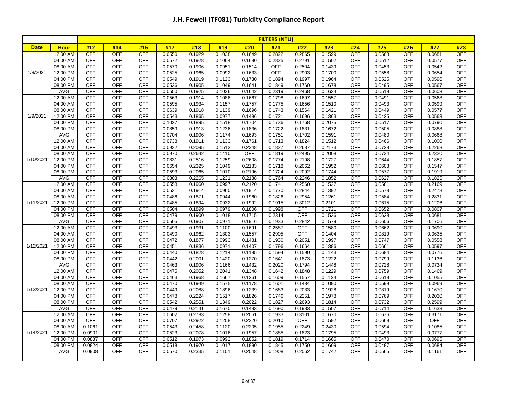|             |                      | <b>FILTERS (NTU)</b>     |                          |                          |                  |                  |                  |                  |                  |               |                  |                          |                  |                          |                  |                          |
|-------------|----------------------|--------------------------|--------------------------|--------------------------|------------------|------------------|------------------|------------------|------------------|---------------|------------------|--------------------------|------------------|--------------------------|------------------|--------------------------|
| <b>Date</b> | <b>Hour</b>          | #12                      | #14                      | #16                      | #17              | #18              | #19              | #20              | #21              | #22           | #23              | #24                      | #25              | #26                      | #27              | #28                      |
|             | 12:00 AM             | <b>OFF</b>               | OFF                      | OFF                      | 0.0550           | 0.1929           | 0.1038           | 0.1649           | 0.2822           | 0.2865        | 0.1599           | OFF                      | 0.0568           | OFF                      | 0.0681           | <b>OFF</b>               |
|             | 04:00 AM             | <b>OFF</b>               | <b>OFF</b>               | <b>OFF</b>               | 0.0572           | 0.1928           | 0.1064           | 0.1690           | 0.2825           | 0.2791        | 0.1502           | <b>OFF</b>               | 0.0512           | <b>OFF</b>               | 0.0577           | <b>OFF</b>               |
|             | 08:00 AM             | <b>OFF</b>               | <b>OFF</b>               | <b>OFF</b>               | 0.0570           | 0.1906           | 0.0951           | 0.1514           | <b>OFF</b>       | 0.2504        | 0.1439           | <b>OFF</b>               | 0.0453           | OFF                      | 0.0542           | <b>OFF</b>               |
| 1/8/2021    | 12:00 PM             | <b>OFF</b>               | OFF                      | <b>OFF</b>               | 0.0525           | 0.1965           | 0.0992           | 0.1633           | <b>OFF</b>       | 0.2903        | 0.1700           | <b>OFF</b>               | 0.0558           | <b>OFF</b>               | 0.0654           | <b>OFF</b>               |
|             | 04:00 PM             | <b>OFF</b>               | <b>OFF</b>               | <b>OFF</b>               | 0.0549           | 0.1919           | 0.1123           | 0.1730           | 0.1894           | 0.1997        | 0.1964           | OFF                      | 0.0525           | <b>OFF</b>               | 0.0596           | <b>OFF</b>               |
|             | 08:00 PM             | <b>OFF</b>               | <b>OFF</b>               | <b>OFF</b>               | 0.0536           | 0.1905           | 0.1049           | 0.1641           | 0.1849           | 0.1760        | 0.1678           | <b>OFF</b>               | 0.0495           | <b>OFF</b>               | 0.0567           | <b>OFF</b>               |
|             | AVG                  | <b>OFF</b>               | <b>OFF</b>               | <b>OFF</b>               | 0.0550           | 0.1925           | 0.1036           | 0.1642           | 0.2319           | 0.2468        | 0.1634           | <b>OFF</b>               | 0.0519           | <b>OFF</b>               | 0.0603           | OFF                      |
|             | 12:00 AM             | <b>OFF</b>               | OFF                      | <b>OFF</b>               | 0.0563           | 0.1914           | 0.1086           | 0.1667           | 0.1798           | 0.1697        | 0.1557           | <b>OFF</b>               | 0.0491           | <b>OFF</b>               | 0.0568           | <b>OFF</b>               |
|             | 04:00 AM             | <b>OFF</b>               | <b>OFF</b>               | OFF                      | 0.0595           | 0.1934           | 0.1157           | 0.1757           | 0.1775           | 0.1656        | 0.1510           | <b>OFF</b>               | 0.0493           | <b>OFF</b>               | 0.0599           | <b>OFF</b>               |
|             | 08:00 AM             | <b>OFF</b>               | <b>OFF</b>               | <b>OFF</b>               | 0.0639           | 0.1918           | 0.1139           | 0.1696           | 0.1743           | 0.1564        | 0.1421           | <b>OFF</b>               | 0.0449           | <b>OFF</b>               | 0.0577           | <b>OFF</b>               |
| 1/9/2021    | 12:00 PM             | <b>OFF</b>               | <b>OFF</b>               | <b>OFF</b>               | 0.0543           | 0.1865           | 0.0977           | 0.1496           | 0.1721           | 0.1696        | 0.1363           | <b>OFF</b>               | 0.0425           | <b>OFF</b>               | 0.0563           | <b>OFF</b>               |
|             | 04:00 PM             | <b>OFF</b>               | <b>OFF</b>               | <b>OFF</b>               | 0.1027           | 0.1895           | 0.1518           | 0.1704           | 0.1736           | 0.1768        | 0.2075           | <b>OFF</b>               | 0.0517           | <b>OFF</b>               | 0.0790           | OFF                      |
|             | 08:00 PM             | <b>OFF</b>               | OFF                      | OFF                      | 0.0859           | 0.1913           | 0.1236           | 0.1836           | 0.1722           | 0.1831        | 0.1672           | <b>OFF</b>               | 0.0505           | OFF                      | 0.0888           | OFF                      |
|             | AVG                  | <b>OFF</b>               | OFF                      | <b>OFF</b>               | 0.0704           | 0.1906           | 0.1174           | 0.1693           | 0.1751           | 0.1702        | 0.1591           | <b>OFF</b>               | 0.0480           | <b>OFF</b>               | 0.0668           | <b>OFF</b>               |
|             | 12:00 AM             | <b>OFF</b>               | <b>OFF</b>               | <b>OFF</b>               | 0.0738           | 0.1911           | 0.1133           | 0.1761           | 0.1713           | 0.1824        | 0.1512           | <b>OFF</b>               | 0.0466           | <b>OFF</b>               | 0.1000           | <b>OFF</b>               |
|             | 04:00 AM             | <b>OFF</b>               | <b>OFF</b>               | <b>OFF</b>               | 0.0932           | 0.2095           | 0.1512           | 0.2348           | 0.1827           | 0.2687        | 0.2173           | OFF                      | 0.0728           | <b>OFF</b>               | 0.2268           | <b>OFF</b>               |
|             | 08:00 AM             | <b>OFF</b>               | <b>OFF</b>               | <b>OFF</b>               | 0.0970           | 0.2642           | 0.1410           | <b>OFF</b>       | 0.1819           | 0.2495        | 0.2008           | <b>OFF</b>               | 0.0734           | <b>OFF</b>               | 0.2320           | <b>OFF</b>               |
| 1/10/2021   | 12:00 PM             | <b>OFF</b>               | <b>OFF</b>               | <b>OFF</b>               | 0.0831           | 0.2516           | 0.1259           | 0.2608           | 0.1774           | 0.2198        | 0.1727           | <b>OFF</b>               | 0.0644           | <b>OFF</b>               | 0.1857           | <b>OFF</b>               |
|             | 04:00 PM             | <b>OFF</b>               | OFF                      | <b>OFF</b>               | 0.0654           | 0.2325           | 0.1049           | 0.2133           | 0.1718           | 0.2062        | 0.1952           | <b>OFF</b>               | 0.0608           | <b>OFF</b>               | 0.1547           | <b>OFF</b>               |
|             | 08:00 PM             | <b>OFF</b>               | <b>OFF</b>               | <b>OFF</b>               | 0.0593           | 0.2065           | 0.1010           | 0.2196           | 0.1724           | 0.2092        | 0.1744           | <b>OFF</b>               | 0.0577           | <b>OFF</b>               | 0.1919           | <b>OFF</b>               |
|             | AVG                  | <b>OFF</b>               | <b>OFF</b>               | <b>OFF</b>               | 0.0803           | 0.2265           | 0.1231           | 0.2138           | 0.1764           | 0.2246        | 0.1852           | <b>OFF</b>               | 0.0627           | <b>OFF</b>               | 0.1825           | <b>OFF</b>               |
|             | 12:00 AM             | <b>OFF</b>               | OFF                      | <b>OFF</b>               | 0.0558           | 0.1960           | 0.0997           | 0.2120           | 0.1741           | 0.2560        | 0.1527           | OFF                      | 0.0581           | OFF                      | 0.2169           | <b>OFF</b>               |
|             | 04:00 AM             | <b>OFF</b>               | <b>OFF</b>               | OFF                      | 0.0531           | 0.1914           | 0.0960           | 0.1914           | 0.1770           | 0.2844        | 0.1392           | <b>OFF</b>               | 0.0578           | <b>OFF</b>               | 0.2478           | <b>OFF</b>               |
|             | 08:00 AM             | <b>OFF</b>               | OFF                      | <b>OFF</b>               | 0.0486           | 0.1871           | 0.0944           | 0.1960           | 0.1826           | 0.2954        | 0.1261           | <b>OFF</b>               | 0.0584           | <b>OFF</b>               | 0.2831           | <b>OFF</b>               |
| 1/11/2021   | 12:00 PM             | <b>OFF</b>               | <b>OFF</b>               | <b>OFF</b>               | 0.0485           | 0.1894           | 0.0932           | 0.1992           | 0.1915           | 0.3012        | 0.2101           | <b>OFF</b>               | 0.0615           | <b>OFF</b>               | 0.1206           | <b>OFF</b>               |
|             | 04:00 PM             | <b>OFF</b>               | OFF                      | <b>OFF</b>               | 0.0504           | 0.1899           | 0.0979           | 0.1806           | 0.1998           | <b>OFF</b>    | 0.1721           | <b>OFF</b>               | 0.0652           | <b>OFF</b>               | 0.0807           | <b>OFF</b>               |
|             | 08:00 PM             | <b>OFF</b><br><b>OFF</b> | OFF                      | <b>OFF</b>               | 0.0479           | 0.1900           | 0.1018           | 0.1715           | 0.2314           | <b>OFF</b>    | 0.1536           | <b>OFF</b>               | 0.0628           | OFF                      | 0.0681           | <b>OFF</b>               |
|             | AVG                  | <b>OFF</b>               | <b>OFF</b><br><b>OFF</b> | <b>OFF</b><br><b>OFF</b> | 0.0505           | 0.1907           | 0.0971           | 0.1916           | 0.1933           | 0.2842<br>OFF | 0.1579           | <b>OFF</b><br><b>OFF</b> | 0.0606           | <b>OFF</b><br><b>OFF</b> | 0.1706           | <b>OFF</b><br><b>OFF</b> |
|             | 12:00 AM             | <b>OFF</b>               | <b>OFF</b>               | <b>OFF</b>               | 0.0493           | 0.1931           | 0.1100           | 0.1691           | 0.2587           | OFF           | 0.1580<br>0.1404 | <b>OFF</b>               | 0.0662           | <b>OFF</b>               | 0.0690           | <b>OFF</b>               |
|             | 04:00 AM<br>08:00 AM | <b>OFF</b>               | OFF                      | <b>OFF</b>               | 0.0490<br>0.0472 | 0.1962<br>0.1877 | 0.1303<br>0.0993 | 0.1557<br>0.1481 | 0.2905<br>0.1930 | 0.2051        | 0.1997           | <b>OFF</b>               | 0.0819<br>0.0747 | <b>OFF</b>               | 0.0635<br>0.0558 | OFF                      |
| 1/12/2021   | 12:00 PM             | <b>OFF</b>               | <b>OFF</b>               | <b>OFF</b>               | 0.0451           | 0.1836           | 0.0971           | 0.1407           | 0.1796           | 0.1664        | 0.1386           | OFF                      | 0.0661           | <b>OFF</b>               | 0.0597           | <b>OFF</b>               |
|             | 04:00 PM             | <b>OFF</b>               | <b>OFF</b>               | <b>OFF</b>               | 0.0440           | 0.1828           | 0.1214           | 0.1195           | 0.1594           | 0.1590        | 0.1143           | <b>OFF</b>               | 0.0684           | <b>OFF</b>               | 0.0776           | <b>OFF</b>               |
|             | 08:00 PM             | <b>OFF</b>               | <b>OFF</b>               | <b>OFF</b>               | 0.0442           | 0.2001           | 0.1420           | 0.1270           | 0.1641           | 0.1873        | 0.1222           | <b>OFF</b>               | 0.0799           | <b>OFF</b>               | 0.1136           | OFF                      |
|             | AVG                  | OFF                      | OFF                      | <b>OFF</b>               | 0.0463           | 0.1906           | 0.1166           | 0.1432           | 0.2020           | 0.1794        | 0.1448           | <b>OFF</b>               | 0.0728           | <b>OFF</b>               | 0.0734           | <b>OFF</b>               |
|             | 12:00 AM             | <b>OFF</b>               | <b>OFF</b>               | <b>OFF</b>               | 0.0475           | 0.2052           | 0.2041           | 0.1348           | 0.1642           | 0.1848        | 0.1229           | <b>OFF</b>               | 0.0759           | <b>OFF</b>               | 0.1469           | OFF                      |
|             | 04:00 AM             | <b>OFF</b>               | <b>OFF</b>               | <b>OFF</b>               | 0.0463           | 0.1968           | 0.1667           | 0.1261           | 0.1609           | 0.1557        | 0.1124           | <b>OFF</b>               | 0.0619           | <b>OFF</b>               | 0.1055           | <b>OFF</b>               |
|             | 08:00 AM             | <b>OFF</b>               | OFF                      | <b>OFF</b>               | 0.0470           | 0.1949           | 0.1575           | 0.1178           | 0.1601           | 0.1484        | 0.1090           | OFF                      | 0.0599           | <b>OFF</b>               | 0.0969           | <b>OFF</b>               |
| 1/13/2021   | 12:00 PM             | <b>OFF</b>               | <b>OFF</b>               | <b>OFF</b>               | 0.0449           | 0.2088           | 0.1896           | 0.1239           | 0.1683           | 0.2033        | 0.1928           | <b>OFF</b>               | 0.0819           | OFF                      | 0.1670           | OFF                      |
|             | 04:00 PM             | <b>OFF</b>               | OFF                      | <b>OFF</b>               | 0.0478           | 0.2224           | 0.1517           | 0.1826           | 0.1746           | 0.2251        | 0.1978           | <b>OFF</b>               | 0.0769           | OFF                      | 0.2030           | <b>OFF</b>               |
|             | 08:00 PM             | <b>OFF</b>               | OFF                      | <b>OFF</b>               | 0.0542           | 0.2551           | 0.1349           | 0.2022           | 0.1827           | 0.2693        | 0.1814           | <b>OFF</b>               | 0.0732           | OFF                      | 0.2599           | OFF                      |
|             | <b>AVG</b>           | <b>OFF</b>               | <b>OFF</b>               | <b>OFF</b>               | 0.0479           | 0.2141           | 0.1670           | 0.1483           | 0.1690           | 0.1983        | 0.1507           | <b>OFF</b>               | 0.0714           | <b>OFF</b>               | 0.1633           | <b>OFF</b>               |
|             | 12:00 AM             | <b>OFF</b>               | <b>OFF</b>               | <b>OFF</b>               | 0.0602           | 0.2783           | 0.1258           | 0.2061           | 0.1933           | 0.3101        | 0.1670           | OFF                      | 0.0676           | <b>OFF</b>               | 0.3171           | <b>OFF</b>               |
|             | 04:00 AM             | <b>OFF</b>               | <b>OFF</b>               | OFF                      | 0.0707           | 0.2922           | 0.1208           | 0.2320           | 0.2010           | <b>OFF</b>    | 0.1592           | <b>OFF</b>               | 0.0669           | <b>OFF</b>               | <b>OFF</b>       | <b>OFF</b>               |
|             | 08:00 AM             | 0.1061                   | OFF                      | OFF                      | 0.0543           | 0.2458           | 0.1120           | 0.2205           | 0.1955           | 0.2249        | 0.2430           | <b>OFF</b>               | 0.0594           | OFF                      | 0.1085           | OFF                      |
| 1/14/2021   | 12:00 PM             | 0.0901                   | OFF                      | OFF                      | 0.0523           | 0.2078           | 0.1016           | 0.1957           | 0.1885           | 0.1823        | 0.1795           | <b>OFF</b>               | 0.0493           | OFF                      | 0.0777           | <b>OFF</b>               |
|             | 04:00 PM             | 0.0837                   | <b>OFF</b>               | <b>OFF</b>               | 0.0512           | 0.1973           | 0.0992           | 0.1852           | 0.1819           | 0.1714        | 0.1665           | <b>OFF</b>               | 0.0470           | <b>OFF</b>               | 0.0695           | <b>OFF</b>               |
|             | 08:00 PM             | 0.0824                   | <b>OFF</b>               | <b>OFF</b>               | 0.0518           | 0.1970           | 0.1017           | 0.1890           | 0.1845           | 0.1750        | 0.1609           | <b>OFF</b>               | 0.0487           | OFF                      | 0.0684           | OFF                      |
|             | <b>AVG</b>           | 0.0908                   | OFF                      | <b>OFF</b>               | 0.0570           | 0.2335           | 0.1101           | 0.2048           | 0.1908           | 0.2062        | 0.1742           | <b>OFF</b>               | 0.0565           | <b>OFF</b>               | 0.1161           | <b>OFF</b>               |
|             |                      |                          |                          |                          |                  |                  |                  |                  |                  |               |                  |                          |                  |                          |                  |                          |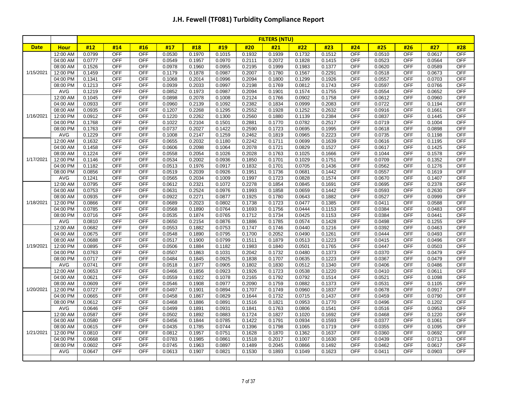|             |                      | <b>FILTERS (NTU)</b> |                          |                          |                  |                  |                  |                  |                     |                  |                  |                          |                  |                          |                  |                          |
|-------------|----------------------|----------------------|--------------------------|--------------------------|------------------|------------------|------------------|------------------|---------------------|------------------|------------------|--------------------------|------------------|--------------------------|------------------|--------------------------|
| <b>Date</b> | <b>Hour</b>          | #12                  | #14                      | #16                      | #17              | #18              | #19              | #20              | #21                 | #22              | #23              | #24                      | #25              | #26                      | #27              | #28                      |
|             | 12:00 AM             | 0.0799               | <b>OFF</b>               | <b>OFF</b>               | 0.0530           | 0.1970           | 0.1015           | 0.1932           | 0.1939              | 0.1732           | 0.1512           | OFF                      | 0.0510           | <b>OFF</b>               | 0.0617           | <b>OFF</b>               |
|             | 04:00 AM             | 0.0777               | <b>OFF</b>               | OFF                      | 0.0549           | 0.1957           | 0.0970           | 0.2111           | 0.2072              | 0.1828           | 0.1415           | <b>OFF</b>               | 0.0523           | <b>OFF</b>               | 0.0564           | <b>OFF</b>               |
|             | 08:00 AM             | 0.1526               | <b>OFF</b>               | <b>OFF</b>               | 0.0978           | 0.1960           | 0.0955           | 0.2195           | 0.1999              | 0.1983           | 0.1377           | <b>OFF</b>               | 0.0620           | <b>OFF</b>               | 0.0589           | <b>OFF</b>               |
| 1/15/2021   | 12:00 PM             | 0.1459               | <b>OFF</b>               | <b>OFF</b>               | 0.1179           | 0.1878           | 0.0987           | 0.2007           | 0.1780              | 0.1567           | 0.2291           | <b>OFF</b>               | 0.0518           | <b>OFF</b>               | 0.0673           | OFF                      |
|             | 04:00 PM             | 0.1341               | <b>OFF</b>               | <b>OFF</b>               | 0.1068           | 0.2014           | 0.0996           | 0.2094           | 0.1800              | 0.1299           | 0.1926           | OFF                      | 0.0557           | <b>OFF</b>               | 0.0703           | <b>OFF</b>               |
|             | 08:00 PM             | 0.1213               | <b>OFF</b>               | OFF                      | 0.0939           | 0.2033           | 0.0997           | 0.2198           | 0.1769              | 0.0812           | 0.1743           | OFF                      | 0.0597           | <b>OFF</b>               | 0.0766           | <b>OFF</b>               |
|             | AVG                  | 0.1219               | OFF                      | <b>OFF</b>               | 0.0852           | 0.1973           | 0.0987           | 0.2094           | 0.1901              | 0.1574           | 0.1755           | OFF                      | 0.0554           | OFF                      | 0.0652           | OFF                      |
|             | 12:00 AM             | 0.1045               | <b>OFF</b>               | OFF                      | 0.0898           | 0.2078           | 0.1008           | 0.2124           | 0.1766              | 0.0902           | 0.1758           | OFF                      | 0.0612           | <b>OFF</b>               | 0.0960           | <b>OFF</b>               |
|             | 04:00 AM             | 0.0933               | <b>OFF</b>               | OFF                      | 0.0960           | 0.2139           | 0.1092           | 0.2382           | 0.1834              | 0.0999           | 0.2083           | <b>OFF</b>               | 0.0722           | <b>OFF</b>               | 0.1194           | <b>OFF</b>               |
|             | 08:00 AM             | 0.0935               | <b>OFF</b>               | <b>OFF</b>               | 0.1207           | 0.2268           | 0.1295           | 0.2552           | 0.1928              | 0.1252           | 0.2632           | OFF                      | 0.0916           | <b>OFF</b>               | 0.1661           | OFF                      |
| 1/16/2021   | 12:00 PM             | 0.0912               | <b>OFF</b>               | <b>OFF</b>               | 0.1220           | 0.2262           | 0.1300           | 0.2560           | 0.1880              | 0.1139           | 0.2384           | OFF                      | 0.0837           | <b>OFF</b>               | 0.1445           | <b>OFF</b>               |
|             | 04:00 PM             | 0.1768               | <b>OFF</b>               | <b>OFF</b>               | 0.1022           | 0.2104           | 0.1501           | 0.2881           | 0.1770              | 0.0782           | 0.2517           | <b>OFF</b>               | 0.0719           | <b>OFF</b>               | 0.1004           | OFF                      |
|             | 08:00 PM             | 0.1763               | OFF                      | <b>OFF</b>               | 0.0737           | 0.2027           | 0.1422           | 0.2590           | 0.1723              | 0.0695           | 0.1995           | OFF                      | 0.0618           | <b>OFF</b>               | 0.0898           | OFF                      |
|             | AVG                  | 0.1229               | <b>OFF</b>               | <b>OFF</b>               | 0.1008           | 0.2147           | 0.1259           | 0.2462           | 0.1819              | 0.0965           | 0.2223           | OFF                      | 0.0735           | <b>OFF</b>               | 0.1198           | OFF                      |
|             | 12:00 AM             | 0.1632               | <b>OFF</b>               | <b>OFF</b>               | 0.0655           | 0.2032           | 0.1180           | 0.2242           | 0.1711              | 0.0699           | 0.1639           | <b>OFF</b>               | 0.0616           | <b>OFF</b>               | 0.1195           | <b>OFF</b>               |
|             | 04:00 AM             | 0.1458               | <b>OFF</b>               | <b>OFF</b>               | 0.0606           | 0.2098           | 0.1064           | 0.2078           | 0.1721              | 0.0829           | 0.1527           | <b>OFF</b>               | 0.0617           | <b>OFF</b>               | 0.1425           | <b>OFF</b>               |
|             | 08:00 AM             | 0.1224               | OFF                      | <b>OFF</b>               | 0.0558           | 0.2054           | 0.1026           | 0.2028           | $\overline{0.1763}$ | 0.1025           | 0.1666           | <b>OFF</b>               | 0.1044           | OFF                      | 0.1578           | <b>OFF</b>               |
| 1/17/2021   | 12:00 PM             | 0.1146               | <b>OFF</b>               | OFF                      | 0.0534           | 0.2002           | 0.0936           | 0.1850           | 0.1701              | 0.1029           | 0.1751           | OFF                      | 0.0709           | <b>OFF</b>               | 0.1352           | <b>OFF</b>               |
|             | 04:00 PM             | 0.1182               | <b>OFF</b>               | <b>OFF</b>               | 0.0513           | 0.1976           | 0.0917           | 0.1832           | 0.1701              | 0.0705           | 0.1436           | <b>OFF</b>               | 0.0562           | <b>OFF</b>               | 0.1276           | OFF                      |
|             | 08:00 PM             | 0.0856               | <b>OFF</b>               | <b>OFF</b>               | 0.0519           | 0.2039           | 0.0926           | 0.1951           | 0.1736              | 0.0681           | 0.1442           | <b>OFF</b>               | 0.0557           | <b>OFF</b>               | 0.1619           | <b>OFF</b>               |
|             | AVG                  | 0.1241               | OFF                      | <b>OFF</b>               | 0.0565           | 0.2034           | 0.1009           | 0.1997           | 0.1723              | 0.0828           | 0.1574           | <b>OFF</b>               | 0.0670           | <b>OFF</b>               | 0.1407           | OFF                      |
| 1/18/2021   | 12:00 AM             | 0.0795               | <b>OFF</b>               | <b>OFF</b>               | 0.0612           | 0.2321           | 0.1072           | 0.2278           | 0.1854              | 0.0845           | 0.1691           | OFF<br><b>OFF</b>        | 0.0695           | <b>OFF</b>               | 0.2378           | <b>OFF</b><br><b>OFF</b> |
|             | 04:00 AM             | 0.0753               | <b>OFF</b>               | OFF                      | 0.0631           | 0.2524           | 0.0976           | 0.1993           | 0.1858              | 0.0659           | 0.1442           |                          | 0.0593           | <b>OFF</b>               | 0.2630           |                          |
|             | 08:00 AM             | 0.0935               | <b>OFF</b><br><b>OFF</b> | <b>OFF</b>               | 0.0922           | 0.2271           | 0.0877           | 0.1925           | 0.1780              | 0.0643           | 0.1882           | <b>OFF</b><br><b>OFF</b> | 0.0527<br>0.0411 | <b>OFF</b><br><b>OFF</b> | 0.0999           | <b>OFF</b><br><b>OFF</b> |
|             | 12:00 PM<br>04:00 PM | 0.0866<br>0.0785     | <b>OFF</b>               | <b>OFF</b><br><b>OFF</b> | 0.0689<br>0.0568 | 0.2023<br>0.1890 | 0.0802<br>0.0764 | 0.1738<br>0.1693 | 0.1723<br>0.1756    | 0.0477<br>0.0444 | 0.1385<br>0.1153 | <b>OFF</b>               | 0.0384           | <b>OFF</b>               | 0.0588<br>0.0483 | <b>OFF</b>               |
|             | 08:00 PM             | 0.0716               | <b>OFF</b>               | OFF                      |                  | 0.1874           | 0.0765           | 0.1712           | 0.1734              |                  | 0.1153           | <b>OFF</b>               | 0.0384           | <b>OFF</b>               | 0.0441           | <b>OFF</b>               |
|             | AVG                  | 0.0810               | <b>OFF</b>               | <b>OFF</b>               | 0.0535<br>0.0650 | 0.2154           | 0.0876           | 0.1886           | 0.1785              | 0.0425<br>0.0574 | 0.1428           | <b>OFF</b>               | 0.0498           | <b>OFF</b>               | 0.1255           | OFF                      |
|             | 12:00 AM             | 0.0682               | <b>OFF</b>               | <b>OFF</b>               | 0.0553           | 0.1882           | 0.0753           | 0.1747           | 0.1746              | 0.0440           | 0.1216           | <b>OFF</b>               | 0.0392           | <b>OFF</b>               | 0.0463           | OFF                      |
|             | 04:00 AM             | 0.0675               | <b>OFF</b>               | <b>OFF</b>               | 0.0548           | 0.1890           | 0.0795           | 0.1700           | 0.2052              | 0.0490           | 0.1261           | <b>OFF</b>               | 0.0444           | <b>OFF</b>               | 0.0493           | <b>OFF</b>               |
|             | 08:00 AM             | 0.0688               | <b>OFF</b>               | OFF                      | 0.0517           | 0.1900           | 0.0799           | 0.1511           | 0.1879              | 0.0513           | 0.1223           | OFF                      | 0.0415           | <b>OFF</b>               | 0.0496           | OFF                      |
| 1/19/2021   | 12:00 PM             | 0.0895               | <b>OFF</b>               | <b>OFF</b>               | 0.0506           | 0.1884           | 0.1182           | 0.1983           | 0.1840              | 0.0501           | 0.1765           | OFF                      | 0.0447           | <b>OFF</b>               | 0.0503           | <b>OFF</b>               |
|             | 04:00 PM             | 0.0763               | <b>OFF</b>               | OFF                      | 0.0507           | 0.1863           | 0.1031           | 0.2042           | 0.1732              | 0.0480           | 0.1373           | <b>OFF</b>               | 0.0370           | <b>OFF</b>               | 0.0479           | <b>OFF</b>               |
|             | 08:00 PM             | 0.0717               | OFF                      | <b>OFF</b>               | 0.0484           | 0.1845           | 0.0925           | 0.1838           | 0.1707              | 0.0635           | 0.1223           | <b>OFF</b>               | 0.0367           | OFF                      | 0.0479           | OFF                      |
|             | AVG                  | 0.0741               | <b>OFF</b>               | OFF                      | 0.0518           | 0.1877           | 0.0905           | 0.1802           | 0.1830              | 0.0512           | 0.1340           | OFF                      | 0.0406           | <b>OFF</b>               | 0.0486           | <b>OFF</b>               |
|             | 12:00 AM             | 0.0653               | <b>OFF</b>               | OFF                      | 0.0466           | 0.1856           | 0.0923           | 0.1926           | 0.1723              | 0.0538           | 0.1220           | OFF                      | 0.0410           | <b>OFF</b>               | 0.0611           | OFF                      |
|             | 04:00 AM             | 0.0621               | <b>OFF</b>               | <b>OFF</b>               | 0.0559           | 0.1922           | 0.1078           | 0.2165           | 0.1792              | 0.0792           | 0.1514           | <b>OFF</b>               | 0.0521           | <b>OFF</b>               | 0.1098           | <b>OFF</b>               |
|             | 08:00 AM             | 0.0609               | <b>OFF</b>               | <b>OFF</b>               | 0.0546           | 0.1908           | 0.0977           | 0.2090           | 0.1759              | 0.0882           | 0.1373           | OFF                      | 0.0531           | <b>OFF</b>               | 0.1105           | <b>OFF</b>               |
| 1/20/2021   | 12:00 PM             | 0.0727               | <b>OFF</b>               | <b>OFF</b>               | 0.0497           | 0.1901           | 0.0894           | 0.1707           | 0.1749              | 0.0960           | 0.1837           | OFF                      | 0.0678           | OFF                      | 0.0917           | OFF                      |
|             | 04:00 PM             | 0.0665               | <b>OFF</b>               | <b>OFF</b>               | 0.0458           | 0.1867           | 0.0829           | 0.1644           | 0.1732              | 0.0715           | 0.1437           | OFF                      | 0.0459           | <b>OFF</b>               | 0.0790           | <b>OFF</b>               |
|             | 08:00 PM             | 0.0612               | <b>OFF</b>               | <b>OFF</b>               | 0.0468           | 0.1886           | 0.0891           | 0.1516           | 0.1821              | 0.0953           | 0.1770           | OFF                      | 0.0496           | <b>OFF</b>               | 0.1202           | OFF                      |
|             | <b>AVG</b>           | 0.0646               | <b>OFF</b>               | <b>OFF</b>               | 0.0499           | 0.1891           | 0.0931           | 0.1841           | 0.1763              | 0.0806           | 0.1541           | <b>OFF</b>               | 0.0516           | <b>OFF</b>               | 0.0953           | <b>OFF</b>               |
|             | 12:00 AM             | 0.0587               | <b>OFF</b>               | <b>OFF</b>               | 0.0502           | 0.1892           | 0.0883           | 0.1724           | 0.1827              | 0.1020           | 0.1692           | <b>OFF</b>               | 0.0468           | <b>OFF</b>               | 0.1220           | <b>OFF</b>               |
|             | 04:00 AM             | 0.0580               | <b>OFF</b>               | <b>OFF</b>               | 0.0456           | 0.1844           | 0.0785           | 0.1422           | 0.1791              | 0.0934           | 0.1593           | <b>OFF</b>               | 0.0377           | <b>OFF</b>               | 0.1061           | OFF                      |
|             | 08:00 AM             | 0.0615               | OFF                      | OFF                      | 0.0435           | 0.1785           | 0.0744           | 0.1396           | 0.1798              | 0.1065           | 0.1719           | OFF                      | 0.0355           | <b>OFF</b>               | 0.1095           | OFF                      |
| 1/21/2021   | 12:00 PM             | 0.0810               | <b>OFF</b>               | <b>OFF</b>               | 0.0812           | 0.1957           | 0.0751           | 0.1628           | 0.1870              | 0.1362           | 0.1637           | <b>OFF</b>               | 0.0360           | <b>OFF</b>               | 0.0692           | OFF                      |
|             | 04:00 PM             | 0.0668               | <b>OFF</b>               | <b>OFF</b>               | 0.0783           | 0.1985           | 0.0861           | 0.1518           | 0.2017              | 0.1007           | 0.1630           | <b>OFF</b>               | 0.0439           | <b>OFF</b>               | 0.0713           | <b>OFF</b>               |
|             | 08:00 PM             | 0.0602               | OFF                      | <b>OFF</b>               | 0.0745           | 0.1963           | 0.0897           | 0.1489           | 0.2045              | 0.0866           | 0.1492           | <b>OFF</b>               | 0.0462           | OFF                      | 0.0617           | OFF                      |
|             | AVG                  | 0.0647               | <b>OFF</b>               | <b>OFF</b>               | 0.0613           | 0.1907           | 0.0821           | 0.1530           | 0.1893              | 0.1049           | 0.1623           | <b>OFF</b>               | 0.0411           | <b>OFF</b>               | 0.0903           | OFF                      |
|             |                      |                      |                          |                          |                  |                  |                  |                  |                     |                  |                  |                          |                  |                          |                  |                          |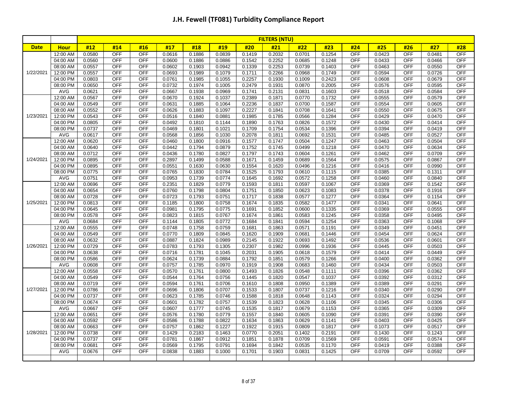|             |                      | <b>FILTERS (NTU)</b> |                          |                          |                  |                  |                  |                  |                  |                  |                  |            |                  |                          |                  |                   |
|-------------|----------------------|----------------------|--------------------------|--------------------------|------------------|------------------|------------------|------------------|------------------|------------------|------------------|------------|------------------|--------------------------|------------------|-------------------|
| <b>Date</b> | <b>Hour</b>          | #12                  | #14                      | #16                      | #17              | #18              | #19              | #20              | #21              | #22              | #23              | #24        | #25              | #26                      | #27              | #28               |
|             | 12:00 AM             | 0.0580               | <b>OFF</b>               | OFF                      | 0.0616           | 0.1886           | 0.0839           | 0.1419           | 0.2032           | 0.0701           | 0.1254           | OFF        | 0.0423           | <b>OFF</b>               | 0.0481           | <b>OFF</b>        |
|             | 04:00 AM             | 0.0560               | <b>OFF</b>               | <b>OFF</b>               | 0.0600           | 0.1886           | 0.0886           | 0.1542           | 0.2252           | 0.0685           | 0.1248           | <b>OFF</b> | 0.0433           | <b>OFF</b>               | 0.0466           | <b>OFF</b>        |
|             | 08:00 AM             | 0.0557               | <b>OFF</b>               | <b>OFF</b>               | 0.0602           | 0.1903           | 0.0942           | 0.1339           | 0.2253           | 0.0739           | 0.1403           | <b>OFF</b> | 0.0463           | <b>OFF</b>               | 0.0550           | <b>OFF</b>        |
| 1/22/2021   | 12:00 PM             | 0.0557               | <b>OFF</b>               | <b>OFF</b>               | 0.0693           | 0.1989           | 0.1079           | 0.1711           | 0.2266           | 0.0968           | 0.1749           | <b>OFF</b> | 0.0594           | <b>OFF</b>               | 0.0726           | OFF               |
|             | 04:00 PM             | 0.0803               | <b>OFF</b>               | <b>OFF</b>               | 0.0761           | 0.1985           | 0.1055           | 0.2257           | 0.1930           | 0.1009           | 0.2423           | <b>OFF</b> | 0.0608           | <b>OFF</b>               | 0.0679           | <b>OFF</b>        |
|             | 08:00 PM             | 0.0650               | <b>OFF</b>               | <b>OFF</b>               | 0.0732           | 0.1974           | 0.1005           | 0.2479           | 0.1931           | 0.0870           | 0.2005           | <b>OFF</b> | 0.0576           | <b>OFF</b>               | 0.0595           | <b>OFF</b>        |
|             | AVG                  | 0.0621               | OFF                      | <b>OFF</b>               | 0.0667           | 0.1938           | 0.0969           | 0.1741           | 0.2131           | 0.0831           | 0.1603           | <b>OFF</b> | 0.0518           | OFF                      | 0.0584           | OFF               |
|             | 12:00 AM             | 0.0567               | <b>OFF</b>               | <b>OFF</b>               | 0.0670           | 0.1924           | 0.1037           | 0.2389           | 0.1871           | 0.0770           | 0.1732           | OFF        | 0.0555           | <b>OFF</b>               | 0.0579           | <b>OFF</b>        |
|             | 04:00 AM             | 0.0549               | <b>OFF</b>               | <b>OFF</b>               | 0.0631           | 0.1885           | 0.1064           | 0.2236           | 0.1837           | 0.0700           | 0.1587           | <b>OFF</b> | 0.0554           | <b>OFF</b>               | 0.0605           | <b>OFF</b>        |
|             | 08:00 AM             | 0.0552               | <b>OFF</b>               | <b>OFF</b>               | 0.0626           | 0.1883           | 0.1097           | 0.2227           | 0.1841           | 0.0708           | 0.1641           | OFF        | 0.0550           | <b>OFF</b>               | 0.0675           | OFF               |
| 1/23/2021   | 12:00 PM             | 0.0543               | <b>OFF</b>               | <b>OFF</b>               | 0.0516           | 0.1840           | 0.0881           | 0.1985           | 0.1785           | 0.0566           | 0.1284           | <b>OFF</b> | 0.0429           | <b>OFF</b>               | 0.0470           | <b>OFF</b>        |
|             | 04:00 PM             | 0.0805               | <b>OFF</b>               | <b>OFF</b>               | 0.0492           | 0.1810           | 0.1144           | 0.1890           | 0.1763           | 0.0826           | 0.1572           | <b>OFF</b> | 0.0430           | <b>OFF</b>               | 0.0414           | OFF               |
|             | 08:00 PM             | 0.0737               | <b>OFF</b>               | <b>OFF</b>               | 0.0469           | 0.1801           | 0.1021           | 0.1709           | 0.1754           | 0.0534           | 0.1396           | OFF        | 0.0394           | <b>OFF</b>               | 0.0419           | OFF               |
|             | AVG                  | 0.0617               | <b>OFF</b><br><b>OFF</b> | <b>OFF</b><br><b>OFF</b> | 0.0568           | 0.1856           | 0.1030           | 0.2078           | 0.1811           | 0.0692           | 0.1531           | OFF<br>OFF | 0.0485           | <b>OFF</b><br><b>OFF</b> | 0.0527           | OFF<br><b>OFF</b> |
|             | 12:00 AM<br>04:00 AM | 0.0620<br>0.0640     | <b>OFF</b>               | <b>OFF</b>               | 0.0460<br>0.0442 | 0.1800<br>0.1794 | 0.0916<br>0.0879 | 0.1577<br>0.1752 | 0.1747<br>0.1745 | 0.0504<br>0.0499 | 0.1247<br>0.1218 | <b>OFF</b> | 0.0463<br>0.0470 | <b>OFF</b>               | 0.0504<br>0.0634 | <b>OFF</b>        |
|             | 08:00 AM             | 0.0712               | <b>OFF</b>               | <b>OFF</b>               | 0.0436           | 0.1780           | 0.0827           | 0.1797           | 0.1743           | 0.0604           | 0.1261           | <b>OFF</b> | 0.0462           | <b>OFF</b>               | 0.0709           | OFF               |
| 1/24/2021   | 12:00 PM             | 0.0895               | <b>OFF</b>               | <b>OFF</b>               | 0.2897           | 0.1499           | 0.0588           | 0.1671           | 0.1459           | 0.0689           | 0.1564           | OFF        | 0.0575           | <b>OFF</b>               | 0.0867           | <b>OFF</b>        |
|             | 04:00 PM             | 0.0895               | <b>OFF</b>               | <b>OFF</b>               | 0.0551           | 0.1630           | 0.0630           | 0.1554           | 0.1620           | 0.0496           | 0.1216           | <b>OFF</b> | 0.0416           | <b>OFF</b>               | 0.0990           | <b>OFF</b>        |
|             | 08:00 PM             | 0.0775               | <b>OFF</b>               | OFF                      | 0.0765           | 0.1830           | 0.0784           | 0.1525           | 0.1793           | 0.0610           | 0.1115           | <b>OFF</b> | 0.0385           | <b>OFF</b>               | 0.1311           | OFF               |
|             | AVG                  | 0.0751               | <b>OFF</b>               | <b>OFF</b>               | 0.0953           | 0.1739           | 0.0774           | 0.1645           | 0.1692           | 0.0572           | 0.1258           | OFF        | 0.0460           | <b>OFF</b>               | 0.0840           | OFF               |
|             | 12:00 AM             | 0.0696               | <b>OFF</b>               | <b>OFF</b>               | 0.2351           | 0.1829           | 0.0779           | 0.1593           | 0.1811           | 0.0597           | 0.1067           | <b>OFF</b> | 0.0369           | <b>OFF</b>               | 0.1542           | <b>OFF</b>        |
|             | 04:00 AM             | 0.0654               | <b>OFF</b>               | <b>OFF</b>               | 0.0760           | 0.1798           | 0.0804           | 0.1751           | 0.1850           | 0.0623           | 0.1083           | <b>OFF</b> | 0.0378           | <b>OFF</b>               | 0.1916           | <b>OFF</b>        |
|             | 08:00 AM             | 0.0728               | <b>OFF</b>               | <b>OFF</b>               | 0.0723           | 0.1793           | 0.0751           | 0.1717           | 0.1838           | 0.0577           | 0.1277           | <b>OFF</b> | 0.0364           | <b>OFF</b>               | 0.1154           | OFF               |
| 1/25/2021   | 12:00 PM             | 0.0813               | <b>OFF</b>               | <b>OFF</b>               | 0.1185           | 0.1800           | 0.0758           | 0.1674           | 0.1835           | 0.0582           | 0.1477           | OFF        | 0.0341           | <b>OFF</b>               | 0.0641           | <b>OFF</b>        |
|             | 04:00 PM             | 0.0645               | <b>OFF</b>               | <b>OFF</b>               | 0.0981           | 0.1795           | 0.0775           | 0.1691           | 0.1852           | 0.0600           | 0.1335           | <b>OFF</b> | 0.0369           | <b>OFF</b>               | 0.0555           | <b>OFF</b>        |
|             | 08:00 PM             | 0.0578               | <b>OFF</b>               | <b>OFF</b>               | 0.0823           | 0.1815           | 0.0767           | 0.1674           | 0.1861           | 0.0583           | 0.1245           | <b>OFF</b> | 0.0358           | <b>OFF</b>               | 0.0495           | <b>OFF</b>        |
|             | AVG                  | 0.0684               | <b>OFF</b>               | OFF                      | 0.1144           | 0.1805           | 0.0772           | 0.1684           | 0.1841           | 0.0594           | 0.1254           | <b>OFF</b> | 0.0363           | <b>OFF</b>               | 0.1068           | OFF               |
|             | 12:00 AM             | 0.0555               | <b>OFF</b>               | <b>OFF</b>               | 0.0748           | 0.1758           | 0.0759           | 0.1681           | 0.1863           | 0.0571           | 0.1191           | <b>OFF</b> | 0.0349           | <b>OFF</b>               | 0.0451           | OFF               |
|             | 04:00 AM             | 0.0549               | <b>OFF</b>               | <b>OFF</b>               | 0.0770           | 0.1809           | 0.0845           | 0.1620           | 0.1909           | 0.0681           | 0.1446           | <b>OFF</b> | 0.0454           | <b>OFF</b>               | 0.0624           | <b>OFF</b>        |
|             | 08:00 AM             | 0.0632               | <b>OFF</b>               | <b>OFF</b>               | 0.0887           | 0.1824           | 0.0989           | 0.2145           | 0.1922           | 0.0693           | 0.1492           | <b>OFF</b> | 0.0536           | <b>OFF</b>               | 0.0601           | OFF               |
| 1/26/2021   | 12:00 PM             | 0.0729               | <b>OFF</b>               | <b>OFF</b>               | 0.0783           | 0.1793           | 0.1305           | 0.2307           | 0.1982           | 0.0996           | 0.1936           | <b>OFF</b> | 0.0445           | <b>OFF</b>               | 0.0503           | <b>OFF</b>        |
|             | 04:00 PM             | 0.0638               | <b>OFF</b>               | OFF                      | 0.0716           | 0.1781           | 0.1045           | 0.2031           | 0.1905           | 0.0618           | 0.1579           | <b>OFF</b> | 0.0414           | <b>OFF</b>               | 0.0449           | <b>OFF</b>        |
|             | 08:00 PM             | 0.0586               | <b>OFF</b>               | <b>OFF</b>               | 0.0624           | 0.1739           | 0.0884           | 0.1792           | 0.1851           | 0.0579           | 0.1266           | <b>OFF</b> | 0.0400           | <b>OFF</b>               | 0.0362           | OFF               |
|             | AVG                  | 0.0608               | <b>OFF</b>               | <b>OFF</b>               | 0.0757           | 0.1785           | 0.0970           | 0.1919           | 0.1908           | 0.0683           | 0.1460           | <b>OFF</b> | 0.0434           | <b>OFF</b>               | 0.0503           | <b>OFF</b>        |
|             | 12:00 AM             | 0.0558               | <b>OFF</b>               | OFF                      | 0.0570           | 0.1761           | 0.0800           | 0.1493           | 0.1826           | 0.0548           | 0.1111           | OFF        | 0.0396           | <b>OFF</b>               | 0.0362           | OFF               |
|             | 04:00 AM             | 0.0549               | <b>OFF</b>               | <b>OFF</b>               | 0.0544           | 0.1764           | 0.0756           | 0.1445           | 0.1820           | 0.0547           | 0.1037           | OFF        | 0.0392           | <b>OFF</b>               | 0.0312           | <b>OFF</b>        |
|             | 08:00 AM             | 0.0719               | <b>OFF</b>               | <b>OFF</b>               | 0.0594           | 0.1761           | 0.0706           | 0.1610           | 0.1808           | 0.0950           | 0.1389           | <b>OFF</b> | 0.0389           | <b>OFF</b>               | 0.0291           | <b>OFF</b>        |
| 1/27/2021   | 12:00 PM             | 0.0786               | OFF                      | <b>OFF</b>               | 0.0696           | 0.1806           | 0.0707           | 0.1533           | 0.1807           | 0.0737           | 0.1216           | OFF        | 0.0340           | OFF                      | 0.0290           | OFF               |
|             | 04:00 PM             | 0.0737               | <b>OFF</b>               | <b>OFF</b>               | 0.0623           | 0.1785           | 0.0746           | 0.1588           | 0.1818           | 0.0648           | 0.1143           | OFF        | 0.0324           | <b>OFF</b>               | 0.0294           | <b>OFF</b>        |
|             | 08:00 PM             | 0.0674               | <b>OFF</b>               | <b>OFF</b>               | 0.0601           | 0.1782           | 0.0757           | 0.1539           | 0.1823           | 0.0628           | 0.1106           | OFF        | 0.0345           | <b>OFF</b>               | 0.0306           | OFF               |
|             | <b>AVG</b>           | 0.0667               | <b>OFF</b>               | <b>OFF</b>               | 0.0607           | 0.1777           | 0.0745           | 0.1535           | 0.1817           | 0.0679           | 0.1153           | <b>OFF</b> | 0.0365           | <b>OFF</b>               | 0.0309           | <b>OFF</b>        |
|             | 12:00 AM             | 0.0651               | <b>OFF</b>               | <b>OFF</b>               | 0.0576           | 0.1780           | 0.0779           | 0.1557           | 0.1840           | 0.0605           | 0.1090           | <b>OFF</b> | 0.0391           | <b>OFF</b>               | 0.0390           | <b>OFF</b>        |
|             | 04:00 AM             | 0.0592               | <b>OFF</b>               | <b>OFF</b>               | 0.0586           | 0.1788           | 0.0822           | 0.1634           | 0.1863           | 0.0629           | 0.1141           | <b>OFF</b> | 0.0403           | <b>OFF</b>               | 0.0425           | <b>OFF</b>        |
|             | 08:00 AM             | 0.0663               | <b>OFF</b>               | <b>OFF</b>               | 0.0757           | 0.1862           | 0.1227           | 0.1922           | 0.1915           | 0.0809           | 0.1817           | OFF        | 0.1073           | <b>OFF</b>               | 0.0517           | OFF               |
| 1/28/2021   | 12:00 PM             | 0.0738               | <b>OFF</b>               | <b>OFF</b>               | 0.1429           | 0.2183           | 0.1463           | 0.0770           | 0.2051           | 0.1402           | 0.2191           | OFF        | 0.1430           | <b>OFF</b>               | 0.1243           | <b>OFF</b>        |
|             | 04:00 PM             | 0.0737               | <b>OFF</b>               | <b>OFF</b>               | 0.0781           | 0.1867           | 0.0912           | 0.1851           | 0.1878           | 0.0709           | 0.1569           | <b>OFF</b> | 0.0591           | <b>OFF</b>               | 0.0574           | <b>OFF</b>        |
|             | 08:00 PM             | 0.0681               | OFF                      | <b>OFF</b>               | 0.0569           | 0.1795           | 0.0791           | 0.1694           | 0.1842           | 0.0535           | 0.1170           | OFF        | 0.0419           | OFF                      | 0.0388           | OFF               |
|             | AVG                  | 0.0676               | <b>OFF</b>               | <b>OFF</b>               | 0.0838           | 0.1883           | 0.1000           | 0.1701           | 0.1903           | 0.0831           | 0.1425           | <b>OFF</b> | 0.0709           | <b>OFF</b>               | 0.0592           | <b>OFF</b>        |
|             |                      |                      |                          |                          |                  |                  |                  |                  |                  |                  |                  |            |                  |                          |                  |                   |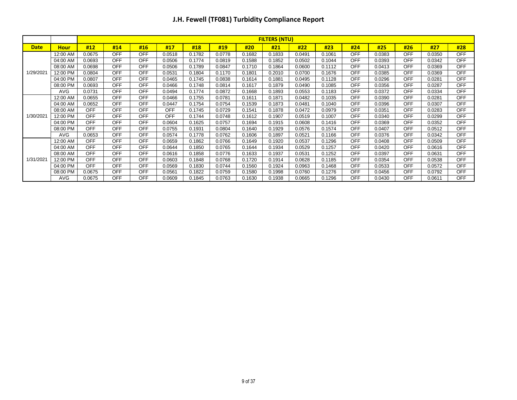|             |             |            |            |            |            |        |        |        | <b>FILTERS (NTU)</b> |        |        |            |        |            |        |            |
|-------------|-------------|------------|------------|------------|------------|--------|--------|--------|----------------------|--------|--------|------------|--------|------------|--------|------------|
| <b>Date</b> | <b>Hour</b> | #12        | #14        | #16        | #17        | #18    | #19    | #20    | #21                  | #22    | #23    | #24        | #25    | #26        | #27    | #28        |
|             | 12:00 AM    | 0.0675     | <b>OFF</b> | <b>OFF</b> | 0.0518     | 0.1782 | 0.0778 | 0.1682 | 0.1833               | 0.0491 | 0.1061 | <b>OFF</b> | 0.0383 | <b>OFF</b> | 0.0350 | <b>OFF</b> |
|             | 04:00 AM    | 0.0693     | <b>OFF</b> | <b>OFF</b> | 0.0506     | 0.1774 | 0.0819 | 0.1588 | 0.1852               | 0.0502 | 0.1044 | <b>OFF</b> | 0.0393 | <b>OFF</b> | 0.0342 | <b>OFF</b> |
|             | 08:00 AM    | 0.0698     | <b>OFF</b> | <b>OFF</b> | 0.0506     | 0.1789 | 0.0847 | 0.1710 | 0.1864               | 0.0600 | 0.1112 | <b>OFF</b> | 0.0413 | <b>OFF</b> | 0.0369 | <b>OFF</b> |
| 1/29/2021   | 12:00 PM    | 0.0804     | <b>OFF</b> | <b>OFF</b> | 0.0531     | 0.1804 | 0.1170 | 0.1801 | 0.2010               | 0.0700 | 0.1676 | <b>OFF</b> | 0.0385 | <b>OFF</b> | 0.0369 | <b>OFF</b> |
|             | 04:00 PM    | 0.0807     | <b>OFF</b> | <b>OFF</b> | 0.0465     | 0.1745 | 0.0838 | 0.1614 | 0.1881               | 0.0495 | 0.1128 | <b>OFF</b> | 0.0296 | <b>OFF</b> | 0.0281 | <b>OFF</b> |
|             | 08:00 PM    | 0.0693     | <b>OFF</b> | <b>OFF</b> | 0.0466     | 0.1748 | 0.0814 | 0.1617 | 0.1879               | 0.0490 | 0.1085 | <b>OFF</b> | 0.0356 | <b>OFF</b> | 0.0287 | <b>OFF</b> |
|             | <b>AVG</b>  | 0.0731     | <b>OFF</b> | <b>OFF</b> | 0.0494     | 0.1774 | 0.0872 | 0.1668 | 0.1893               | 0.0553 | 0.1183 | <b>OFF</b> | 0.0372 | <b>OFF</b> | 0.0334 | <b>OFF</b> |
|             | 12:00 AM    | 0.0655     | <b>OFF</b> | <b>OFF</b> | 0.0466     | 0.1755 | 0.0781 | 0.1611 | 0.1871               | 0.0482 | 0.1035 | <b>OFF</b> | 0.0390 | <b>OFF</b> | 0.0281 | <b>OFF</b> |
|             | 04:00 AM    | 0.0652     | <b>OFF</b> | <b>OFF</b> | 0.0447     | 0.1754 | 0.0754 | 0.1539 | 0.1873               | 0.0481 | 0.1040 | <b>OFF</b> | 0.0396 | <b>OFF</b> | 0.0307 | <b>OFF</b> |
|             | 08:00 AM    | <b>OFF</b> | <b>OFF</b> | <b>OFF</b> | <b>OFF</b> | 0.1745 | 0.0729 | 0.1541 | 0.1878               | 0.0472 | 0.0979 | <b>OFF</b> | 0.0351 | <b>OFF</b> | 0.0283 | <b>OFF</b> |
| 1/30/2021   | 12:00 PM    | <b>OFF</b> | <b>OFF</b> | <b>OFF</b> | <b>OFF</b> | 0.1744 | 0.0748 | 0.1612 | 0.1907               | 0.0519 | 0.1007 | <b>OFF</b> | 0.0340 | <b>OFF</b> | 0.0299 | <b>OFF</b> |
|             | 04:00 PM    | OFF        | <b>OFF</b> | <b>OFF</b> | 0.0604     | 0.1625 | 0.0757 | 0.1694 | 0.1915               | 0.0608 | 0.1416 | <b>OFF</b> | 0.0369 | <b>OFF</b> | 0.0352 | <b>OFF</b> |
|             | 08:00 PM    | <b>OFF</b> | <b>OFF</b> | <b>OFF</b> | 0.0755     | 0.1931 | 0.0804 | 0.1640 | 0.1929               | 0.0576 | 0.1574 | <b>OFF</b> | 0.0407 | <b>OFF</b> | 0.0512 | <b>OFF</b> |
|             | <b>AVG</b>  | 0.0653     | <b>OFF</b> | <b>OFF</b> | 0.0574     | 0.1778 | 0.0762 | 0.1606 | 0.1897               | 0.0521 | 0.1166 | <b>OFF</b> | 0.0376 | <b>OFF</b> | 0.0342 | <b>OFF</b> |
|             | 12:00 AM    | <b>OFF</b> | <b>OFF</b> | <b>OFF</b> | 0.0659     | 0.1862 | 0.0766 | 0.1649 | 0.1920               | 0.0537 | 0.1296 | <b>OFF</b> | 0.0408 | <b>OFF</b> | 0.0509 | <b>OFF</b> |
|             | 04:00 AM    | <b>OFF</b> | <b>OFF</b> | <b>OFF</b> | 0.0644     | 0.1850 | 0.0765 | 0.1644 | 0.1934               | 0.0529 | 0.1257 | <b>OFF</b> | 0.0420 | <b>OFF</b> | 0.0616 | <b>OFF</b> |
|             | 08:00 AM    | <b>OFF</b> | <b>OFF</b> | <b>OFF</b> | 0.0616     | 0.1858 | 0.0776 | 0.1633 | 0.1937               | 0.0531 | 0.1252 | <b>OFF</b> | 0.0397 | <b>OFF</b> | 0.0631 | <b>OFF</b> |
| 1/31/2021   | 12:00 PM    | <b>OFF</b> | <b>OFF</b> | <b>OFF</b> | 0.0603     | 0.1848 | 0.0768 | 0.1720 | 0.1914               | 0.0628 | 0.1185 | <b>OFF</b> | 0.0354 | <b>OFF</b> | 0.0538 | <b>OFF</b> |
|             | 04:00 PM    | <b>OFF</b> | <b>OFF</b> | <b>OFF</b> | 0.0569     | 0.1830 | 0.0744 | 0.1560 | 0.1924               | 0.0963 | 0.1468 | <b>OFF</b> | 0.0533 | <b>OFF</b> | 0.0572 | <b>OFF</b> |
|             | 08:00 PM    | 0.0675     | <b>OFF</b> | <b>OFF</b> | 0.0561     | 0.1822 | 0.0759 | 0.1580 | 0.1998               | 0.0760 | 0.1276 | <b>OFF</b> | 0.0456 | <b>OFF</b> | 0.0792 | <b>OFF</b> |
|             | <b>AVG</b>  | 0.0675     | <b>OFF</b> | <b>OFF</b> | 0.0609     | 0.1845 | 0.0763 | 0.1630 | 0.1938               | 0.0665 | 0.1296 | <b>OFF</b> | 0.0430 | <b>OFF</b> | 0.0611 | <b>OFF</b> |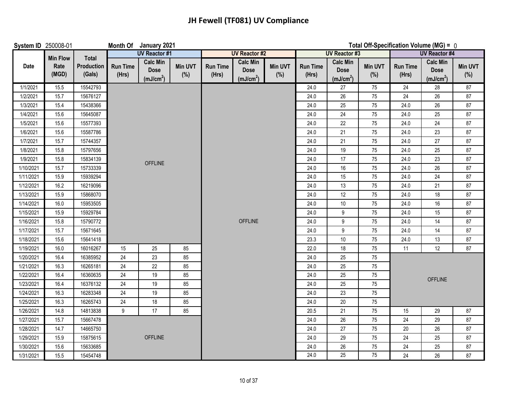| System ID 250008-01 |                 |                      |                          | Month Of January 2021                                   |                |                          |                                                         |                |                          |                                                         |                | Total Off-Specification Volume (MG) = 0 |                                                         |                       |
|---------------------|-----------------|----------------------|--------------------------|---------------------------------------------------------|----------------|--------------------------|---------------------------------------------------------|----------------|--------------------------|---------------------------------------------------------|----------------|-----------------------------------------|---------------------------------------------------------|-----------------------|
|                     | <b>Min Flow</b> | Total                |                          | <b>UV Reactor #1</b>                                    |                |                          | <b>UV Reactor #2</b>                                    |                |                          | <b>UV Reactor #3</b>                                    |                |                                         | <b>UV Reactor #4</b>                                    |                       |
| Date                | Rate<br>(MGD)   | Production<br>(Gals) | <b>Run Time</b><br>(Hrs) | <b>Calc Min</b><br><b>Dose</b><br>(mJ/cm <sup>2</sup> ) | Min UVT<br>(%) | <b>Run Time</b><br>(Hrs) | <b>Calc Min</b><br><b>Dose</b><br>(mJ/cm <sup>2</sup> ) | Min UVT<br>(%) | <b>Run Time</b><br>(Hrs) | <b>Calc Min</b><br><b>Dose</b><br>(mJ/cm <sup>2</sup> ) | Min UVT<br>(%) | <b>Run Time</b><br>(Hrs)                | <b>Calc Min</b><br><b>Dose</b><br>(mJ/cm <sup>2</sup> ) | <b>Min UVT</b><br>(%) |
| 1/1/2021            | 15.5            | 15542793             |                          |                                                         |                |                          |                                                         |                | 24.0                     | 27                                                      | 75             | $24\,$                                  | 28                                                      | 87                    |
| 1/2/2021            | 15.7            | 15676127             |                          |                                                         |                |                          |                                                         |                | 24.0                     | 26                                                      | 75             | 24                                      | 26                                                      | 87                    |
| 1/3/2021            | 15.4            | 15438366             |                          |                                                         |                |                          |                                                         |                | 24.0                     | 25                                                      | 75             | 24.0                                    | 26                                                      | 87                    |
| 1/4/2021            | 15.6            | 15645087             |                          |                                                         |                |                          |                                                         |                | 24.0                     | 24                                                      | 75             | 24.0                                    | 25                                                      | 87                    |
| 1/5/2021            | 15.6            | 15577393             |                          |                                                         |                |                          |                                                         |                | 24.0                     | 22                                                      | 75             | 24.0                                    | 24                                                      | 87                    |
| 1/6/2021            | 15.6            | 15587786             |                          |                                                         |                |                          |                                                         |                | 24.0                     | 21                                                      | 75             | 24.0                                    | 23                                                      | 87                    |
| 1/7/2021            | 15.7            | 15744357             |                          |                                                         |                |                          |                                                         |                | 24.0                     | 21                                                      | 75             | 24.0                                    | $27\,$                                                  | 87                    |
| 1/8/2021            | 15.8            | 15797656             |                          |                                                         |                |                          |                                                         |                | 24.0                     | 19                                                      | 75             | 24.0                                    | 25                                                      | 87                    |
| 1/9/2021            | 15.8            | 15834139             |                          | <b>OFFLINE</b>                                          |                |                          |                                                         |                | 24.0                     | 17                                                      | 75             | 24.0                                    | 23                                                      | 87                    |
| 1/10/2021           | 15.7            | 15733339             |                          |                                                         |                |                          |                                                         |                | 24.0                     | $16$                                                    | 75             | 24.0                                    | 26                                                      | 87                    |
| 1/11/2021           | 15.9            | 15939294             |                          |                                                         |                |                          |                                                         |                | 24.0                     | 15                                                      | 75             | 24.0                                    | 24                                                      | 87                    |
| 1/12/2021           | 16.2            | 16219096             |                          |                                                         |                |                          |                                                         |                | 24.0                     | 13                                                      | 75             | 24.0                                    | 21                                                      | 87                    |
| 1/13/2021           | 15.9            | 15868070             |                          |                                                         |                |                          |                                                         |                | 24.0                     | 12                                                      | 75             | 24.0                                    | 18                                                      | 87                    |
| 1/14/2021           | 16.0            | 15953505             |                          |                                                         |                |                          |                                                         |                | 24.0                     | 10                                                      | 75             | 24.0                                    | 16                                                      | 87                    |
| 1/15/2021           | 15.9            | 15929784             |                          |                                                         |                |                          |                                                         |                | 24.0                     | 9                                                       | 75             | 24.0                                    | 15                                                      | 87                    |
| 1/16/2021           | 15.8            | 15790772             |                          |                                                         |                |                          | <b>OFFLINE</b>                                          |                | 24.0                     | 9                                                       | 75             | 24.0                                    | 14                                                      | 87                    |
| 1/17/2021           | 15.7            | 15671645             |                          |                                                         |                |                          |                                                         |                | 24.0                     | 9                                                       | $75\,$         | 24.0                                    | 14                                                      | 87                    |
| 1/18/2021           | 15.6            | 15641418             |                          |                                                         |                |                          |                                                         |                | 23.3                     | $10$                                                    | 75             | 24.0                                    | 13                                                      | 87                    |
| 1/19/2021           | 16.0            | 16016267             | 15                       | 25                                                      | 85             |                          |                                                         |                | 22.0                     | 18                                                      | 75             | 11                                      | 12                                                      | 87                    |
| 1/20/2021           | 16.4            | 16385952             | 24                       | 23                                                      | 85             |                          |                                                         |                | 24.0                     | 25                                                      | $75\,$         |                                         |                                                         |                       |
| 1/21/2021           | 16.3            | 16265181             | 24                       | 22                                                      | 85             |                          |                                                         |                | 24.0                     | 25                                                      | 75             |                                         |                                                         |                       |
| 1/22/2021           | 16.4            | 16360635             | 24                       | 19                                                      | 85             |                          |                                                         |                | 24.0                     | 25                                                      | 75             |                                         | <b>OFFLINE</b>                                          |                       |
| 1/23/2021           | 16.4            | 16376132             | 24                       | 19                                                      | 85             |                          |                                                         |                | 24.0                     | 25                                                      | 75             |                                         |                                                         |                       |
| 1/24/2021           | 16.3            | 16283348             | 24                       | 19                                                      | 85             |                          |                                                         |                | 24.0                     | 23                                                      | 75             |                                         |                                                         |                       |
| 1/25/2021           | 16.3            | 16265743             | 24                       | 18                                                      | 85             |                          |                                                         |                | 24.0                     | 20                                                      | 75             |                                         |                                                         |                       |
| 1/26/2021           | 14.8            | 14813838             | 9                        | 17                                                      | 85             |                          |                                                         |                | 20.5                     | 21                                                      | 75             | 15                                      | 29                                                      | 87                    |
| 1/27/2021           | 15.7            | 15667478             |                          |                                                         |                |                          |                                                         |                | 24.0                     | $26\,$                                                  | 75             | 24                                      | 29                                                      | 87                    |
| 1/28/2021           | 14.7            | 14665750             |                          |                                                         |                |                          |                                                         |                | 24.0                     | 27                                                      | 75             | 20                                      | 26                                                      | 87                    |
| 1/29/2021           | 15.9            | 15875615             |                          | <b>OFFLINE</b>                                          |                |                          |                                                         |                | 24.0                     | 29                                                      | 75             | 24                                      | 25                                                      | 87                    |
| 1/30/2021           | 15.6            | 15633685             |                          |                                                         |                |                          |                                                         |                | 24.0                     | 26                                                      | $75\,$         | 24                                      | 25                                                      | $87\,$                |
| 1/31/2021           | 15.5            | 15454748             |                          |                                                         |                |                          |                                                         |                | 24.0                     | $\overline{25}$                                         | 75             | 24                                      | 26                                                      | 87                    |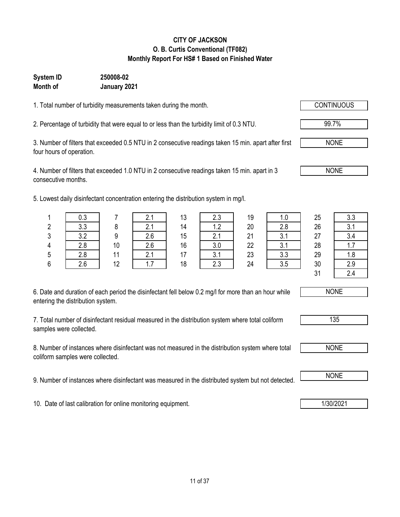### 11 of 37

**CITY OF JACKSON O. B. Curtis Conventional (TF082) Monthly Report For HS# 1 Based on Finished Water**

#### **System ID 250008-02 Month of January 2021**

1. Total number of turbidity measurements taken during the month.

2. Percentage of turbidity that were equal to or less than the turbidity limit of 0.3 NTU.

3. Number of filters that exceeded 0.5 NTU in 2 consecutive readings taken 15 min. apart after first four hours of operation.

4. Number of filters that exceeded 1.0 NTU in 2 consecutive readings taken 15 min. apart in 3 consecutive months.

5. Lowest daily disinfectant concentration entering the distribution system in mg/l.

|                                   | 6. Date and duration of each period the disinfectant fell below 0.2 mg/l for more than an hour while |  |  |  |
|-----------------------------------|------------------------------------------------------------------------------------------------------|--|--|--|
| entering the distribution system. |                                                                                                      |  |  |  |

7. Total number of disinfectant residual measured in the distribution system where total coliform samples were collected.

8. Number of instances where disinfectant was not measured in the distribution system where total coliform samples were collected.

9. Number of instances where disinfectant was measured in the distributed system but not detected. NONE

10. Date of last calibration for online monitoring equipment. 10. Date of last calibration for online monitoring equipment.

|   | 0.3 |    | 2.1 | 13 | 2.3 | 19 | 1.0 | 25 | 3.3        |
|---|-----|----|-----|----|-----|----|-----|----|------------|
| 2 | 3.3 | 8  | 2.1 | 14 | 1.2 | 20 | 2.8 | 26 | 21<br>v. I |
| 3 | 3.2 | 9  | 2.6 | 15 | 2.1 | 21 | 3.1 | 27 | 3.4        |
| 4 | 2.8 | 10 | 2.6 | 16 | 3.0 | 22 | 3.1 | 28 | 1.7        |
| 5 | 2.8 | 11 | 2.1 | 17 | 3.1 | 23 | 3.3 | 29 | 1.8        |
| 6 | 2.6 | 12 | 1.7 | 18 | 2.3 | 24 | 3.5 | 30 | 2.9        |
|   |     |    |     |    |     |    |     | 31 | 2.4        |



| $\sim$<br>ນ |  |
|-------------|--|
|             |  |



99.7%

NONE

NONE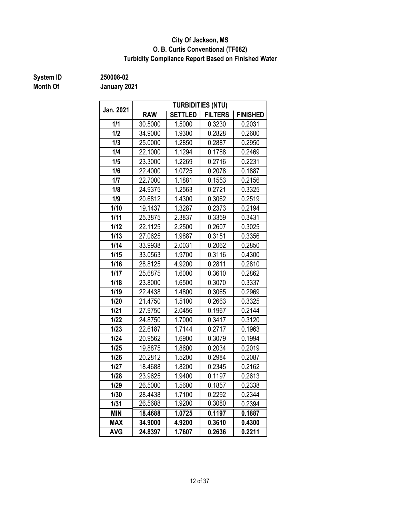#### **O. B. Curtis Conventional (TF082) City Of Jackson, MS Turbidity Compliance Report Based on Finished Water**

# **Month Of**

**System ID 250008-02**

| Jan. 2021  |            |                            | <b>TURBIDITIES (NTU)</b>             |                 |  |
|------------|------------|----------------------------|--------------------------------------|-----------------|--|
|            | <b>RAW</b> | <b>SETTLED</b>             | <b>FILTERS</b>                       | <b>FINISHED</b> |  |
| 1/1        | 30.5000    | 1.5000                     | 0.3230                               | 0.2031          |  |
| 1/2        | 34.9000    | 1.9300                     | 0.2828                               | 0.2600          |  |
| 1/3        | 25.0000    | 1.2850                     | 0.2887                               | 0.2950          |  |
| 1/4        | 22.1000    | 1.1294                     | 0.1788                               | 0.2469          |  |
| 1/5        | 23.3000    | 1.2269                     | 0.2716                               | 0.2231          |  |
| 1/6        | 22.4000    | 1.0725                     | 0.2078                               | 0.1887          |  |
| 1/7        | 22.7000    | 1.1881                     | 0.1553                               | 0.2156          |  |
| 1/8        | 24.9375    | 1.2563                     | 0.2721                               | 0.3325          |  |
| 1/9        | 20.6812    | 1.4300                     | 0.3062                               | 0.2519          |  |
| 1/10       | 19.1437    | 1.3287                     | 0.2373                               | 0.2194          |  |
| 1/11       | 25.3875    | 2.3837                     | 0.3359                               | 0.3431          |  |
| 1/12       | 22.1125    | 2.2500                     | 0.2607                               | 0.3025          |  |
| 1/13       | 27.0625    | 1.9887                     | 0.3151                               | 0.3356          |  |
| 1/14       | 33.9938    | 2.0031                     | 0.2062                               | 0.2850          |  |
| 1/15       | 33.0563    | 1.9700                     | 0.3116                               | 0.4300          |  |
| 1/16       | 28.8125    | 4.9200                     | 0.2811                               | 0.2810          |  |
| 1/17       | 25.6875    | 1.6000<br>1.6500<br>1.4800 | 0.3610                               | 0.2862          |  |
| 1/18       | 23.8000    |                            | 0.3070<br>0.3065<br>0.2663<br>0.1967 | 0.3337          |  |
| 1/19       | 22.4438    |                            |                                      | 0.2969          |  |
| 1/20       | 21.4750    | 1.5100                     |                                      | 0.3325          |  |
| 1/21       | 27.9750    | 2.0456                     |                                      | 0.2144          |  |
| 1/22       | 24.8750    | 1.7000                     | 0.3417                               | 0.3120          |  |
| 1/23       | 22.6187    | 1.7144                     | 0.2717                               | 0.1963          |  |
| 1/24       | 20.9562    | 1.6900                     | 0.3079                               | 0.1994          |  |
| 1/25       | 19.8875    | 1.8600                     | 0.2034                               | 0.2019          |  |
| 1/26       | 20.2812    | 1.5200                     | 0.2984                               | 0.2087          |  |
| 1/27       | 18.4688    | 1.8200                     | 0.2345                               | 0.2162          |  |
| 1/28       | 23.9625    | 1.9400                     | 0.1197                               | 0.2613          |  |
| 1/29       | 26.5000    | 1.5600                     | 0.1857                               | 0.2338          |  |
| 1/30       | 28.4438    | 1.7100                     | 0.2292                               | 0.2344          |  |
| 1/31       | 26.5688    | 1.9200                     | 0.3080                               | 0.2394          |  |
| <b>MIN</b> | 18.4688    | 1.0725                     | 0.1197                               | 0.1887          |  |
| <b>MAX</b> | 34.9000    | 4.9200                     | 0.3610                               | 0.4300          |  |
| <b>AVG</b> | 24.8397    | 1.7607                     | 0.2636                               | 0.2211          |  |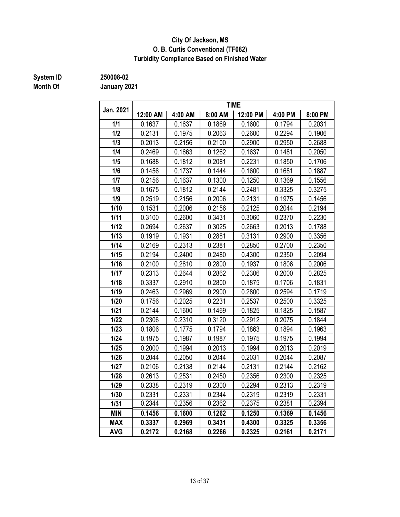#### **City Of Jackson, MS O. B. Curtis Conventional (TF082) Turbidity Compliance Based on Finished Water**

# **Month Of**

**System ID 250008-02**

| Jan. 2021  |          |         |         | <b>TIME</b> |         |         |
|------------|----------|---------|---------|-------------|---------|---------|
|            | 12:00 AM | 4:00 AM | 8:00 AM | 12:00 PM    | 4:00 PM | 8:00 PM |
| 1/1        | 0.1637   | 0.1637  | 0.1869  | 0.1600      | 0.1794  | 0.2031  |
| 1/2        | 0.2131   | 0.1975  | 0.2063  | 0.2600      | 0.2294  | 0.1906  |
| 1/3        | 0.2013   | 0.2156  | 0.2100  | 0.2900      | 0.2950  | 0.2688  |
| 1/4        | 0.2469   | 0.1663  | 0.1262  | 0.1637      | 0.1481  | 0.2050  |
| 1/5        | 0.1688   | 0.1812  | 0.2081  | 0.2231      | 0.1850  | 0.1706  |
| 1/6        | 0.1456   | 0.1737  | 0.1444  | 0.1600      | 0.1681  | 0.1887  |
| 1/7        | 0.2156   | 0.1637  | 0.1300  | 0.1250      | 0.1369  | 0.1556  |
| 1/8        | 0.1675   | 0.1812  | 0.2144  | 0.2481      | 0.3325  | 0.3275  |
| 1/9        | 0.2519   | 0.2156  | 0.2006  | 0.2131      | 0.1975  | 0.1456  |
| 1/10       | 0.1531   | 0.2006  | 0.2156  | 0.2125      | 0.2044  | 0.2194  |
| 1/11       | 0.3100   | 0.2600  | 0.3431  | 0.3060      | 0.2370  | 0.2230  |
| 1/12       | 0.2694   | 0.2637  | 0.3025  | 0.2663      | 0.2013  | 0.1788  |
| 1/13       | 0.1919   | 0.1931  | 0.2881  | 0.3131      | 0.2900  | 0.3356  |
| 1/14       | 0.2169   | 0.2313  | 0.2381  | 0.2850      | 0.2700  | 0.2350  |
| 1/15       | 0.2194   | 0.2400  | 0.2480  | 0.4300      | 0.2350  | 0.2094  |
| 1/16       | 0.2100   | 0.2810  | 0.2800  | 0.1937      | 0.1806  | 0.2006  |
| 1/17       | 0.2313   | 0.2644  | 0.2862  | 0.2306      | 0.2000  | 0.2825  |
| 1/18       | 0.3337   | 0.2910  | 0.2800  | 0.1875      | 0.1706  | 0.1831  |
| 1/19       | 0.2463   | 0.2969  | 0.2900  | 0.2800      |         | 0.1719  |
| 1/20       | 0.1756   | 0.2025  | 0.2231  | 0.2537      | 0.2500  | 0.3325  |
| 1/21       | 0.2144   | 0.1600  | 0.1469  | 0.1825      | 0.1825  | 0.1587  |
| 1/22       | 0.2306   | 0.2310  | 0.3120  | 0.2912      | 0.2075  | 0.1844  |
| 1/23       | 0.1806   | 0.1775  | 0.1794  | 0.1863      | 0.1894  | 0.1963  |
| 1/24       | 0.1975   | 0.1987  | 0.1987  | 0.1975      | 0.1975  | 0.1994  |
| 1/25       | 0.2000   | 0.1994  | 0.2013  | 0.1994      | 0.2013  | 0.2019  |
| 1/26       | 0.2044   | 0.2050  | 0.2044  | 0.2031      | 0.2044  | 0.2087  |
| 1/27       | 0.2106   | 0.2138  | 0.2144  | 0.2131      | 0.2144  | 0.2162  |
| 1/28       | 0.2613   | 0.2531  | 0.2450  | 0.2356      | 0.2300  | 0.2325  |
| 1/29       | 0.2338   | 0.2319  | 0.2300  | 0.2294      | 0.2313  | 0.2319  |
| 1/30       | 0.2331   | 0.2331  | 0.2344  | 0.2319      | 0.2319  | 0.2331  |
| 1/31       | 0.2344   | 0.2356  | 0.2362  | 0.2375      | 0.2381  | 0.2394  |
| <b>MIN</b> | 0.1456   | 0.1600  | 0.1262  | 0.1250      | 0.1369  | 0.1456  |
| <b>MAX</b> | 0.3337   | 0.2969  | 0.3431  | 0.4300      | 0.3325  | 0.3356  |
| <b>AVG</b> | 0.2172   | 0.2168  | 0.2266  | 0.2325      | 0.2161  | 0.2171  |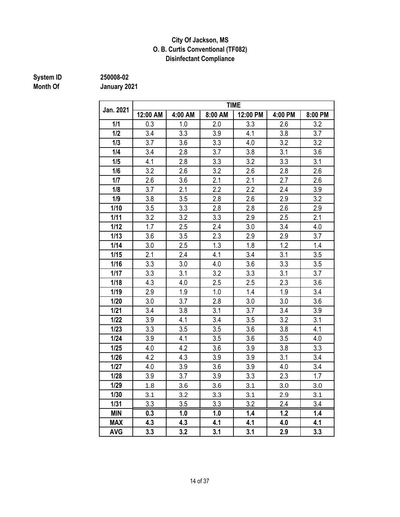#### **Disinfectant Compliance City Of Jackson, MS O. B. Curtis Conventional (TF082)**

# **System ID** 250008-02<br> **Month Of** January 20

**Month Of January 2021**

| Jan. 2021  |          |         |         | <b>TIME</b> |         |         |
|------------|----------|---------|---------|-------------|---------|---------|
|            | 12:00 AM | 4:00 AM | 8:00 AM | 12:00 PM    | 4:00 PM | 8:00 PM |
| 1/1        | 0.3      | 1.0     | 2.0     | 3.3         | 2.6     | 3.2     |
| 1/2        | 3.4      | 3.3     | 3.9     | 4.1         | 3.8     | 3.7     |
| 1/3        | 3.7      | 3.6     | 3.3     | 4.0         | 3.2     | 3.2     |
| 1/4        | 3.4      | 2.8     | 3.7     | 3.8         | 3.1     | 3.6     |
| 1/5        | 4.1      | 2.8     | 3.3     | 3.2         | 3.3     | 3.1     |
| 1/6        | 3.2      | 2.6     | 3.2     | 2.6         | 2.8     | 2.6     |
| 1/7        | 2.6      | 3.6     | 2.1     | 2.1         | 2.7     | 2.6     |
| 1/8        | 3.7      | 2.1     | 2.2     | 2.2         | 2.4     | 3.9     |
| 1/9        | 3.8      | 3.5     | 2.8     | 2.6         | 2.9     | 3.2     |
| 1/10       | 3.5      | 3.3     | 2.8     | 2.8         | 2.6     | 2.9     |
| 1/11       | 3.2      | 3.2     | 3.3     | 2.9         | 2.5     | 2.1     |
| 1/12       | 1.7      | 2.5     | 2.4     | 3.0         | 3.4     | 4.0     |
| 1/13       | 3.6      | 3.5     | 2.3     | 2.9         | 2.9     | 3.7     |
| 1/14       | 3.0      | 2.5     | 1.3     | 1.8         | 1.2     | 1.4     |
| 1/15       | 2.1      | 2.4     | 4.1     | 3.4         | 3.1     | 3.5     |
| 1/16       | 3.3      | 3.0     | 4.0     | 3.6         | 3.3     | 3.5     |
| 1/17       | 3.3      | 3.1     | 3.2     | 3.3         | 3.1     | 3.7     |
| 1/18       | 4.3      | 4.0     | 2.5     | 2.5         | 2.3     | 3.6     |
| 1/19       | 2.9      | 1.9     | 1.0     | 1.4         | 1.9     | 3.4     |
| 1/20       | 3.0      | 3.7     | 2.8     | 3.0         | 3.0     | 3.6     |
| $1/21$     | 3.4      | 3.8     | 3.1     | 3.7         | 3.4     | 3.9     |
| 1/22       | 3.9      | 4.1     | 3.4     | 3.5         | 3.2     | 3.1     |
| 1/23       | 3.3      | 3.5     | 3.5     | 3.6         | 3.8     | 4.1     |
| 1/24       | 3.9      | 4.1     | 3.5     | 3.6         | 3.5     | 4.0     |
| 1/25       | 4.0      | 4.2     | 3.6     | 3.9         | 3.8     | 3.3     |
| 1/26       | 4.2      | 4.3     | 3.9     | 3.9         | 3.1     | 3.4     |
| 1/27       | 4.0      | 3.9     | 3.6     | 3.9         | 4.0     | 3.4     |
| 1/28       | 3.9      | 3.7     | 3.9     | 3.3         | 2.3     | 1.7     |
| 1/29       | 1.8      | 3.6     | 3.6     | 3.1         | 3.0     | 3.0     |
| 1/30       | 3.1      | 3.2     | 3.3     | 3.1         | 2.9     | 3.1     |
| 1/31       | 3.3      | 3.5     | 3.3     | 3.2         | 2.4     | 3.4     |
| <b>MIN</b> | 0.3      | 1.0     | 1.0     | 1.4         | 1.2     | 1.4     |
| <b>MAX</b> | 4.3      | 4.3     | 4.1     | 4.1         | 4.0     | 4.1     |
| <b>AVG</b> | 3.3      | 3.2     | 3.1     | 3.1         | 2.9     | 3.3     |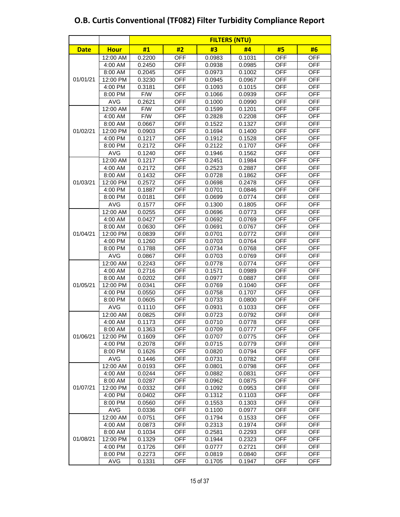|             |             | <b>FILTERS (NTU)</b> |            |        |        |            |            |  |  |  |  |  |  |
|-------------|-------------|----------------------|------------|--------|--------|------------|------------|--|--|--|--|--|--|
| <b>Date</b> | <b>Hour</b> | #1                   | #2         | #3     | #4     | #5         | #6         |  |  |  |  |  |  |
|             | 12:00 AM    | 0.2200               | <b>OFF</b> | 0.0983 | 0.1031 | <b>OFF</b> | <b>OFF</b> |  |  |  |  |  |  |
|             | 4:00 AM     | 0.2450               | <b>OFF</b> | 0.0938 | 0.0985 | <b>OFF</b> | <b>OFF</b> |  |  |  |  |  |  |
|             | 8:00 AM     | 0.2045               | <b>OFF</b> | 0.0973 | 0.1002 | <b>OFF</b> | <b>OFF</b> |  |  |  |  |  |  |
| 01/01/21    | 12:00 PM    | 0.3230               | <b>OFF</b> | 0.0945 | 0.0967 | <b>OFF</b> | <b>OFF</b> |  |  |  |  |  |  |
|             | 4:00 PM     | 0.3181               | <b>OFF</b> | 0.1093 | 0.1015 | <b>OFF</b> | <b>OFF</b> |  |  |  |  |  |  |
|             | 8:00 PM     | F/W                  | <b>OFF</b> | 0.1066 | 0.0939 | <b>OFF</b> | <b>OFF</b> |  |  |  |  |  |  |
|             | <b>AVG</b>  | 0.2621               | <b>OFF</b> | 0.1000 | 0.0990 | <b>OFF</b> | <b>OFF</b> |  |  |  |  |  |  |
|             | 12:00 AM    | F/W                  | <b>OFF</b> | 0.1599 | 0.1201 | <b>OFF</b> | <b>OFF</b> |  |  |  |  |  |  |
|             | 4:00 AM     | F/W                  | <b>OFF</b> | 0.2828 | 0.2208 | <b>OFF</b> | <b>OFF</b> |  |  |  |  |  |  |
|             | 8:00 AM     | 0.0667               | <b>OFF</b> | 0.1522 | 0.1327 | <b>OFF</b> | <b>OFF</b> |  |  |  |  |  |  |
| 01/02/21    | 12:00 PM    | 0.0903               | <b>OFF</b> | 0.1694 | 0.1400 | <b>OFF</b> | <b>OFF</b> |  |  |  |  |  |  |
|             | 4:00 PM     | 0.1217               | <b>OFF</b> | 0.1912 | 0.1528 | <b>OFF</b> | <b>OFF</b> |  |  |  |  |  |  |
|             | 8:00 PM     | 0.2172               | <b>OFF</b> | 0.2122 | 0.1707 | <b>OFF</b> | <b>OFF</b> |  |  |  |  |  |  |
|             | <b>AVG</b>  | 0.1240               | <b>OFF</b> | 0.1946 | 0.1562 | <b>OFF</b> | <b>OFF</b> |  |  |  |  |  |  |
|             | 12:00 AM    | 0.1217               | <b>OFF</b> | 0.2451 | 0.1984 | <b>OFF</b> | <b>OFF</b> |  |  |  |  |  |  |
|             | 4:00 AM     | 0.2172               | <b>OFF</b> | 0.2523 | 0.2887 | <b>OFF</b> | <b>OFF</b> |  |  |  |  |  |  |
|             | 8:00 AM     | 0.1432               | <b>OFF</b> | 0.0728 | 0.1862 | <b>OFF</b> | <b>OFF</b> |  |  |  |  |  |  |
| 01/03/21    | 12:00 PM    | 0.2572               | <b>OFF</b> | 0.0698 | 0.2478 | <b>OFF</b> | <b>OFF</b> |  |  |  |  |  |  |
|             | 4:00 PM     | 0.1887               | <b>OFF</b> | 0.0701 | 0.0846 | <b>OFF</b> | <b>OFF</b> |  |  |  |  |  |  |
|             | 8:00 PM     | 0.0181               | <b>OFF</b> | 0.0699 | 0.0774 | <b>OFF</b> | <b>OFF</b> |  |  |  |  |  |  |
|             | <b>AVG</b>  | 0.1577               | <b>OFF</b> | 0.1300 | 0.1805 | <b>OFF</b> | <b>OFF</b> |  |  |  |  |  |  |
|             | 12:00 AM    | 0.0255               | <b>OFF</b> | 0.0696 | 0.0773 | <b>OFF</b> | <b>OFF</b> |  |  |  |  |  |  |
|             | 4:00 AM     | 0.0427               | <b>OFF</b> | 0.0692 | 0.0769 | <b>OFF</b> | <b>OFF</b> |  |  |  |  |  |  |
|             | 8:00 AM     | 0.0630               | <b>OFF</b> | 0.0691 | 0.0767 | <b>OFF</b> | <b>OFF</b> |  |  |  |  |  |  |
| 01/04/21    | 12:00 PM    | 0.0839               | OFF        | 0.0701 | 0.0772 | <b>OFF</b> | <b>OFF</b> |  |  |  |  |  |  |
|             | 4:00 PM     | 0.1260               | <b>OFF</b> | 0.0703 | 0.0764 | <b>OFF</b> | <b>OFF</b> |  |  |  |  |  |  |
|             | 8:00 PM     | 0.1788               | <b>OFF</b> | 0.0734 | 0.0768 | <b>OFF</b> | <b>OFF</b> |  |  |  |  |  |  |
|             | <b>AVG</b>  | 0.0867               | <b>OFF</b> | 0.0703 | 0.0769 | <b>OFF</b> | <b>OFF</b> |  |  |  |  |  |  |
|             | 12:00 AM    | 0.2243               | <b>OFF</b> | 0.0778 | 0.0774 | <b>OFF</b> | <b>OFF</b> |  |  |  |  |  |  |
|             | 4:00 AM     | 0.2716               | <b>OFF</b> | 0.1571 | 0.0989 | <b>OFF</b> | <b>OFF</b> |  |  |  |  |  |  |
|             | 8:00 AM     | 0.0202               | <b>OFF</b> | 0.0977 | 0.0887 | <b>OFF</b> | <b>OFF</b> |  |  |  |  |  |  |
| 01/05/21    | 12:00 PM    | 0.0341               | <b>OFF</b> | 0.0769 | 0.1040 | <b>OFF</b> | <b>OFF</b> |  |  |  |  |  |  |
|             | 4:00 PM     | 0.0550               | <b>OFF</b> | 0.0758 | 0.1707 | <b>OFF</b> | <b>OFF</b> |  |  |  |  |  |  |
|             | 8:00 PM     | 0.0605               | <b>OFF</b> | 0.0733 | 0.0800 | <b>OFF</b> | <b>OFF</b> |  |  |  |  |  |  |
|             | <b>AVG</b>  | 0.1110               | <b>OFF</b> | 0.0931 | 0.1033 | <b>OFF</b> | <b>OFF</b> |  |  |  |  |  |  |
|             | 12:00 AM    | 0.0825               | <b>OFF</b> | 0.0723 | 0.0792 | <b>OFF</b> | <b>OFF</b> |  |  |  |  |  |  |
|             | 4:00 AM     | 0.1173               | <b>OFF</b> | 0.0710 | 0.0778 | <b>OFF</b> | <b>OFF</b> |  |  |  |  |  |  |
|             | 8:00 AM     | 0.1363               | <b>OFF</b> | 0.0709 | 0.0777 | <b>OFF</b> | <b>OFF</b> |  |  |  |  |  |  |
| 01/06/21    | 12:00 PM    | 0.1609               | <b>OFF</b> | 0.0707 | 0.0775 | <b>OFF</b> | <b>OFF</b> |  |  |  |  |  |  |
|             | 4:00 PM     | 0.2078               | OFF        | 0.0715 | 0.0779 | <b>OFF</b> | OFF        |  |  |  |  |  |  |
|             | 8:00 PM     | 0.1626               | OFF        | 0.0820 | 0.0794 | OFF        | OFF        |  |  |  |  |  |  |
|             | <b>AVG</b>  | 0.1446               | <b>OFF</b> | 0.0731 | 0.0782 | <b>OFF</b> | <b>OFF</b> |  |  |  |  |  |  |
|             | 12:00 AM    | 0.0193               | <b>OFF</b> | 0.0801 | 0.0798 | <b>OFF</b> | <b>OFF</b> |  |  |  |  |  |  |
|             | 4:00 AM     | 0.0244               | <b>OFF</b> | 0.0882 | 0.0831 | <b>OFF</b> | <b>OFF</b> |  |  |  |  |  |  |
|             | 8:00 AM     | 0.0287               | <b>OFF</b> | 0.0962 | 0.0875 | <b>OFF</b> | <b>OFF</b> |  |  |  |  |  |  |
| 01/07/21    | 12:00 PM    | 0.0332               | <b>OFF</b> | 0.1092 | 0.0953 | <b>OFF</b> | <b>OFF</b> |  |  |  |  |  |  |
|             | 4:00 PM     | 0.0402               | OFF        | 0.1312 | 0.1103 | OFF        | <b>OFF</b> |  |  |  |  |  |  |
|             | 8:00 PM     | 0.0560               | OFF        | 0.1553 | 0.1303 | OFF        | <b>OFF</b> |  |  |  |  |  |  |
|             | <b>AVG</b>  | 0.0336               | <b>OFF</b> | 0.1100 | 0.0977 | OFF        | <b>OFF</b> |  |  |  |  |  |  |
|             | 12:00 AM    | 0.0751               | <b>OFF</b> | 0.1794 | 0.1533 | OFF        | <b>OFF</b> |  |  |  |  |  |  |
|             | 4:00 AM     | 0.0873               | <b>OFF</b> | 0.2313 | 0.1974 | <b>OFF</b> | <b>OFF</b> |  |  |  |  |  |  |
|             | 8:00 AM     | 0.1034               | <b>OFF</b> | 0.2581 | 0.2293 | <b>OFF</b> | <b>OFF</b> |  |  |  |  |  |  |
| 01/08/21    | 12:00 PM    | 0.1329               | <b>OFF</b> | 0.1944 | 0.2323 | <b>OFF</b> | <b>OFF</b> |  |  |  |  |  |  |
|             | 4:00 PM     | 0.1726               | <b>OFF</b> | 0.0777 | 0.2721 | <b>OFF</b> | <b>OFF</b> |  |  |  |  |  |  |
|             | 8:00 PM     | 0.2273               | OFF        | 0.0819 | 0.0840 | <b>OFF</b> | OFF        |  |  |  |  |  |  |
|             | <b>AVG</b>  | 0.1331               | <b>OFF</b> | 0.1705 | 0.1947 | OFF        | <b>OFF</b> |  |  |  |  |  |  |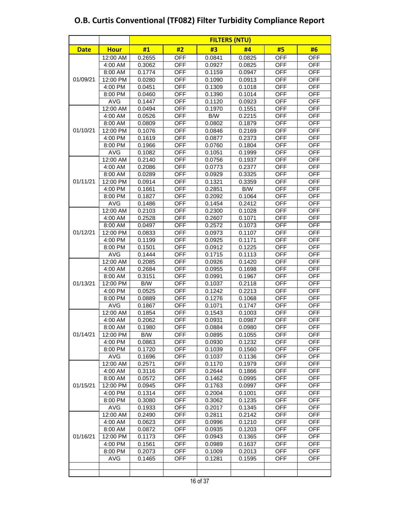|             |                    | <b>FILTERS (NTU)</b> |                   |                  |                  |                          |                          |  |  |  |  |  |  |
|-------------|--------------------|----------------------|-------------------|------------------|------------------|--------------------------|--------------------------|--|--|--|--|--|--|
| <b>Date</b> | <b>Hour</b>        | #1                   | #2                | #3               | #4               | #5                       | #6                       |  |  |  |  |  |  |
|             | 12:00 AM           | 0.2655               | <b>OFF</b>        | 0.0841           | 0.0825           | <b>OFF</b>               | <b>OFF</b>               |  |  |  |  |  |  |
|             | 4:00 AM            | 0.3062               | OFF               | 0.0927           | 0.0825           | <b>OFF</b>               | <b>OFF</b>               |  |  |  |  |  |  |
|             | 8:00 AM            | 0.1774               | <b>OFF</b>        | 0.1159           | 0.0947           | <b>OFF</b>               | <b>OFF</b>               |  |  |  |  |  |  |
| 01/09/21    | 12:00 PM           | 0.0280               | <b>OFF</b>        | 0.1090           | 0.0913           | <b>OFF</b>               | <b>OFF</b>               |  |  |  |  |  |  |
|             | 4:00 PM            | 0.0451               | <b>OFF</b>        | 0.1309           | 0.1018           | <b>OFF</b>               | <b>OFF</b>               |  |  |  |  |  |  |
|             | 8:00 PM            | 0.0460               | <b>OFF</b>        | 0.1390           | 0.1014           | <b>OFF</b>               | <b>OFF</b>               |  |  |  |  |  |  |
|             | <b>AVG</b>         | 0.1447               | <b>OFF</b>        | 0.1120           | 0.0923           | <b>OFF</b>               | <b>OFF</b>               |  |  |  |  |  |  |
|             | 12:00 AM           | 0.0494               | <b>OFF</b>        | 0.1970           | 0.1551           | <b>OFF</b>               | <b>OFF</b>               |  |  |  |  |  |  |
|             | 4:00 AM            | 0.0526               | <b>OFF</b>        | B/W              | 0.2215           | <b>OFF</b>               | <b>OFF</b>               |  |  |  |  |  |  |
|             | 8:00 AM            | 0.0809               | <b>OFF</b>        | 0.0802           | 0.1879           | <b>OFF</b>               | <b>OFF</b>               |  |  |  |  |  |  |
| 01/10/21    | 12:00 PM           | 0.1076               | <b>OFF</b>        | 0.0846           | 0.2169           | <b>OFF</b>               | <b>OFF</b>               |  |  |  |  |  |  |
|             | 4:00 PM            | 0.1619               | <b>OFF</b>        | 0.0877           | 0.2373           | <b>OFF</b>               | <b>OFF</b>               |  |  |  |  |  |  |
|             | 8:00 PM            | 0.1966               | <b>OFF</b>        | 0.0760           | 0.1804           | <b>OFF</b>               | <b>OFF</b>               |  |  |  |  |  |  |
|             | <b>AVG</b>         | 0.1082               | <b>OFF</b>        | 0.1051           | 0.1999           | <b>OFF</b>               | <b>OFF</b>               |  |  |  |  |  |  |
|             | 12:00 AM           | 0.2140               | <b>OFF</b>        | 0.0756           | 0.1937           | <b>OFF</b>               | <b>OFF</b>               |  |  |  |  |  |  |
|             | 4:00 AM            | 0.2086               | OFF               | 0.0773           | 0.2377           | <b>OFF</b>               | <b>OFF</b>               |  |  |  |  |  |  |
|             | 8:00 AM            | 0.0289               | <b>OFF</b>        | 0.0929           | 0.3325           | <b>OFF</b>               | <b>OFF</b>               |  |  |  |  |  |  |
| 01/11/21    | 12:00 PM           | 0.0914               | <b>OFF</b>        | 0.1321           | 0.3359           | <b>OFF</b>               | <b>OFF</b>               |  |  |  |  |  |  |
|             | 4:00 PM            | 0.1661               | <b>OFF</b>        | 0.2851           | B/W              | <b>OFF</b>               | <b>OFF</b>               |  |  |  |  |  |  |
|             | 8:00 PM            | 0.1827               | <b>OFF</b>        | 0.2092           | 0.1064           | <b>OFF</b>               | <b>OFF</b>               |  |  |  |  |  |  |
|             | <b>AVG</b>         | 0.1486               | <b>OFF</b>        | 0.1454           | 0.2412           | <b>OFF</b>               | <b>OFF</b>               |  |  |  |  |  |  |
|             | 12:00 AM           | 0.2103               | <b>OFF</b>        | 0.2300           | 0.1028           | <b>OFF</b>               | <b>OFF</b>               |  |  |  |  |  |  |
|             | 4:00 AM            | 0.2528               | OFF               | 0.2607           | 0.1071           | <b>OFF</b>               | <b>OFF</b>               |  |  |  |  |  |  |
|             | 8:00 AM            | 0.0497               | OFF               | 0.2572           | 0.1073           | <b>OFF</b>               | <b>OFF</b>               |  |  |  |  |  |  |
| 01/12/21    | 12:00 PM           | 0.0833               | <b>OFF</b>        | 0.0973           | 0.1107           | <b>OFF</b>               | <b>OFF</b>               |  |  |  |  |  |  |
|             | 4:00 PM            | 0.1199               | <b>OFF</b>        | 0.0925           | 0.1171           | <b>OFF</b>               | <b>OFF</b>               |  |  |  |  |  |  |
|             | 8:00 PM            | 0.1501               | <b>OFF</b>        | 0.0912           | 0.1225           | <b>OFF</b>               | <b>OFF</b>               |  |  |  |  |  |  |
|             | <b>AVG</b>         | 0.1444               | <b>OFF</b>        | 0.1715           | 0.1113           | <b>OFF</b>               | <b>OFF</b>               |  |  |  |  |  |  |
|             | 12:00 AM           | 0.2085               | <b>OFF</b>        | 0.0926           | 0.1420           | <b>OFF</b>               | <b>OFF</b>               |  |  |  |  |  |  |
|             | 4:00 AM            | 0.2684               | OFF               | 0.0955           | 0.1698           | <b>OFF</b>               | <b>OFF</b>               |  |  |  |  |  |  |
|             | 8:00 AM            | 0.3151               | <b>OFF</b>        | 0.0991           | 0.1967           | <b>OFF</b>               | <b>OFF</b>               |  |  |  |  |  |  |
| 01/13/21    | 12:00 PM           | B/W                  | <b>OFF</b>        | 0.1037           | 0.2118           | <b>OFF</b>               | <b>OFF</b>               |  |  |  |  |  |  |
|             | 4:00 PM            | 0.0525               | <b>OFF</b>        | 0.1242           | 0.2213           | <b>OFF</b>               | <b>OFF</b>               |  |  |  |  |  |  |
|             | 8:00 PM            | 0.0889               | <b>OFF</b>        | 0.1276           | 0.1068           | <b>OFF</b>               | <b>OFF</b>               |  |  |  |  |  |  |
|             | <b>AVG</b>         | 0.1867               | <b>OFF</b>        | 0.1071           | 0.1747           | <b>OFF</b>               | <b>OFF</b>               |  |  |  |  |  |  |
|             | 12:00 AM           | 0.1854               | <b>OFF</b>        | 0.1543           | 0.1003           | <b>OFF</b>               | <b>OFF</b>               |  |  |  |  |  |  |
|             | 4:00 AM<br>8:00 AM | 0.2062<br>0.1980     | OFF<br><b>OFF</b> | 0.0931<br>0.0884 | 0.0987<br>0.0980 | <b>OFF</b><br><b>OFF</b> | <b>OFF</b><br><b>OFF</b> |  |  |  |  |  |  |
| 01/14/21    | 12:00 PM           | B/W                  | <b>OFF</b>        |                  |                  | <b>OFF</b>               | <b>OFF</b>               |  |  |  |  |  |  |
|             | 4:00 PM            | 0.0863               | OFF               | 0.0895<br>0.0930 | 0.1055<br>0.1232 | OFF                      | <b>OFF</b>               |  |  |  |  |  |  |
|             | 8:00 PM            | 0.1720               | OFF               | 0.1039           | 0.1560           | <b>OFF</b>               | <b>OFF</b>               |  |  |  |  |  |  |
|             | AVG                | 0.1696               | <b>OFF</b>        | 0.1037           | 0.1136           | <b>OFF</b>               | <b>OFF</b>               |  |  |  |  |  |  |
|             | 12:00 AM           | 0.2571               | <b>OFF</b>        | 0.1170           | 0.1979           | <b>OFF</b>               | OFF                      |  |  |  |  |  |  |
|             | 4:00 AM            | 0.3116               | <b>OFF</b>        | 0.2644           | 0.1866           | <b>OFF</b>               | <b>OFF</b>               |  |  |  |  |  |  |
|             | 8:00 AM            | 0.0572               | <b>OFF</b>        | 0.1462           | 0.0995           | <b>OFF</b>               | OFF                      |  |  |  |  |  |  |
| 01/15/21    | 12:00 PM           | 0.0945               | <b>OFF</b>        | 0.1763           | 0.0997           | <b>OFF</b>               | <b>OFF</b>               |  |  |  |  |  |  |
|             | 4:00 PM            | 0.1314               | <b>OFF</b>        | 0.2004           | 0.1001           | <b>OFF</b>               | <b>OFF</b>               |  |  |  |  |  |  |
|             | 8:00 PM            | 0.3080               | OFF               | 0.3062           | 0.1235           | <b>OFF</b>               | OFF                      |  |  |  |  |  |  |
|             | <b>AVG</b>         | 0.1933               | <b>OFF</b>        | 0.2017           | 0.1345           | <b>OFF</b>               | <b>OFF</b>               |  |  |  |  |  |  |
|             | 12:00 AM           | 0.2490               | <b>OFF</b>        | 0.2811           | 0.2142           | <b>OFF</b>               | <b>OFF</b>               |  |  |  |  |  |  |
|             | 4:00 AM            | 0.0623               | OFF               | 0.0996           | 0.1210           | OFF                      | OFF                      |  |  |  |  |  |  |
|             | 8:00 AM            | 0.0872               | OFF               | 0.0935           | 0.1203           | OFF                      | OFF                      |  |  |  |  |  |  |
| 01/16/21    | 12:00 PM           | 0.1173               | OFF               | 0.0943           | 0.1365           | <b>OFF</b>               | <b>OFF</b>               |  |  |  |  |  |  |
|             | 4:00 PM            | 0.1561               | <b>OFF</b>        | 0.0989           | 0.1637           | <b>OFF</b>               | <b>OFF</b>               |  |  |  |  |  |  |
|             | 8:00 PM            | 0.2073               | OFF               | 0.1009           | 0.2013           | <b>OFF</b>               | <b>OFF</b>               |  |  |  |  |  |  |
|             | AVG                | 0.1465               | <b>OFF</b>        | 0.1281           | 0.1595           | <b>OFF</b>               | <b>OFF</b>               |  |  |  |  |  |  |
|             |                    |                      |                   |                  |                  |                          |                          |  |  |  |  |  |  |
|             |                    |                      |                   |                  |                  |                          |                          |  |  |  |  |  |  |
|             |                    |                      |                   |                  |                  |                          |                          |  |  |  |  |  |  |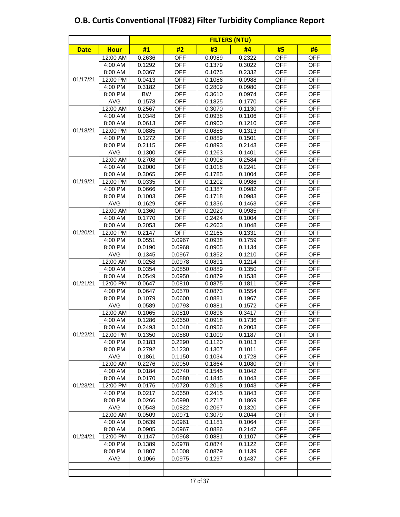|             |                    |                  | <b>FILTERS (NTU)</b> |                  |                  |                          |                          |  |  |  |  |  |  |  |
|-------------|--------------------|------------------|----------------------|------------------|------------------|--------------------------|--------------------------|--|--|--|--|--|--|--|
| <b>Date</b> | <b>Hour</b>        | #1               | #2                   | #3               | #4               | #5                       | #6                       |  |  |  |  |  |  |  |
|             | 12:00 AM           | 0.2636           | <b>OFF</b>           | 0.0989           | 0.2322           | <b>OFF</b>               | <b>OFF</b>               |  |  |  |  |  |  |  |
|             | 4:00 AM            | 0.1292           | OFF                  | 0.1379           | 0.3022           | <b>OFF</b>               | <b>OFF</b>               |  |  |  |  |  |  |  |
|             | 8:00 AM            | 0.0367           | <b>OFF</b>           | 0.1075           | 0.2332           | <b>OFF</b>               | <b>OFF</b>               |  |  |  |  |  |  |  |
| 01/17/21    | 12:00 PM           | 0.0413           | <b>OFF</b>           | 0.1086           | 0.0988           | <b>OFF</b>               | <b>OFF</b>               |  |  |  |  |  |  |  |
|             | 4:00 PM            | 0.3182           | <b>OFF</b>           | 0.2809           | 0.0980           | <b>OFF</b>               | <b>OFF</b>               |  |  |  |  |  |  |  |
|             | 8:00 PM            | <b>BW</b>        | <b>OFF</b>           | 0.3610           | 0.0974           | <b>OFF</b>               | <b>OFF</b>               |  |  |  |  |  |  |  |
|             | <b>AVG</b>         | 0.1578           | <b>OFF</b>           | 0.1825           | 0.1770           | <b>OFF</b>               | <b>OFF</b>               |  |  |  |  |  |  |  |
|             | 12:00 AM           | 0.2567           | <b>OFF</b>           | 0.3070           | 0.1130           | <b>OFF</b>               | <b>OFF</b>               |  |  |  |  |  |  |  |
|             | 4:00 AM            | 0.0348           | <b>OFF</b>           | 0.0938           | 0.1106           | <b>OFF</b>               | <b>OFF</b>               |  |  |  |  |  |  |  |
|             | 8:00 AM            | 0.0613           | OFF                  | 0.0900           | 0.1210           | <b>OFF</b>               | OFF                      |  |  |  |  |  |  |  |
| 01/18/21    | 12:00 PM           | 0.0885           | <b>OFF</b>           | 0.0888           | 0.1313           | <b>OFF</b>               | <b>OFF</b>               |  |  |  |  |  |  |  |
|             | 4:00 PM            | 0.1272           | <b>OFF</b>           | 0.0889           | 0.1501           | OFF                      | <b>OFF</b>               |  |  |  |  |  |  |  |
|             | 8:00 PM            | 0.2115           | <b>OFF</b>           | 0.0893           | 0.2143           | <b>OFF</b>               | <b>OFF</b>               |  |  |  |  |  |  |  |
|             | <b>AVG</b>         | 0.1300           | <b>OFF</b>           | 0.1263           | 0.1401           | <b>OFF</b>               | <b>OFF</b>               |  |  |  |  |  |  |  |
|             | 12:00 AM           | 0.2708           | <b>OFF</b>           | 0.0908           | 0.2584           | <b>OFF</b>               | <b>OFF</b>               |  |  |  |  |  |  |  |
|             | 4:00 AM            | 0.2000           | <b>OFF</b>           | 0.1018           | 0.2241           | <b>OFF</b>               | OFF                      |  |  |  |  |  |  |  |
|             | 8:00 AM            | 0.3065           | OFF                  | 0.1785           | 0.1004           | <b>OFF</b>               | <b>OFF</b>               |  |  |  |  |  |  |  |
| 01/19/21    | 12:00 PM           | 0.0335           | <b>OFF</b>           | 0.1202           | 0.0986           | <b>OFF</b>               | <b>OFF</b>               |  |  |  |  |  |  |  |
|             | 4:00 PM            | 0.0666           | <b>OFF</b>           | 0.1387           | 0.0982           | <b>OFF</b>               | <b>OFF</b>               |  |  |  |  |  |  |  |
|             | 8:00 PM            | 0.1003           | <b>OFF</b>           | 0.1718           | 0.0983           | <b>OFF</b>               | <b>OFF</b>               |  |  |  |  |  |  |  |
|             | <b>AVG</b>         | 0.1629           | <b>OFF</b>           | 0.1336           | 0.1463           | <b>OFF</b>               | <b>OFF</b>               |  |  |  |  |  |  |  |
|             | 12:00 AM           | 0.1360           | <b>OFF</b>           | 0.2020           | 0.0985           | <b>OFF</b>               | <b>OFF</b>               |  |  |  |  |  |  |  |
|             | 4:00 AM            | 0.1770           | <b>OFF</b>           | 0.2424           | 0.1004           | <b>OFF</b>               | <b>OFF</b>               |  |  |  |  |  |  |  |
|             | 8:00 AM            | 0.2053           | <b>OFF</b>           | 0.2663           | 0.1048           | <b>OFF</b>               | <b>OFF</b>               |  |  |  |  |  |  |  |
| 01/20/21    | 12:00 PM           | 0.2147           | <b>OFF</b>           | 0.2165           | 0.1331           | <b>OFF</b>               | <b>OFF</b>               |  |  |  |  |  |  |  |
|             | 4:00 PM            | 0.0551           | 0.0967               | 0.0938           | 0.1759           | <b>OFF</b>               | <b>OFF</b>               |  |  |  |  |  |  |  |
|             | 8:00 PM            | 0.0190           | 0.0968               | 0.0905           | 0.1134           | <b>OFF</b>               | <b>OFF</b>               |  |  |  |  |  |  |  |
|             | <b>AVG</b>         | 0.1345           | 0.0967               | 0.1852           | 0.1210           | <b>OFF</b>               | <b>OFF</b>               |  |  |  |  |  |  |  |
|             | 12:00 AM           | 0.0258           | 0.0978               | 0.0891           | 0.1214           | <b>OFF</b><br><b>OFF</b> | <b>OFF</b><br><b>OFF</b> |  |  |  |  |  |  |  |
|             | 4:00 AM<br>8:00 AM | 0.0354<br>0.0549 | 0.0850<br>0.0950     | 0.0889<br>0.0879 | 0.1350<br>0.1538 | <b>OFF</b>               | <b>OFF</b>               |  |  |  |  |  |  |  |
| 01/21/21    | 12:00 PM           | 0.0647           | 0.0810               | 0.0875           | 0.1811           | <b>OFF</b>               | <b>OFF</b>               |  |  |  |  |  |  |  |
|             | 4:00 PM            | 0.0647           | 0.0570               | 0.0873           | 0.1554           | <b>OFF</b>               | <b>OFF</b>               |  |  |  |  |  |  |  |
|             | 8:00 PM            | 0.1079           | 0.0600               | 0.0881           | 0.1967           | <b>OFF</b>               | <b>OFF</b>               |  |  |  |  |  |  |  |
|             | <b>AVG</b>         | 0.0589           | 0.0793               | 0.0881           | 0.1572           | <b>OFF</b>               | <b>OFF</b>               |  |  |  |  |  |  |  |
|             | 12:00 AM           | 0.1065           | 0.0810               | 0.0896           | 0.3417           | <b>OFF</b>               | <b>OFF</b>               |  |  |  |  |  |  |  |
|             | 4:00 AM            | 0.1286           | 0.0650               | 0.0918           | 0.1736           | <b>OFF</b>               | <b>OFF</b>               |  |  |  |  |  |  |  |
|             | 8:00 AM            | 0.2493           | 0.1040               | 0.0956           | 0.2003           | <b>OFF</b>               | OFF                      |  |  |  |  |  |  |  |
| 01/22/21    | 12:00 PM           | 0.1350           | 0.0880               | 0.1009           | 0.1187           | <b>OFF</b>               | <b>OFF</b>               |  |  |  |  |  |  |  |
|             | 4:00 PM            | 0.2183           | 0.2290               | 0.1120           | 0.1013           | <b>OFF</b>               | OFF                      |  |  |  |  |  |  |  |
|             | 8:00 PM            | 0.2792           | 0.1230               | 0.1307           | 0.1011           | <b>OFF</b>               | <b>OFF</b>               |  |  |  |  |  |  |  |
|             | AVG                | 0.1861           | 0.1150               | 0.1034           | 0.1728           | <b>OFF</b>               | OFF                      |  |  |  |  |  |  |  |
|             | 12:00 AM           | 0.2276           | 0.0950               | 0.1864           | 0.1080           | <b>OFF</b>               | <b>OFF</b>               |  |  |  |  |  |  |  |
|             | 4:00 AM            | 0.0184           | 0.0740               | 0.1545           | 0.1042           | <b>OFF</b>               | OFF                      |  |  |  |  |  |  |  |
|             | 8:00 AM            | 0.0170           | 0.0880               | 0.1845           | 0.1043           | OFF                      | OFF                      |  |  |  |  |  |  |  |
| 01/23/21    | 12:00 PM           | 0.0176           | 0.0720               | 0.2018           | 0.1043           | OFF                      | OFF                      |  |  |  |  |  |  |  |
|             | 4:00 PM            | 0.0217           | 0.0650               | 0.2415           | 0.1843           | <b>OFF</b>               | <b>OFF</b>               |  |  |  |  |  |  |  |
|             | 8:00 PM            | 0.0266           | 0.0990               | 0.2717           | 0.1869           | <b>OFF</b>               | <b>OFF</b>               |  |  |  |  |  |  |  |
|             | <b>AVG</b>         | 0.0548           | 0.0822               | 0.2067           | 0.1320           | <b>OFF</b>               | OFF                      |  |  |  |  |  |  |  |
|             | 12:00 AM           | 0.0509           | 0.0971               | 0.3079           | 0.2044           | <b>OFF</b>               | <b>OFF</b>               |  |  |  |  |  |  |  |
|             | 4:00 AM            | 0.0639           | 0.0961               | 0.1181           | 0.1064           | <b>OFF</b>               | <b>OFF</b>               |  |  |  |  |  |  |  |
|             | 8:00 AM            | 0.0905           | 0.0967               | 0.0886           | 0.2147           | <b>OFF</b>               | OFF                      |  |  |  |  |  |  |  |
| 01/24/21    | 12:00 PM           | 0.1147           | 0.0968               | 0.0881           | 0.1107           | <b>OFF</b>               | OFF                      |  |  |  |  |  |  |  |
|             | 4:00 PM            | 0.1389           | 0.0978               | 0.0874           | 0.1122           | <b>OFF</b>               | <b>OFF</b>               |  |  |  |  |  |  |  |
|             | 8:00 PM            | 0.1807           | 0.1008               | 0.0879           | 0.1139           | <b>OFF</b>               | OFF                      |  |  |  |  |  |  |  |
|             | AVG                | 0.1066           | 0.0975               | 0.1297           | 0.1437           | <b>OFF</b>               | <b>OFF</b>               |  |  |  |  |  |  |  |
|             |                    |                  |                      |                  |                  |                          |                          |  |  |  |  |  |  |  |
|             |                    |                  |                      |                  |                  |                          |                          |  |  |  |  |  |  |  |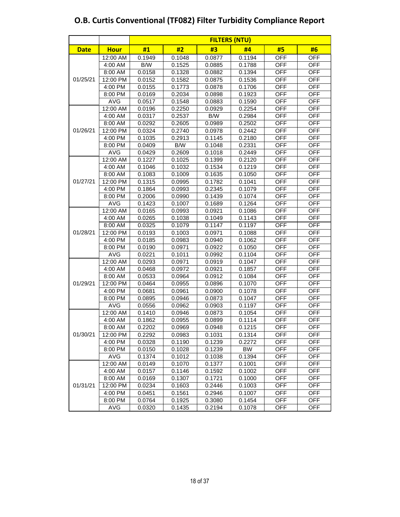|             |             | <b>FILTERS (NTU)</b> |        |        |        |            |            |  |  |  |  |  |
|-------------|-------------|----------------------|--------|--------|--------|------------|------------|--|--|--|--|--|
| <b>Date</b> | <b>Hour</b> | #1                   | #2     | #3     | #4     | #5         | #6         |  |  |  |  |  |
|             | 12:00 AM    | 0.1949               | 0.1048 | 0.0877 | 0.1194 | <b>OFF</b> | <b>OFF</b> |  |  |  |  |  |
|             | 4:00 AM     | B/W                  | 0.1525 | 0.0885 | 0.1788 | <b>OFF</b> | <b>OFF</b> |  |  |  |  |  |
|             | 8:00 AM     | 0.0158               | 0.1328 | 0.0882 | 0.1394 | <b>OFF</b> | <b>OFF</b> |  |  |  |  |  |
| 01/25/21    | 12:00 PM    | 0.0152               | 0.1582 | 0.0875 | 0.1536 | <b>OFF</b> | <b>OFF</b> |  |  |  |  |  |
|             | 4:00 PM     | 0.0155               | 0.1773 | 0.0878 | 0.1706 | <b>OFF</b> | <b>OFF</b> |  |  |  |  |  |
|             | 8:00 PM     | 0.0169               | 0.2034 | 0.0898 | 0.1923 | <b>OFF</b> | <b>OFF</b> |  |  |  |  |  |
|             | AVG         | 0.0517               | 0.1548 | 0.0883 | 0.1590 | <b>OFF</b> | <b>OFF</b> |  |  |  |  |  |
|             | 12:00 AM    | 0.0196               | 0.2250 | 0.0929 | 0.2254 | <b>OFF</b> | <b>OFF</b> |  |  |  |  |  |
|             | 4:00 AM     | 0.0317               | 0.2537 | B/W    | 0.2984 | <b>OFF</b> | <b>OFF</b> |  |  |  |  |  |
|             | 8:00 AM     | 0.0292               | 0.2605 | 0.0989 | 0.2502 | <b>OFF</b> | <b>OFF</b> |  |  |  |  |  |
| 01/26/21    | 12:00 PM    | 0.0324               | 0.2740 | 0.0978 | 0.2442 | <b>OFF</b> | <b>OFF</b> |  |  |  |  |  |
|             | 4:00 PM     | 0.1035               | 0.2913 | 0.1145 | 0.2180 | <b>OFF</b> | <b>OFF</b> |  |  |  |  |  |
|             | 8:00 PM     | 0.0409               | B/W    | 0.1048 | 0.2331 | <b>OFF</b> | <b>OFF</b> |  |  |  |  |  |
|             | AVG         | 0.0429               | 0.2609 | 0.1018 | 0.2449 | <b>OFF</b> | <b>OFF</b> |  |  |  |  |  |
|             | 12:00 AM    | 0.1227               | 0.1025 | 0.1399 | 0.2120 | <b>OFF</b> | <b>OFF</b> |  |  |  |  |  |
|             | 4:00 AM     | 0.1046               | 0.1032 | 0.1534 | 0.1219 | <b>OFF</b> | <b>OFF</b> |  |  |  |  |  |
|             | 8:00 AM     | 0.1083               | 0.1009 | 0.1635 | 0.1050 | <b>OFF</b> | <b>OFF</b> |  |  |  |  |  |
| 01/27/21    | 12:00 PM    | 0.1315               | 0.0995 | 0.1782 | 0.1041 | <b>OFF</b> | <b>OFF</b> |  |  |  |  |  |
|             | 4:00 PM     | 0.1864               | 0.0993 | 0.2345 | 0.1079 | <b>OFF</b> | <b>OFF</b> |  |  |  |  |  |
|             | 8:00 PM     | 0.2006               | 0.0990 | 0.1439 | 0.1074 | <b>OFF</b> | <b>OFF</b> |  |  |  |  |  |
|             | AVG         | 0.1423               | 0.1007 | 0.1689 | 0.1264 | <b>OFF</b> | <b>OFF</b> |  |  |  |  |  |
|             | 12:00 AM    | 0.0165               | 0.0993 | 0.0921 | 0.1086 | <b>OFF</b> | <b>OFF</b> |  |  |  |  |  |
|             | 4:00 AM     | 0.0265               | 0.1038 | 0.1049 | 0.1143 | <b>OFF</b> | <b>OFF</b> |  |  |  |  |  |
|             | 8:00 AM     | 0.0325               | 0.1079 | 0.1147 | 0.1197 | <b>OFF</b> | <b>OFF</b> |  |  |  |  |  |
| 01/28/21    | 12:00 PM    | 0.0193               | 0.1003 | 0.0971 | 0.1088 | <b>OFF</b> | <b>OFF</b> |  |  |  |  |  |
|             | 4:00 PM     | 0.0185               | 0.0983 | 0.0940 | 0.1062 | <b>OFF</b> | <b>OFF</b> |  |  |  |  |  |
|             | 8:00 PM     | 0.0190               | 0.0971 | 0.0922 | 0.1050 | <b>OFF</b> | <b>OFF</b> |  |  |  |  |  |
|             | <b>AVG</b>  | 0.0221               | 0.1011 | 0.0992 | 0.1104 | <b>OFF</b> | <b>OFF</b> |  |  |  |  |  |
|             | 12:00 AM    | 0.0293               | 0.0971 | 0.0919 | 0.1047 | <b>OFF</b> | <b>OFF</b> |  |  |  |  |  |
|             | 4:00 AM     | 0.0468               | 0.0972 | 0.0921 | 0.1857 | <b>OFF</b> | <b>OFF</b> |  |  |  |  |  |
|             | 8:00 AM     | 0.0533               | 0.0964 | 0.0912 | 0.1084 | <b>OFF</b> | <b>OFF</b> |  |  |  |  |  |
| 01/29/21    | 12:00 PM    | 0.0464               | 0.0955 | 0.0896 | 0.1070 | <b>OFF</b> | <b>OFF</b> |  |  |  |  |  |
|             | 4:00 PM     | 0.0681               | 0.0961 | 0.0900 | 0.1078 | <b>OFF</b> | <b>OFF</b> |  |  |  |  |  |
|             | 8:00 PM     | 0.0895               | 0.0946 | 0.0873 | 0.1047 | <b>OFF</b> | <b>OFF</b> |  |  |  |  |  |
|             | AVG         | 0.0556               | 0.0962 | 0.0903 | 0.1197 | <b>OFF</b> | <b>OFF</b> |  |  |  |  |  |
|             | 12:00 AM    | 0.1410               | 0.0946 | 0.0873 | 0.1054 | <b>OFF</b> | <b>OFF</b> |  |  |  |  |  |
|             | 4:00 AM     | 0.1862               | 0.0955 | 0.0899 | 0.1114 | <b>OFF</b> | <b>OFF</b> |  |  |  |  |  |
|             | 8:00 AM     | 0.2202               | 0.0969 | 0.0948 | 0.1215 | <b>OFF</b> | <b>OFF</b> |  |  |  |  |  |
| 01/30/21    | 12:00 PM    | 0.2292               | 0.0983 | 0.1031 | 0.1314 | <b>OFF</b> | OFF        |  |  |  |  |  |
|             | 4:00 PM     | 0.0328               | 0.1190 | 0.1239 | 0.2272 | <b>OFF</b> | OFF        |  |  |  |  |  |
|             | 8:00 PM     | 0.0150               | 0.1028 | 0.1239 | BW     | OFF        | <b>OFF</b> |  |  |  |  |  |
|             | <b>AVG</b>  | 0.1374               | 0.1012 | 0.1038 | 0.1394 | OFF        | <b>OFF</b> |  |  |  |  |  |
|             | 12:00 AM    | 0.0149               | 0.1070 | 0.1377 | 0.1001 | OFF        | OFF        |  |  |  |  |  |
|             | 4:00 AM     | 0.0157               | 0.1146 | 0.1592 | 0.1002 | <b>OFF</b> | OFF        |  |  |  |  |  |
|             | 8:00 AM     | 0.0169               | 0.1307 | 0.1721 | 0.1000 | OFF        | <b>OFF</b> |  |  |  |  |  |
| 01/31/21    | 12:00 PM    | 0.0234               | 0.1603 | 0.2446 | 0.1003 | <b>OFF</b> | <b>OFF</b> |  |  |  |  |  |
|             | 4:00 PM     | 0.0451               | 0.1561 | 0.2946 | 0.1007 | <b>OFF</b> | <b>OFF</b> |  |  |  |  |  |
|             | 8:00 PM     | 0.0764               | 0.1925 | 0.3080 | 0.1454 | <b>OFF</b> | <b>OFF</b> |  |  |  |  |  |
|             | AVG         | 0.0320               | 0.1435 | 0.2194 | 0.1078 | OFF        | OFF        |  |  |  |  |  |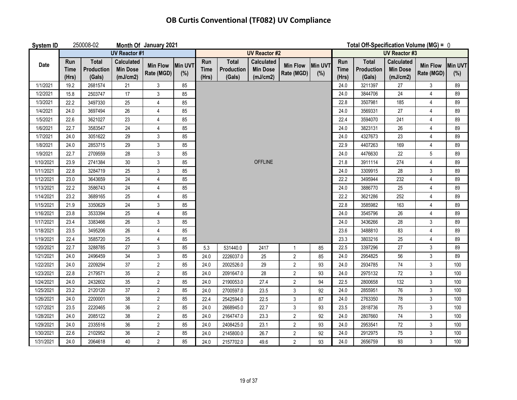| System ID |                      | 250008-02                            |                                                  | Month Of January 2021         |                |                             |                                      |                                                  |                               |                | Total Off-Specification Volume (MG) = 0 |                                             |                                                  |                               |                       |
|-----------|----------------------|--------------------------------------|--------------------------------------------------|-------------------------------|----------------|-----------------------------|--------------------------------------|--------------------------------------------------|-------------------------------|----------------|-----------------------------------------|---------------------------------------------|--------------------------------------------------|-------------------------------|-----------------------|
|           |                      |                                      | <b>UV Reactor #1</b>                             |                               |                |                             |                                      | <b>UV Reactor #2</b>                             |                               |                |                                         | <b>UV Reactor #3</b>                        |                                                  |                               |                       |
| Date      | Run<br>Time<br>(Hrs) | <b>Total</b><br>Production<br>(Gals) | <b>Calculated</b><br><b>Min Dose</b><br>(mJ/cm2) | <b>Min Flow</b><br>Rate (MGD) | Min UVT<br>(%) | Run<br><b>Time</b><br>(Hrs) | <b>Total</b><br>Production<br>(Gals) | <b>Calculated</b><br><b>Min Dose</b><br>(mJ/cm2) | <b>Min Flow</b><br>Rate (MGD) | Min UVT<br>(%) | Run<br><b>Time</b><br>(Hrs)             | <b>Total</b><br><b>Production</b><br>(Gals) | <b>Calculated</b><br><b>Min Dose</b><br>(mJ/cm2) | <b>Min Flow</b><br>Rate (MGD) | <b>Min UVT</b><br>(%) |
| 1/1/2021  | 19.2                 | 2681574                              | 21                                               | 3                             | 85             |                             |                                      |                                                  |                               |                | 24.0                                    | 3211397                                     | 27                                               | 3                             | 89                    |
| 1/2/2021  | 15.8                 | 2503747                              | 17                                               | 3                             | 85             |                             |                                      |                                                  |                               |                | 24.0                                    | 3844706                                     | 24                                               | $\overline{4}$                | 89                    |
| 1/3/2021  | 22.2                 | 3497330                              | 25                                               | $\overline{4}$                | 85             |                             |                                      |                                                  |                               |                | 22.8                                    | 3507981                                     | 185                                              | $\overline{4}$                | 89                    |
| 1/4/2021  | 24.0                 | 3697494                              | 26                                               | 4                             | 85             |                             |                                      |                                                  |                               |                | 24.0                                    | 3569331                                     | 27                                               | $\overline{4}$                | 89                    |
| 1/5/2021  | 22.6                 | 3621027                              | 23                                               | 4                             | 85             |                             |                                      |                                                  |                               |                | 22.4                                    | 3594070                                     | 241                                              | $\overline{4}$                | 89                    |
| 1/6/2021  | 22.7                 | 3583547                              | 24                                               | $\overline{\mathbf{4}}$       | 85             |                             |                                      |                                                  |                               |                | 24.0                                    | 3823131                                     | 26                                               | $\overline{4}$                | 89                    |
| 1/7/2021  | 24.0                 | 3051622                              | 29                                               | 3                             | 85             |                             |                                      |                                                  |                               |                | 24.0                                    | 4327673                                     | 23                                               | $\overline{4}$                | 89                    |
| 1/8/2021  | 24.0                 | 2853715                              | 29                                               | 3                             | 85             |                             |                                      |                                                  |                               |                | 22.9                                    | 4407263                                     | 169                                              | $\overline{4}$                | 89                    |
| 1/9/2021  | 22.7                 | 2709559                              | 28                                               | 3                             | 85             |                             |                                      |                                                  |                               |                | 24.0                                    | 4476630                                     | 22                                               | 5                             | 89                    |
| 1/10/2021 | 23.9                 | 2741384                              | $30\,$                                           | 3                             | 85             |                             |                                      | <b>OFFLINE</b>                                   |                               |                | 21.8                                    | 3911114                                     | 274                                              | $\overline{4}$                | 89                    |
| 1/11/2021 | 22.8                 | 3284719                              | 25                                               | $\mathbf{3}$                  | 85             |                             |                                      |                                                  |                               |                | 24.0                                    | 3309915                                     | 28                                               | 3                             | 89                    |
| 1/12/2021 | 23.0                 | 3643659                              | 24                                               | $\overline{4}$                | 85             |                             |                                      |                                                  |                               |                | 22.2                                    | 3495944                                     | 232                                              | $\overline{4}$                | 89                    |
| 1/13/2021 | 22.2                 | 3586743                              | 24                                               | $\overline{4}$                | 85             |                             |                                      |                                                  |                               |                | 24.0                                    | 3886770                                     | 25                                               | $\overline{4}$                | 89                    |
| 1/14/2021 | 23.2                 | 3689165                              | 25                                               | $\overline{4}$                | 85             |                             |                                      |                                                  |                               |                | 22.2                                    | 3621286                                     | 252                                              | $\overline{4}$                | 89                    |
| 1/15/2021 | 21.9                 | 3350629                              | 24                                               | 3                             | 85             |                             |                                      |                                                  |                               |                | 22.8                                    | 3585982                                     | 163                                              | $\overline{4}$                | 89                    |
| 1/16/2021 | 23.8                 | 3533394                              | 25                                               | $\overline{4}$                | 85             |                             |                                      |                                                  |                               |                | 24.0                                    | 3545796                                     | 26                                               | $\overline{4}$                | 89                    |
| 1/17/2021 | 23.4                 | 3383466                              | 26                                               | 3                             | 85             |                             |                                      |                                                  |                               |                | 24.0                                    | 3436266                                     | 28                                               | 3                             | 89                    |
| 1/18/2021 | 23.5                 | 3495206                              | 26                                               | $\overline{4}$                | 85             |                             |                                      |                                                  |                               |                | 23.6                                    | 3488810                                     | 83                                               | $\overline{4}$                | 89                    |
| 1/19/2021 | 22.4                 | 3585720                              | 25                                               | $\overline{\mathbf{4}}$       | 85             |                             |                                      |                                                  |                               |                | 23.3                                    | 3803216                                     | 25                                               | $\overline{4}$                | 89                    |
| 1/20/2021 | 22.7                 | 3288785                              | 27                                               | 3                             | 85             | 5.3                         | 531440.0                             | 2417                                             | $\mathbf{1}$                  | 85             | 22.5                                    | 3397296                                     | 27                                               | 3                             | 89                    |
| 1/21/2021 | 24.0                 | 2496459                              | 34                                               | $\mathbf{3}$                  | 85             | 24.0                        | 2226037.0                            | 25                                               | $\overline{2}$                | 85             | 24.0                                    | 2954825                                     | 56                                               | $\mathfrak{Z}$                | 89                    |
| 1/22/2021 | 24.0                 | 2209294                              | 37                                               | $\overline{2}$                | 85             | 24.0                        | 2002526.0                            | 29                                               | $\overline{2}$                | 93             | 24.0                                    | 2934785                                     | 74                                               | 3                             | 100                   |
| 1/23/2021 | 22.8                 | 2179571                              | 35                                               | $\boldsymbol{2}$              | 85             | 24.0                        | 2091647.0                            | 28                                               | $\mathbf{2}$                  | 93             | 24.0                                    | 2975132                                     | 72                                               | 3                             | 100                   |
| 1/24/2021 | 24.0                 | 2432602                              | 35                                               | $\overline{2}$                | 85             | 24.0                        | 2190053.0                            | 27.4                                             | $\overline{2}$                | 94             | 22.5                                    | 2800658                                     | 132                                              | $\mathfrak{Z}$                | 100                   |
| 1/25/2021 | 23.2                 | 2120120                              | 37                                               | $\overline{c}$                | 85             | 24.0                        | 2700597.0                            | 23.5                                             | $\mathfrak{Z}$                | 92             | 24.0                                    | 2855951                                     | 76                                               | $\mathfrak{Z}$                | 100                   |
| 1/26/2021 | 24.0                 | 2200001                              | 38                                               | $\boldsymbol{2}$              | 85             | 22.4                        | 2542594.0                            | 22.5                                             | $\mathfrak{Z}$                | 87             | 24.0                                    | 2763350                                     | 78                                               | $\mathfrak{Z}$                | 100                   |
| 1/27/2021 | 23.5                 | 2220465                              | 36                                               | $\overline{2}$                | 85             | 24.0                        | 2668945.0                            | 22.7                                             | 3                             | 93             | 23.5                                    | 2818736                                     | 75                                               | 3                             | 100                   |
| 1/28/2021 | 24.0                 | 2085122                              | 38                                               | $\boldsymbol{2}$              | 85             | 24.0                        | 2164747.0                            | 23.3                                             | $\mathbf{2}$                  | 92             | 24.0                                    | 2807660                                     | 74                                               | 3                             | 100                   |
| 1/29/2021 | 24.0                 | 2335516                              | 36                                               | $\overline{2}$                | 85             | 24.0                        | 2408425.0                            | 23.1                                             | $\mathbf{2}$                  | 93             | 24.0                                    | 2953541                                     | 72                                               | $\mathsf 3$                   | 100                   |
| 1/30/2021 | 22.6                 | 2102952                              | 36                                               | $\overline{2}$                | 85             | 24.0                        | 2145800.0                            | 26.7                                             | $\overline{2}$                | 92             | 24.0                                    | 2912975                                     | 75                                               | 3                             | 100                   |
| 1/31/2021 | 24.0                 | 2064618                              | 40                                               | $\overline{2}$                | 85             | 24.0                        | 2157702.0                            | 49.6                                             | $\overline{2}$                | 93             | 24.0                                    | 2656759                                     | 93                                               | $\mathfrak{Z}$                | 100                   |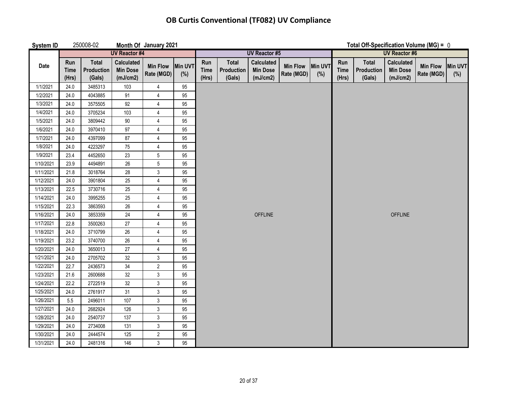| <b>System ID</b> |                             | 250008-02                     |                                                  | Month Of January 2021         |                |                                              | Total Off-Specification Volume (MG) = $0$ |                                                  |                               |                |                             |                               |                                                  |                                |     |
|------------------|-----------------------------|-------------------------------|--------------------------------------------------|-------------------------------|----------------|----------------------------------------------|-------------------------------------------|--------------------------------------------------|-------------------------------|----------------|-----------------------------|-------------------------------|--------------------------------------------------|--------------------------------|-----|
|                  |                             |                               | <b>UV Reactor #4</b>                             |                               |                | <b>UV Reactor #5</b><br><b>UV Reactor #6</b> |                                           |                                                  |                               |                |                             |                               |                                                  |                                |     |
| Date             | Run<br><b>Time</b><br>(Hrs) | Total<br>Production<br>(Gals) | <b>Calculated</b><br><b>Min Dose</b><br>(mJ/cm2) | <b>Min Flow</b><br>Rate (MGD) | Min UVT<br>(%) | Run<br><b>Time</b><br>(Hrs)                  | <b>Total</b><br>Production<br>(Gals)      | <b>Calculated</b><br><b>Min Dose</b><br>(mJ/cm2) | <b>Min Flow</b><br>Rate (MGD) | Min UVT<br>(%) | Run<br><b>Time</b><br>(Hrs) | Total<br>Production<br>(Gals) | <b>Calculated</b><br><b>Min Dose</b><br>(mJ/cm2) | Min Flow Min UVT<br>Rate (MGD) | (%) |
| 1/1/2021         | 24.0                        | 3485313                       | 103                                              | 4                             | 95             |                                              |                                           |                                                  |                               |                |                             |                               |                                                  |                                |     |
| 1/2/2021         | 24.0                        | 4043885                       | 91                                               | $\overline{4}$                | 95             |                                              |                                           |                                                  |                               |                |                             |                               |                                                  |                                |     |
| 1/3/2021         | 24.0                        | 3575505                       | 92                                               | 4                             | 95             |                                              |                                           |                                                  |                               |                |                             |                               |                                                  |                                |     |
| 1/4/2021         | 24.0                        | 3705234                       | 103                                              | 4                             | 95             |                                              |                                           |                                                  |                               |                |                             |                               |                                                  |                                |     |
| 1/5/2021         | 24.0                        | 3809442                       | $90\,$                                           | $\pmb{4}$                     | 95             |                                              |                                           |                                                  |                               |                |                             |                               |                                                  |                                |     |
| 1/6/2021         | 24.0                        | 3970410                       | 97                                               | 4                             | 95             |                                              |                                           |                                                  |                               |                |                             |                               |                                                  |                                |     |
| 1/7/2021         | 24.0                        | 4397099                       | $87\,$                                           | 4                             | 95             |                                              |                                           |                                                  |                               |                |                             |                               |                                                  |                                |     |
| 1/8/2021         | 24.0                        | 4223297                       | 75                                               | $\overline{\mathbf{4}}$       | 95             |                                              |                                           |                                                  |                               |                |                             |                               |                                                  |                                |     |
| 1/9/2021         | 23.4                        | 4452650                       | 23                                               | 5                             | 95             |                                              |                                           |                                                  |                               |                |                             |                               |                                                  |                                |     |
| 1/10/2021        | 23.9                        | 4494891                       | 26                                               | 5                             | 95             |                                              |                                           |                                                  |                               |                |                             |                               |                                                  |                                |     |
| 1/11/2021        | 21.8                        | 3018764                       | 28                                               | $\mathfrak{Z}$                | 95             |                                              |                                           |                                                  |                               |                |                             |                               |                                                  |                                |     |
| 1/12/2021        | 24.0                        | 3901804                       | 25                                               | $\overline{4}$                | 95             |                                              |                                           |                                                  |                               |                |                             |                               |                                                  |                                |     |
| 1/13/2021        | 22.5                        | 3730716                       | 25                                               | $\overline{4}$                | 95             |                                              |                                           |                                                  |                               |                |                             |                               |                                                  |                                |     |
| 1/14/2021        | 24.0                        | 3995255                       | 25                                               | $\overline{4}$                | 95             |                                              |                                           |                                                  |                               |                |                             |                               |                                                  |                                |     |
| 1/15/2021        | 22.3                        | 3863593                       | 26                                               | $\overline{4}$                | 95             |                                              |                                           |                                                  |                               |                |                             |                               |                                                  |                                |     |
| 1/16/2021        | 24.0                        | 3853359                       | 24                                               | 4                             | 95             |                                              |                                           | <b>OFFLINE</b>                                   |                               |                |                             |                               | <b>OFFLINE</b>                                   |                                |     |
| 1/17/2021        | 22.8                        | 3500263                       | 27                                               | 4                             | 95             |                                              |                                           |                                                  |                               |                |                             |                               |                                                  |                                |     |
| 1/18/2021        | 24.0                        | 3710799                       | $26\,$                                           | 4                             | 95             |                                              |                                           |                                                  |                               |                |                             |                               |                                                  |                                |     |
| 1/19/2021        | 23.2                        | 3740700                       | $26\,$                                           | 4                             | 95             |                                              |                                           |                                                  |                               |                |                             |                               |                                                  |                                |     |
| 1/20/2021        | 24.0                        | 3650013                       | 27                                               | 4                             | 95             |                                              |                                           |                                                  |                               |                |                             |                               |                                                  |                                |     |
| 1/21/2021        | 24.0                        | 2705702                       | 32                                               | 3                             | 95             |                                              |                                           |                                                  |                               |                |                             |                               |                                                  |                                |     |
| 1/22/2021        | 22.7                        | 2436573                       | 34                                               | $\overline{2}$                | 95             |                                              |                                           |                                                  |                               |                |                             |                               |                                                  |                                |     |
| 1/23/2021        | 21.6                        | 2600688                       | 32                                               | $\mathfrak{Z}$                | 95             |                                              |                                           |                                                  |                               |                |                             |                               |                                                  |                                |     |
| 1/24/2021        | 22.2                        | 2722519                       | 32                                               | $\mathbf{3}$                  | 95             |                                              |                                           |                                                  |                               |                |                             |                               |                                                  |                                |     |
| 1/25/2021        | 24.0                        | 2761917                       | 31                                               | $\mathfrak{S}$                | 95             |                                              |                                           |                                                  |                               |                |                             |                               |                                                  |                                |     |
| 1/26/2021        | 5.5                         | 2496011                       | 107                                              | $\mathsf 3$                   | 95             |                                              |                                           |                                                  |                               |                |                             |                               |                                                  |                                |     |
| 1/27/2021        | 24.0                        | 2682924                       | 126                                              | $\mathfrak{Z}$                | 95             |                                              |                                           |                                                  |                               |                |                             |                               |                                                  |                                |     |
| 1/28/2021        | 24.0                        | 2540737                       | 137                                              | $\mathfrak{Z}$                | 95             |                                              |                                           |                                                  |                               |                |                             |                               |                                                  |                                |     |
| 1/29/2021        | 24.0                        | 2734008                       | 131                                              | $\mathfrak{Z}$                | 95             |                                              |                                           |                                                  |                               |                |                             |                               |                                                  |                                |     |
| 1/30/2021        | 24.0                        | 2444574                       | 125                                              | $\overline{2}$                | 95             |                                              |                                           |                                                  |                               |                |                             |                               |                                                  |                                |     |
| 1/31/2021        | 24.0                        | 2481316                       | 146                                              | $\mathfrak{Z}$                | 95             |                                              |                                           |                                                  |                               |                |                             |                               |                                                  |                                |     |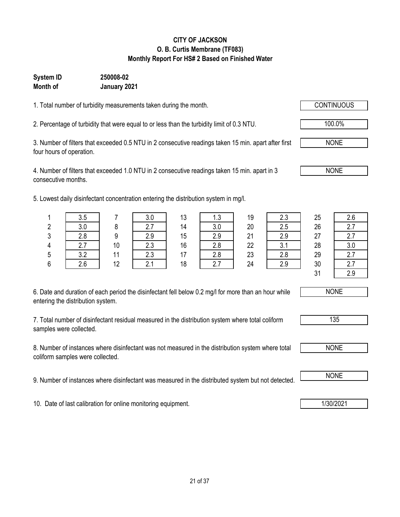**CITY OF JACKSON O. B. Curtis Membrane (TF083) Monthly Report For HS# 2 Based on Finished Water**

1. Total number of turbidity measurements taken during the month.

**January 2021**

**Month of**

**System ID 250008-02**

2. Percentage of turbidity that were equal to or less than the turbidity limit of 0.3 NTU.  $\sqrt{100.0\%}$ 

3. Number of filters that exceeded 0.5 NTU in 2 consecutive readings taken 15 min. apart after first four hours of operation.

4. Number of filters that exceeded 1.0 NTU in 2 consecutive readings taken 15 min. apart in 3 consecutive months.

5. Lowest daily disinfectant concentration entering the distribution system in mg/l.

| 6. Date and duration of each period the disinfectant fell below 0.2 mg/l for more than an hour while |  |
|------------------------------------------------------------------------------------------------------|--|
| entering the distribution system.                                                                    |  |

7. Total number of disinfectant residual measured in the distribution system where total coliform samples were collected.

8. Number of instances where disinfectant was not measured in the distribution system where total coliform samples were collected.

9. Number of instances where disinfectant was measured in the distributed system but not detected. NONE

10. Date of last calibration for online monitoring equipment. 10. Date of last calibration for online monitoring equipment.

1 | 3.5 | 7 | 3.0 | 13 | 1.3 | 19 | 2.3 | 25 | 2.6 NONE

31 2.9

NONE

135

NONE



NONE

2 | 3.0 | 8 | 2.7 | 14 | 3.0 | 20 | 2.5 | 26 | 2.7 3 2.8 9 2.9 15 2.9 21 2.9 27 2.7 4 | 2.7 | 10 | 2.3 | 16 | 2.8 | 22 | 3.1 | 28 | 3.0 5 3.2 11 2.3 17 2.8 23 2.8 29 2.7

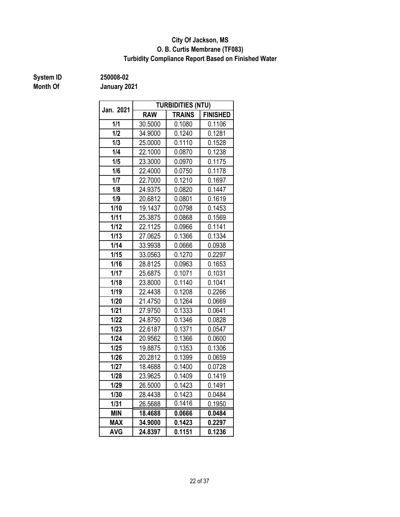#### **O. B. Curtis Membrane (TF083) City Of Jackson, MS Turbidity Compliance Report Based on Finished Water**

# **Month Of**

**System ID 250008-02**

| Jan. 2021  |            | <b>TURBIDITIES (NTU)</b> |                 |
|------------|------------|--------------------------|-----------------|
|            | <b>RAW</b> | <b>TRAINS</b>            | <b>FINISHED</b> |
| 1/1        | 30.5000    | 0.1080                   | 0.1106          |
| 1/2        | 34.9000    | 0.1240                   | 0.1281          |
| 1/3        | 25.0000    | 0.1110                   | 0.1528          |
| 1/4        | 22.1000    | 0.0870                   | 0.1238          |
| 1/5        | 23.3000    | 0.0970                   | 0.1175          |
| 1/6        | 22.4000    | 0.0750                   | 0.1178          |
| 1/7        | 22.7000    | 0.1210                   | 0.1697          |
| 1/8        | 24.9375    | 0.0820                   | 0.1447          |
| 1/9        | 20.6812    | 0.0801                   | 0.1619          |
| 1/10       | 19.1437    | 0.0798                   | 0.1453          |
| 1/11       | 25.3875    | 0.0868                   | 0.1569          |
| 1/12       | 22.1125    | 0.0966                   | 0.1141          |
| 1/13       | 27.0625    | 0.1366                   | 0.1334          |
| 1/14       | 33.9938    | 0.0666                   | 0.0938          |
| 1/15       | 33.0563    | 0.1270                   | 0.2297          |
| 1/16       | 28.8125    | 0.0963                   | 0.1653          |
| 1/17       | 25.6875    | 0.1071                   | 0.1031          |
| 1/18       | 23.8000    | 0.1140                   | 0.1041          |
| 1/19       | 22.4438    | 0.1208                   | 0.2266          |
| 1/20       | 21.4750    | 0.1264                   | 0.0669          |
| 1/21       | 27.9750    | 0.1333                   | 0.0641          |
| 1/22       | 24.8750    | 0.1346                   | 0.0828          |
| 1/23       | 22.6187    | 0.1371                   | 0.0547          |
| 1/24       | 20.9562    | 0.1366                   | 0.0600          |
| 1/25       | 19.8875    | 0.1353                   | 0.1306          |
| 1/26       | 20.2812    | 0.1399                   | 0.0659          |
| 1/27       | 18.4688    | 0.1400                   | 0.0728          |
| 1/28       | 23.9625    | 0.1409                   | 0.1419          |
| 1/29       | 26.5000    | 0.1423                   | 0.1491          |
| 1/30       | 28.4438    | 0.1423                   | 0.0484          |
| 1/31       | 26.5688    | 0.1416                   | 0.1950          |
| <b>MIN</b> | 18.4688    | 0.0666                   | 0.0484          |
| <b>MAX</b> | 34.9000    | 0.1423                   | 0.2297          |
| <b>AVG</b> | 24.8397    | 0.1151                   | 0.1236          |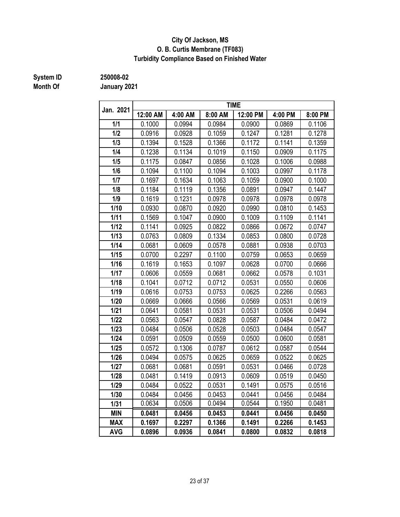#### **City Of Jackson, MS O. B. Curtis Membrane (TF083) Turbidity Compliance Based on Finished Water**

# **Month Of**

**System ID 250008-02**

| Jan. 2021  | <b>TIME</b> |         |         |          |         |         |
|------------|-------------|---------|---------|----------|---------|---------|
|            | 12:00 AM    | 4:00 AM | 8:00 AM | 12:00 PM | 4:00 PM | 8:00 PM |
| 1/1        | 0.1000      | 0.0994  | 0.0984  | 0.0900   | 0.0869  | 0.1106  |
| 1/2        | 0.0916      | 0.0928  | 0.1059  | 0.1247   | 0.1281  | 0.1278  |
| 1/3        | 0.1394      | 0.1528  | 0.1366  | 0.1172   | 0.1141  | 0.1359  |
| 1/4        | 0.1238      | 0.1134  | 0.1019  | 0.1150   | 0.0909  | 0.1175  |
| 1/5        | 0.1175      | 0.0847  | 0.0856  | 0.1028   | 0.1006  | 0.0988  |
| 1/6        | 0.1094      | 0.1100  | 0.1094  | 0.1003   | 0.0997  | 0.1178  |
| 1/7        | 0.1697      | 0.1634  | 0.1063  | 0.1059   | 0.0900  | 0.1000  |
| 1/8        | 0.1184      | 0.1119  | 0.1356  | 0.0891   | 0.0947  | 0.1447  |
| 1/9        | 0.1619      | 0.1231  | 0.0978  | 0.0978   | 0.0978  | 0.0978  |
| 1/10       | 0.0930      | 0.0870  | 0.0920  | 0.0990   | 0.0810  | 0.1453  |
| 1/11       | 0.1569      | 0.1047  | 0.0900  | 0.1009   | 0.1109  | 0.1141  |
| 1/12       | 0.1141      | 0.0925  | 0.0822  | 0.0866   | 0.0672  | 0.0747  |
| 1/13       | 0.0763      | 0.0809  | 0.1334  | 0.0853   | 0.0800  | 0.0728  |
| 1/14       | 0.0681      | 0.0609  | 0.0578  | 0.0881   | 0.0938  | 0.0703  |
| 1/15       | 0.0700      | 0.2297  | 0.1100  | 0.0759   | 0.0653  | 0.0659  |
| 1/16       | 0.1619      | 0.1653  | 0.1097  | 0.0628   | 0.0700  | 0.0666  |
| 1/17       | 0.0606      | 0.0559  | 0.0681  | 0.0662   | 0.0578  | 0.1031  |
| 1/18       | 0.1041      | 0.0712  | 0.0712  | 0.0531   | 0.0550  | 0.0606  |
| 1/19       | 0.0616      | 0.0753  | 0.0753  | 0.0625   | 0.2266  | 0.0563  |
| 1/20       | 0.0669      | 0.0666  | 0.0566  | 0.0569   | 0.0531  | 0.0619  |
| 1/21       | 0.0641      | 0.0581  | 0.0531  | 0.0531   | 0.0506  | 0.0494  |
| 1/22       | 0.0563      | 0.0547  | 0.0828  | 0.0587   | 0.0484  | 0.0472  |
| 1/23       | 0.0484      | 0.0506  | 0.0528  | 0.0503   | 0.0484  | 0.0547  |
| 1/24       | 0.0591      | 0.0509  | 0.0559  | 0.0500   | 0.0600  | 0.0581  |
| 1/25       | 0.0572      | 0.1306  | 0.0787  | 0.0612   | 0.0587  | 0.0544  |
| 1/26       | 0.0494      | 0.0575  | 0.0625  | 0.0659   | 0.0522  | 0.0625  |
| 1/27       | 0.0681      | 0.0681  | 0.0591  | 0.0531   | 0.0466  | 0.0728  |
| 1/28       | 0.0481      | 0.1419  | 0.0913  | 0.0609   | 0.0519  | 0.0450  |
| 1/29       | 0.0484      | 0.0522  | 0.0531  | 0.1491   | 0.0575  | 0.0516  |
| 1/30       | 0.0484      | 0.0456  | 0.0453  | 0.0441   | 0.0456  | 0.0484  |
| 1/31       | 0.0634      | 0.0506  | 0.0494  | 0.0544   | 0.1950  | 0.0481  |
| <b>MIN</b> | 0.0481      | 0.0456  | 0.0453  | 0.0441   | 0.0456  | 0.0450  |
| <b>MAX</b> | 0.1697      | 0.2297  | 0.1366  | 0.1491   | 0.2266  | 0.1453  |
| <b>AVG</b> | 0.0896      | 0.0936  | 0.0841  | 0.0800   | 0.0832  | 0.0818  |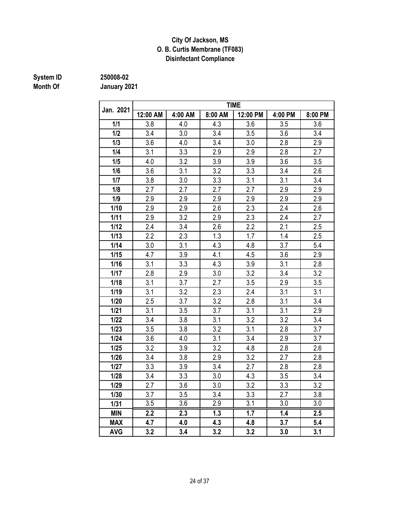#### **City Of Jackson, MS O. B. Curtis Membrane (TF083) Disinfectant Compliance**

# **Month Of**

**System ID 250008-02**

| Jan. 2021  |          |         |         | TIME     |         |         |
|------------|----------|---------|---------|----------|---------|---------|
|            | 12:00 AM | 4:00 AM | 8:00 AM | 12:00 PM | 4:00 PM | 8:00 PM |
| 1/1        | 3.8      | 4.0     | 4.3     | 3.6      | 3.5     | 3.6     |
| 1/2        | 3.4      | 3.0     | 3.4     | 3.5      | 3.6     | 3.4     |
| 1/3        | 3.6      | 4.0     | 3.4     | 3.0      | 2.8     | 2.9     |
| 1/4        | 3.1      | 3.3     | 2.9     | 2.9      | 2.8     | 2.7     |
| 1/5        | 4.0      | 3.2     | 3.9     | 3.9      | 3.6     | 3.5     |
| 1/6        | 3.6      | 3.1     | 3.2     | 3.3      | 3.4     | 2.6     |
| 1/7        | 3.8      | 3.0     | 3.3     | 3.1      | 3.1     | 3.4     |
| 1/8        | 2.7      | 2.7     | 2.7     | 2.7      | 2.9     | 2.9     |
| 1/9        | 2.9      | 2.9     | 2.9     | 2.9      | 2.9     | 2.9     |
| 1/10       | 2.9      | 2.9     | 2.6     | 2.3      | 2.4     | 2.6     |
| 1/11       | 2.9      | 3.2     | 2.9     | 2.3      | 2.4     | 2.7     |
| 1/12       | 2.4      | 3.4     | 2.6     | 2.2      | 2.1     | 2.5     |
| 1/13       | 2.2      | 2.3     | 1.3     | 1.7      | 1.4     | 2.5     |
| 1/14       | 3.0      | 3.1     | 4.3     | 4.8      | 3.7     | 5.4     |
| 1/15       | 4.7      | 3.9     | 4.1     | 4.5      | 3.6     | 2.9     |
| 1/16       | 3.1      | 3.3     | 4.3     | 3.9      | 3.1     | 2.8     |
| 1/17       | 2.8      | 2.9     | 3.0     | 3.2      | 3.4     | 3.2     |
| 1/18       | 3.1      | 3.7     | 2.7     | 3.5      | 2.9     | 3.5     |
| 1/19       | 3.1      | 3.2     | 2.3     | 2.4      | 3.1     | 3.1     |
| 1/20       | 2.5      | 3.7     | 3.2     | 2.8      | 3.1     | 3.4     |
| 1/21       | 3.1      | 3.5     | 3.7     | 3.1      | 3.1     | 2.9     |
| 1/22       | 3.4      | 3.8     | 3.1     | 3.2      | 3.2     | 3.4     |
| 1/23       | 3.5      | 3.8     | 3.2     | 3.1      | 2.8     | 3.7     |
| 1/24       | 3.6      | 4.0     | 3.1     | 3.4      | 2.9     | 3.7     |
| 1/25       | 3.2      | 3.9     | 3.2     | 4.8      | 2.8     | 2.6     |
| 1/26       | 3.4      | 3.8     | 2.9     | 3.2      | 2.7     | 2.8     |
| 1/27       | 3.3      | 3.9     | 3.4     | 2.7      | 2.8     | 2.8     |
| 1/28       | 3.4      | 3.3     | 3.0     | 4.3      | 3.5     | 3.4     |
| 1/29       | 2.7      | 3.6     | 3.0     | 3.2      | 3.3     | 3.2     |
| 1/30       | 3.7      | 3.5     | 3.4     | 3.3      | 2.7     | 3.8     |
| 1/31       | 3.5      | 3.6     | 2.9     | 3.1      | 3.0     | 3.0     |
| <b>MIN</b> | 2.2      | 2.3     | 1.3     | 1.7      | 1.4     | 2.5     |
| <b>MAX</b> | 4.7      | 4.0     | 4.3     | 4.8      | 3.7     | 5.4     |
| <b>AVG</b> | 3.2      | 3.4     | 3.2     | 3.2      | 3.0     | 3.1     |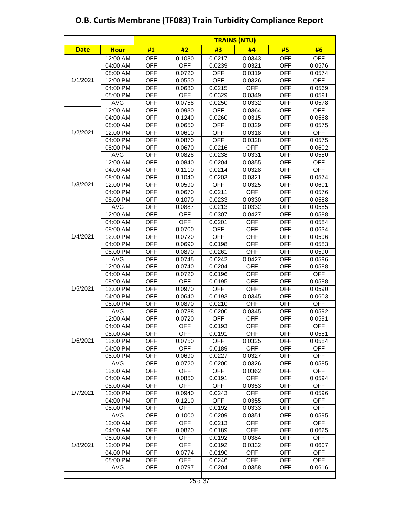|             |             | <b>TRAINS (NTU)</b> |            |            |            |            |            |
|-------------|-------------|---------------------|------------|------------|------------|------------|------------|
| <b>Date</b> | <b>Hour</b> | #1                  | #2         | #3         | #4         | #5         | #6         |
|             | 12:00 AM    | <b>OFF</b>          | 0.1080     | 0.0217     | 0.0343     | <b>OFF</b> | <b>OFF</b> |
|             | 04:00 AM    | <b>OFF</b>          | <b>OFF</b> | 0.0239     | 0.0321     | <b>OFF</b> | 0.0576     |
|             | 08:00 AM    | <b>OFF</b>          | 0.0720     | <b>OFF</b> | 0.0319     | <b>OFF</b> | 0.0574     |
| 1/1/2021    | 12:00 PM    | <b>OFF</b>          | 0.0550     | <b>OFF</b> | 0.0326     | <b>OFF</b> | <b>OFF</b> |
|             | 04:00 PM    | <b>OFF</b>          | 0.0680     | 0.0215     | <b>OFF</b> | <b>OFF</b> | 0.0569     |
|             | 08:00 PM    | <b>OFF</b>          | <b>OFF</b> | 0.0329     | 0.0349     | <b>OFF</b> | 0.0591     |
|             | <b>AVG</b>  | <b>OFF</b>          | 0.0758     | 0.0250     | 0.0332     | <b>OFF</b> | 0.0578     |
|             | 12:00 AM    | <b>OFF</b>          | 0.0930     | <b>OFF</b> | 0.0364     | <b>OFF</b> | <b>OFF</b> |
|             | $04:00$ AM  | <b>OFF</b>          | 0.1240     | 0.0260     | 0.0315     | <b>OFF</b> | 0.0568     |
|             | 08:00 AM    | <b>OFF</b>          | 0.0650     | <b>OFF</b> | 0.0329     | <b>OFF</b> | 0.0575     |
| 1/2/2021    | 12:00 PM    | <b>OFF</b>          | 0.0610     | <b>OFF</b> | 0.0318     | <b>OFF</b> | <b>OFF</b> |
|             | 04:00 PM    | <b>OFF</b>          | 0.0870     | <b>OFF</b> | 0.0328     | <b>OFF</b> | 0.0575     |
|             | 08:00 PM    | <b>OFF</b>          | 0.0670     | 0.0216     | <b>OFF</b> | <b>OFF</b> | 0.0602     |
|             | <b>AVG</b>  | <b>OFF</b>          | 0.0828     | 0.0238     | 0.0331     | <b>OFF</b> | 0.0580     |
|             | 12:00 AM    | <b>OFF</b>          | 0.0840     | 0.0204     | 0.0355     | <b>OFF</b> | <b>OFF</b> |
|             | 04:00 AM    | <b>OFF</b>          | 0.1110     | 0.0214     | 0.0328     | <b>OFF</b> | <b>OFF</b> |
|             | 08:00 AM    | <b>OFF</b>          | 0.1040     | 0.0203     | 0.0321     | <b>OFF</b> | 0.0574     |
| 1/3/2021    | 12:00 PM    | <b>OFF</b>          | 0.0590     | <b>OFF</b> | 0.0325     | <b>OFF</b> | 0.0601     |
|             | 04:00 PM    | <b>OFF</b>          | 0.0670     | 0.0211     | <b>OFF</b> | <b>OFF</b> | 0.0576     |
|             | 08:00 PM    | <b>OFF</b>          | 0.1070     | 0.0233     | 0.0330     | <b>OFF</b> | 0.0588     |
|             | <b>AVG</b>  | <b>OFF</b>          | 0.0887     | 0.0213     | 0.0332     | <b>OFF</b> | 0.0585     |
|             | 12:00 AM    | <b>OFF</b>          | <b>OFF</b> | 0.0307     | 0.0427     | <b>OFF</b> | 0.0588     |
|             | 04:00 AM    | <b>OFF</b>          | <b>OFF</b> | 0.0201     | OFF        | <b>OFF</b> | 0.0584     |
|             | 08:00 AM    | <b>OFF</b>          | 0.0700     | <b>OFF</b> | <b>OFF</b> | <b>OFF</b> | 0.0634     |
| 1/4/2021    | 12:00 PM    | <b>OFF</b>          | 0.0720     | <b>OFF</b> | <b>OFF</b> | <b>OFF</b> | 0.0596     |
|             | 04:00 PM    | <b>OFF</b>          | 0.0690     | 0.0198     | <b>OFF</b> | <b>OFF</b> | 0.0583     |
|             | 08:00 PM    | <b>OFF</b>          | 0.0870     | 0.0261     | <b>OFF</b> | <b>OFF</b> | 0.0590     |
|             | <b>AVG</b>  | <b>OFF</b>          | 0.0745     | 0.0242     | 0.0427     | <b>OFF</b> | 0.0596     |
|             | 12:00 AM    | <b>OFF</b>          | 0.0740     | 0.0204     | <b>OFF</b> | <b>OFF</b> | 0.0588     |
|             | 04:00 AM    | <b>OFF</b>          | 0.0720     | 0.0196     | <b>OFF</b> | <b>OFF</b> | <b>OFF</b> |
|             | 08:00 AM    | <b>OFF</b>          | <b>OFF</b> | 0.0195     | <b>OFF</b> | <b>OFF</b> | 0.0588     |
| 1/5/2021    | 12:00 PM    | <b>OFF</b>          | 0.0970     | <b>OFF</b> | <b>OFF</b> | <b>OFF</b> | 0.0590     |
|             | 04:00 PM    | <b>OFF</b>          | 0.0640     | 0.0193     | 0.0345     | <b>OFF</b> | 0.0603     |
|             | 08:00 PM    | <b>OFF</b>          | 0.0870     | 0.0210     | <b>OFF</b> | <b>OFF</b> | <b>OFF</b> |
|             | <b>AVG</b>  | <b>OFF</b>          | 0.0788     | 0.0200     | 0.0345     | <b>OFF</b> | 0.0592     |
|             | 12:00 AM    | <b>OFF</b>          | 0.0720     | <b>OFF</b> | <b>OFF</b> | <b>OFF</b> | 0.0591     |
|             | 04:00 AM    | <b>OFF</b>          | <b>OFF</b> | 0.0193     | OFF        | <b>OFF</b> | OFF        |
|             | 08:00 AM    | <b>OFF</b>          | <b>OFF</b> | 0.0191     | <b>OFF</b> | <b>OFF</b> | 0.0581     |
| 1/6/2021    | 12:00 PM    | <b>OFF</b>          | 0.0750     | <b>OFF</b> | 0.0325     | <b>OFF</b> | 0.0584     |
|             | 04:00 PM    | <b>OFF</b>          | <b>OFF</b> | 0.0189     | <b>OFF</b> | <b>OFF</b> | <b>OFF</b> |
|             | 08:00 PM    | <b>OFF</b>          | 0.0690     | 0.0227     | 0.0327     | <b>OFF</b> | <b>OFF</b> |
|             | <b>AVG</b>  | <b>OFF</b>          | 0.0720     | 0.0200     | 0.0326     | OFF        | 0.0585     |
|             | 12:00 AM    | <b>OFF</b>          | <b>OFF</b> | <b>OFF</b> | 0.0362     | <b>OFF</b> | <b>OFF</b> |
|             | 04:00 AM    | <b>OFF</b>          | 0.0850     | 0.0191     | <b>OFF</b> | <b>OFF</b> | 0.0594     |
|             | 08:00 AM    | <b>OFF</b>          | <b>OFF</b> | <b>OFF</b> | 0.0353     | <b>OFF</b> | <b>OFF</b> |
| 1/7/2021    | 12:00 PM    | <b>OFF</b>          | 0.0940     | 0.0243     | <b>OFF</b> | <b>OFF</b> | 0.0596     |
|             | 04:00 PM    | <b>OFF</b>          | 0.1210     | <b>OFF</b> | 0.0355     | <b>OFF</b> | <b>OFF</b> |
|             | 08:00 PM    | <b>OFF</b>          | <b>OFF</b> | 0.0192     | 0.0333     | <b>OFF</b> | <b>OFF</b> |
|             | <b>AVG</b>  | <b>OFF</b>          | 0.1000     | 0.0209     | 0.0351     | <b>OFF</b> | 0.0595     |
|             | 12:00 AM    | <b>OFF</b>          | <b>OFF</b> | 0.0213     | <b>OFF</b> | <b>OFF</b> | <b>OFF</b> |
|             | 04:00 AM    | <b>OFF</b>          | 0.0820     | 0.0189     | <b>OFF</b> | <b>OFF</b> | 0.0625     |
|             | 08:00 AM    | OFF                 | <b>OFF</b> | 0.0192     | 0.0384     | OFF        | <b>OFF</b> |
| 1/8/2021    | 12:00 PM    | <b>OFF</b>          | <b>OFF</b> | 0.0192     | 0.0332     | <b>OFF</b> | 0.0607     |
|             | 04:00 PM    | <b>OFF</b>          | 0.0774     | 0.0190     | <b>OFF</b> | <b>OFF</b> | <b>OFF</b> |
|             | 08:00 PM    | <b>OFF</b>          | <b>OFF</b> | 0.0246     | <b>OFF</b> | <b>OFF</b> | <b>OFF</b> |
|             | <b>AVG</b>  | <b>OFF</b>          | 0.0797     | 0.0204     | 0.0358     | <b>OFF</b> | 0.0616     |
|             |             |                     |            |            |            |            |            |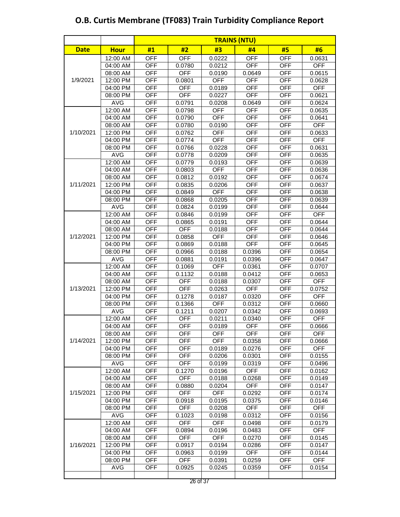|             |             | <b>TRAINS (NTU)</b> |            |            |            |            |            |
|-------------|-------------|---------------------|------------|------------|------------|------------|------------|
| <b>Date</b> | <b>Hour</b> | #1                  | #2         | #3         | #4         | #5         | #6         |
|             | 12:00 AM    | <b>OFF</b>          | <b>OFF</b> | 0.0222     | <b>OFF</b> | <b>OFF</b> | 0.0631     |
|             | 04:00 AM    | <b>OFF</b>          | 0.0780     | 0.0212     | <b>OFF</b> | <b>OFF</b> | <b>OFF</b> |
|             | 08:00 AM    | <b>OFF</b>          | <b>OFF</b> | 0.0190     | 0.0649     | <b>OFF</b> | 0.0615     |
| 1/9/2021    | 12:00 PM    | <b>OFF</b>          | 0.0801     | <b>OFF</b> | <b>OFF</b> | <b>OFF</b> | 0.0628     |
|             | 04:00 PM    | <b>OFF</b>          | <b>OFF</b> | 0.0189     | <b>OFF</b> | <b>OFF</b> | <b>OFF</b> |
|             | 08:00 PM    | <b>OFF</b>          | <b>OFF</b> | 0.0227     | <b>OFF</b> | <b>OFF</b> | 0.0621     |
|             | <b>AVG</b>  | <b>OFF</b>          | 0.0791     | 0.0208     | 0.0649     | <b>OFF</b> | 0.0624     |
|             | 12:00 AM    | <b>OFF</b>          | 0.0798     | <b>OFF</b> | <b>OFF</b> | <b>OFF</b> | 0.0635     |
|             | 04:00 AM    | <b>OFF</b>          | 0.0790     | <b>OFF</b> | <b>OFF</b> | <b>OFF</b> | 0.0641     |
|             | 08:00 AM    | <b>OFF</b>          | 0.0780     | 0.0190     | <b>OFF</b> | <b>OFF</b> | <b>OFF</b> |
| 1/10/2021   | 12:00 PM    | <b>OFF</b>          | 0.0762     | <b>OFF</b> | <b>OFF</b> | <b>OFF</b> | 0.0633     |
|             | 04:00 PM    | <b>OFF</b>          | 0.0774     | <b>OFF</b> | <b>OFF</b> | <b>OFF</b> | <b>OFF</b> |
|             | 08:00 PM    | <b>OFF</b>          | 0.0766     | 0.0228     | <b>OFF</b> | <b>OFF</b> | 0.0631     |
|             | <b>AVG</b>  | <b>OFF</b>          | 0.0778     | 0.0209     | <b>OFF</b> | <b>OFF</b> | 0.0635     |
|             | 12:00 AM    | <b>OFF</b>          | 0.0779     | 0.0193     | <b>OFF</b> | <b>OFF</b> | 0.0639     |
|             | 04:00 AM    | <b>OFF</b>          | 0.0803     | <b>OFF</b> | <b>OFF</b> | <b>OFF</b> | 0.0636     |
|             | 08:00 AM    | <b>OFF</b>          | 0.0812     | 0.0192     | <b>OFF</b> | <b>OFF</b> | 0.0674     |
| 1/11/2021   | 12:00 PM    | <b>OFF</b>          | 0.0835     | 0.0206     | <b>OFF</b> | <b>OFF</b> | 0.0637     |
|             | 04:00 PM    | <b>OFF</b>          | 0.0849     | <b>OFF</b> | <b>OFF</b> | <b>OFF</b> | 0.0638     |
|             | 08:00 PM    | <b>OFF</b>          | 0.0868     | 0.0205     | <b>OFF</b> | <b>OFF</b> | 0.0639     |
|             | <b>AVG</b>  | <b>OFF</b>          | 0.0824     | 0.0199     | <b>OFF</b> | <b>OFF</b> | 0.0644     |
|             | 12:00 AM    | <b>OFF</b>          | 0.0846     | 0.0199     | <b>OFF</b> | <b>OFF</b> | <b>OFF</b> |
|             | 04:00 AM    | <b>OFF</b>          | 0.0865     | 0.0191     | <b>OFF</b> | <b>OFF</b> | 0.0644     |
|             | 08:00 AM    | <b>OFF</b>          | <b>OFF</b> | 0.0188     | <b>OFF</b> | <b>OFF</b> | 0.0644     |
| 1/12/2021   | 12:00 PM    | <b>OFF</b>          | 0.0858     | <b>OFF</b> | <b>OFF</b> | <b>OFF</b> | 0.0646     |
|             | 04:00 PM    | <b>OFF</b>          | 0.0869     | 0.0188     | <b>OFF</b> | <b>OFF</b> | 0.0645     |
|             | 08:00 PM    | <b>OFF</b>          | 0.0966     | 0.0188     | 0.0396     | <b>OFF</b> | 0.0654     |
|             | <b>AVG</b>  | <b>OFF</b>          | 0.0881     | 0.0191     | 0.0396     | <b>OFF</b> | 0.0647     |
|             | 12:00 AM    | <b>OFF</b>          | 0.1069     | <b>OFF</b> | 0.0361     | <b>OFF</b> | 0.0707     |
|             | 04:00 AM    | <b>OFF</b>          | 0.1132     | 0.0188     | 0.0412     | <b>OFF</b> | 0.0653     |
|             | 08:00 AM    | <b>OFF</b>          | <b>OFF</b> | 0.0188     | 0.0307     | <b>OFF</b> | <b>OFF</b> |
| 1/13/2021   | 12:00 PM    | <b>OFF</b>          | <b>OFF</b> | 0.0263     | <b>OFF</b> | <b>OFF</b> | 0.0752     |
|             | 04:00 PM    | <b>OFF</b>          | 0.1278     | 0.0187     | 0.0320     | <b>OFF</b> | <b>OFF</b> |
|             | 08:00 PM    | <b>OFF</b>          | 0.1366     | <b>OFF</b> | 0.0312     | <b>OFF</b> | 0.0660     |
|             | <b>AVG</b>  | <b>OFF</b>          | 0.1211     | 0.0207     | 0.0342     | <b>OFF</b> | 0.0693     |
|             | 12:00 AM    | <b>OFF</b>          | <b>OFF</b> | 0.0211     | 0.0340     | <b>OFF</b> | <b>OFF</b> |
|             | 04:00 AM    | <b>OFF</b>          | <b>OFF</b> | 0.0189     | <b>OFF</b> | <b>OFF</b> | 0.0666     |
|             | 08:00 AM    | <b>OFF</b>          | <b>OFF</b> | <b>OFF</b> | <b>OFF</b> | <b>OFF</b> | <b>OFF</b> |
| 1/14/2021   | 12:00 PM    | <b>OFF</b>          | <b>OFF</b> | <b>OFF</b> | 0.0358     | <b>OFF</b> | 0.0666     |
|             | 04:00 PM    | <b>OFF</b>          | <b>OFF</b> | 0.0189     | 0.0276     | <b>OFF</b> | <b>OFF</b> |
|             | 08:00 PM    | <b>OFF</b>          | <b>OFF</b> | 0.0206     | 0.0301     | <b>OFF</b> | 0.0155     |
|             | <b>AVG</b>  | <b>OFF</b>          | <b>OFF</b> | 0.0199     | 0.0319     | <b>OFF</b> | 0.0496     |
|             | 12:00 AM    | <b>OFF</b>          | 0.1270     | 0.0196     | <b>OFF</b> | <b>OFF</b> | 0.0162     |
|             | 04:00 AM    | <b>OFF</b>          | <b>OFF</b> | 0.0188     | 0.0268     | <b>OFF</b> | 0.0149     |
|             | 08:00 AM    | <b>OFF</b>          | 0.0880     | 0.0204     | <b>OFF</b> | <b>OFF</b> | 0.0147     |
| 1/15/2021   | 12:00 PM    | <b>OFF</b>          | <b>OFF</b> | <b>OFF</b> | 0.0292     | <b>OFF</b> | 0.0174     |
|             | 04:00 PM    | <b>OFF</b>          | 0.0918     | 0.0195     | 0.0375     | <b>OFF</b> | 0.0146     |
|             | 08:00 PM    | <b>OFF</b>          | <b>OFF</b> | 0.0208     | <b>OFF</b> | <b>OFF</b> | <b>OFF</b> |
|             | <b>AVG</b>  | <b>OFF</b>          | 0.1023     | 0.0198     | 0.0312     | <b>OFF</b> | 0.0156     |
|             | 12:00 AM    | <b>OFF</b>          | <b>OFF</b> | <b>OFF</b> | 0.0498     | <b>OFF</b> | 0.0179     |
|             | 04:00 AM    | <b>OFF</b>          | 0.0894     | 0.0196     | 0.0483     | OFF        | <b>OFF</b> |
|             | 08:00 AM    | <b>OFF</b>          | <b>OFF</b> | <b>OFF</b> | 0.0270     | <b>OFF</b> | 0.0145     |
| 1/16/2021   | 12:00 PM    | <b>OFF</b>          | 0.0917     | 0.0194     | 0.0286     | <b>OFF</b> | 0.0147     |
|             | 04:00 PM    | <b>OFF</b>          | 0.0963     | 0.0199     | <b>OFF</b> | <b>OFF</b> | 0.0144     |
|             | 08:00 PM    | <b>OFF</b>          | <b>OFF</b> | 0.0391     | 0.0259     | <b>OFF</b> | <b>OFF</b> |
|             | <b>AVG</b>  | <b>OFF</b>          | 0.0925     | 0.0245     | 0.0359     | <b>OFF</b> | 0.0154     |
|             |             |                     |            |            |            |            |            |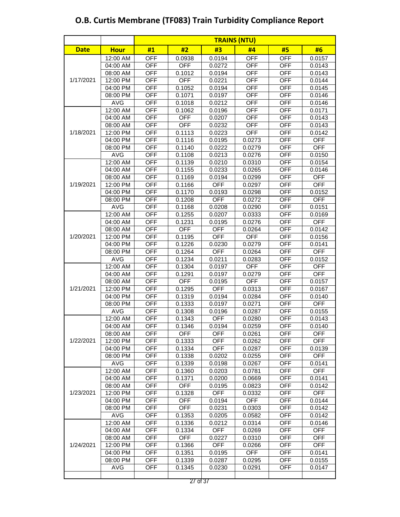|             |             |            |            |            | <b>TRAINS (NTU)</b> |            |            |
|-------------|-------------|------------|------------|------------|---------------------|------------|------------|
| <b>Date</b> | <b>Hour</b> | #1         | #2         | #3         | #4                  | #5         | #6         |
|             | $12:00$ AM  | <b>OFF</b> | 0.0938     | 0.0194     | <b>OFF</b>          | <b>OFF</b> | 0.0157     |
|             | $04:00$ AM  | <b>OFF</b> | <b>OFF</b> | 0.0272     | <b>OFF</b>          | <b>OFF</b> | 0.0143     |
|             | 08:00 AM    | <b>OFF</b> | 0.1012     | 0.0194     | <b>OFF</b>          | <b>OFF</b> | 0.0143     |
| 1/17/2021   | 12:00 PM    | <b>OFF</b> | <b>OFF</b> | 0.0221     | <b>OFF</b>          | <b>OFF</b> | 0.0144     |
|             | 04:00 PM    | <b>OFF</b> | 0.1052     | 0.0194     | <b>OFF</b>          | <b>OFF</b> | 0.0145     |
|             | 08:00 PM    | <b>OFF</b> | 0.1071     | 0.0197     | <b>OFF</b>          | <b>OFF</b> | 0.0146     |
|             | <b>AVG</b>  | <b>OFF</b> | 0.1018     | 0.0212     | <b>OFF</b>          | <b>OFF</b> | 0.0146     |
|             | 12:00 AM    | <b>OFF</b> | 0.1062     | 0.0196     | <b>OFF</b>          | <b>OFF</b> | 0.0171     |
|             | 04:00 AM    | <b>OFF</b> | <b>OFF</b> | 0.0207     | <b>OFF</b>          | <b>OFF</b> | 0.0143     |
|             | 08:00 AM    | <b>OFF</b> | <b>OFF</b> | 0.0232     | <b>OFF</b>          | <b>OFF</b> | 0.0143     |
| 1/18/2021   | 12:00 PM    | <b>OFF</b> | 0.1113     | 0.0223     | <b>OFF</b>          | <b>OFF</b> | 0.0142     |
|             | 04:00 PM    | <b>OFF</b> | 0.1116     | 0.0195     | 0.0273              | <b>OFF</b> | <b>OFF</b> |
|             | 08:00 PM    | <b>OFF</b> | 0.1140     | 0.0222     | 0.0279              | <b>OFF</b> | <b>OFF</b> |
|             | <b>AVG</b>  | <b>OFF</b> | 0.1108     | 0.0213     | 0.0276              | <b>OFF</b> | 0.0150     |
|             | 12:00 AM    | <b>OFF</b> | 0.1139     | 0.0210     | 0.0310              | <b>OFF</b> | 0.0154     |
|             | 04:00 AM    | <b>OFF</b> | 0.1155     | 0.0233     | 0.0265              | <b>OFF</b> | 0.0146     |
|             | 08:00 AM    | <b>OFF</b> | 0.1169     | 0.0194     | 0.0299              | <b>OFF</b> | <b>OFF</b> |
| 1/19/2021   | 12:00 PM    | <b>OFF</b> | 0.1166     | <b>OFF</b> | 0.0297              | <b>OFF</b> | <b>OFF</b> |
|             | 04:00 PM    | <b>OFF</b> | 0.1170     | 0.0193     | 0.0298              | <b>OFF</b> | 0.0152     |
|             | 08:00 PM    | <b>OFF</b> | 0.1208     | <b>OFF</b> | 0.0272              | <b>OFF</b> | <b>OFF</b> |
|             | <b>AVG</b>  | <b>OFF</b> | 0.1168     | 0.0208     | 0.0290              | <b>OFF</b> | 0.0151     |
|             | 12:00 AM    | <b>OFF</b> | 0.1255     | 0.0207     | 0.0333              | <b>OFF</b> | 0.0169     |
|             | 04:00 AM    | <b>OFF</b> | 0.1231     | 0.0195     | 0.0276              | <b>OFF</b> | <b>OFF</b> |
|             | 08:00 AM    | <b>OFF</b> | <b>OFF</b> | <b>OFF</b> | 0.0264              | <b>OFF</b> | 0.0142     |
| 1/20/2021   | 12:00 PM    | <b>OFF</b> | 0.1195     | <b>OFF</b> | <b>OFF</b>          | <b>OFF</b> | 0.0156     |
|             | 04:00 PM    | <b>OFF</b> | 0.1226     | 0.0230     | 0.0279              | <b>OFF</b> | 0.0141     |
|             | 08:00 PM    | <b>OFF</b> | 0.1264     | <b>OFF</b> | 0.0264              | <b>OFF</b> | <b>OFF</b> |
|             | <b>AVG</b>  | <b>OFF</b> | 0.1234     | 0.0211     | 0.0283              | <b>OFF</b> | 0.0152     |
|             | 12:00 AM    | <b>OFF</b> | 0.1304     | 0.0197     | OFF                 | <b>OFF</b> | <b>OFF</b> |
|             | 04:00 AM    | <b>OFF</b> | 0.1291     | 0.0197     | 0.0279              | <b>OFF</b> | <b>OFF</b> |
|             | 08:00 AM    | <b>OFF</b> | <b>OFF</b> | 0.0195     | <b>OFF</b>          | <b>OFF</b> | 0.0157     |
| 1/21/2021   | 12:00 PM    | <b>OFF</b> | 0.1295     | <b>OFF</b> | 0.0313              | <b>OFF</b> | 0.0167     |
|             | 04:00 PM    | <b>OFF</b> | 0.1319     | 0.0194     | 0.0284              | <b>OFF</b> | 0.0140     |
|             | 08:00 PM    | <b>OFF</b> | 0.1333     | 0.0197     | 0.0271              | <b>OFF</b> | OFF        |
|             | <b>AVG</b>  | <b>OFF</b> | 0.1308     | 0.0196     | 0.0287              | <b>OFF</b> | 0.0155     |
|             | 12:00 AM    | <b>OFF</b> | 0.1343     | <b>OFF</b> | 0.0280              | <b>OFF</b> | 0.0143     |
|             | 04:00 AM    | <b>OFF</b> | 0.1346     | 0.0194     | 0.0259              | <b>OFF</b> | 0.0140     |
|             | 08:00 AM    | OFF        | OFF        | <b>OFF</b> | 0.0261              | <b>OFF</b> | <b>OFF</b> |
| 1/22/2021   | 12:00 PM    | <b>OFF</b> | 0.1333     | <b>OFF</b> | 0.0262              | <b>OFF</b> | <b>OFF</b> |
|             | 04:00 PM    | <b>OFF</b> | 0.1334     | <b>OFF</b> | 0.0287              | <b>OFF</b> | 0.0139     |
|             | 08:00 PM    | <b>OFF</b> | 0.1338     | 0.0202     | 0.0255              | <b>OFF</b> | <b>OFF</b> |
|             | <b>AVG</b>  | <b>OFF</b> | 0.1339     | 0.0198     | 0.0267              | <b>OFF</b> | 0.0141     |
|             | 12:00 AM    | <b>OFF</b> | 0.1360     | 0.0203     | 0.0781              | <b>OFF</b> | <b>OFF</b> |
|             | 04:00 AM    | <b>OFF</b> | 0.1371     | 0.0200     | 0.0669              | <b>OFF</b> | 0.0141     |
|             | 08:00 AM    | <b>OFF</b> | <b>OFF</b> | 0.0195     | 0.0823              | <b>OFF</b> | 0.0142     |
| 1/23/2021   | 12:00 PM    | <b>OFF</b> | 0.1328     | <b>OFF</b> | 0.0332              | <b>OFF</b> | <b>OFF</b> |
|             | 04:00 PM    | <b>OFF</b> | <b>OFF</b> | 0.0194     | <b>OFF</b>          | <b>OFF</b> | 0.0144     |
|             | 08:00 PM    | <b>OFF</b> | <b>OFF</b> | 0.0231     | 0.0303              | <b>OFF</b> | 0.0142     |
|             | <b>AVG</b>  | <b>OFF</b> | 0.1353     | 0.0205     | 0.0582              | <b>OFF</b> | 0.0142     |
|             | 12:00 AM    | <b>OFF</b> | 0.1336     | 0.0212     | 0.0314              | <b>OFF</b> | 0.0146     |
|             | 04:00 AM    | <b>OFF</b> | 0.1334     | <b>OFF</b> | 0.0269              | <b>OFF</b> | <b>OFF</b> |
|             | 08:00 AM    | <b>OFF</b> | <b>OFF</b> | 0.0227     | 0.0310              | <b>OFF</b> | <b>OFF</b> |
| 1/24/2021   | 12:00 PM    | <b>OFF</b> | 0.1366     | <b>OFF</b> | 0.0266              | <b>OFF</b> | <b>OFF</b> |
|             | 04:00 PM    | <b>OFF</b> | 0.1351     | 0.0195     | <b>OFF</b>          | <b>OFF</b> | 0.0141     |
|             | 08:00 PM    | OFF        | 0.1339     | 0.0287     | 0.0295              | OFF        | 0.0155     |
|             | <b>AVG</b>  | OFF        | 0.1345     | 0.0230     | 0.0291              | <b>OFF</b> | 0.0147     |
|             |             |            |            |            |                     |            |            |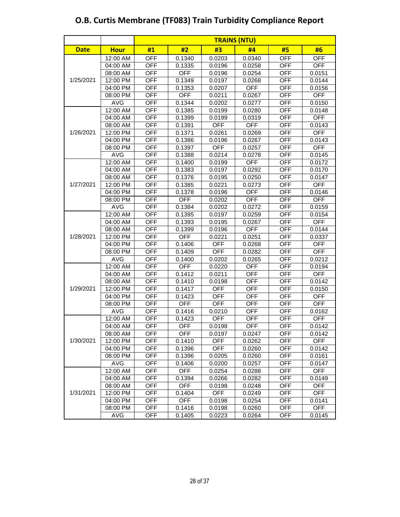|             |             |            |            |            | <b>TRAINS (NTU)</b> |            |            |
|-------------|-------------|------------|------------|------------|---------------------|------------|------------|
| <b>Date</b> | <b>Hour</b> | #1         | #2         | #3         | #4                  | #5         | #6         |
|             | 12:00 AM    | <b>OFF</b> | 0.1340     | 0.0203     | 0.0340              | <b>OFF</b> | <b>OFF</b> |
|             | 04:00 AM    | <b>OFF</b> | 0.1335     | 0.0196     | 0.0258              | <b>OFF</b> | <b>OFF</b> |
|             | 08:00 AM    | <b>OFF</b> | <b>OFF</b> | 0.0196     | 0.0254              | <b>OFF</b> | 0.0151     |
| 1/25/2021   | 12:00 PM    | <b>OFF</b> | 0.1349     | 0.0197     | 0.0268              | <b>OFF</b> | 0.0144     |
|             | 04:00 PM    | <b>OFF</b> | 0.1353     | 0.0207     | <b>OFF</b>          | <b>OFF</b> | 0.0156     |
|             | 08:00 PM    | <b>OFF</b> | <b>OFF</b> | 0.0211     | 0.0267              | <b>OFF</b> | <b>OFF</b> |
|             | <b>AVG</b>  | <b>OFF</b> | 0.1344     | 0.0202     | 0.0277              | <b>OFF</b> | 0.0150     |
|             | 12:00 AM    | <b>OFF</b> | 0.1385     | 0.0199     | 0.0280              | <b>OFF</b> | 0.0148     |
|             | 04:00 AM    | <b>OFF</b> | 0.1399     | 0.0199     | 0.0319              | <b>OFF</b> | <b>OFF</b> |
|             | 08:00 AM    | <b>OFF</b> | 0.1391     | <b>OFF</b> | <b>OFF</b>          | <b>OFF</b> | 0.0143     |
| 1/26/2021   | 12:00 PM    | <b>OFF</b> | 0.1371     | 0.0261     | 0.0269              | <b>OFF</b> | <b>OFF</b> |
|             | 04:00 PM    | <b>OFF</b> | 0.1386     | 0.0196     | 0.0267              | <b>OFF</b> | 0.0143     |
|             | 08:00 PM    | <b>OFF</b> | 0.1397     | <b>OFF</b> | 0.0257              | <b>OFF</b> | <b>OFF</b> |
|             | <b>AVG</b>  | <b>OFF</b> | 0.1388     | 0.0214     | 0.0278              | <b>OFF</b> | 0.0145     |
|             | 12:00 AM    | <b>OFF</b> | 0.1400     | 0.0199     | <b>OFF</b>          | <b>OFF</b> | 0.0172     |
|             | 04:00 AM    | <b>OFF</b> | 0.1383     | 0.0197     | 0.0292              | <b>OFF</b> | 0.0170     |
|             | 08:00 AM    | <b>OFF</b> | 0.1376     | 0.0195     | 0.0250              | <b>OFF</b> | 0.0147     |
| 1/27/2021   | 12:00 PM    | <b>OFF</b> | 0.1385     | 0.0221     | 0.0273              | <b>OFF</b> | <b>OFF</b> |
|             | 04:00 PM    | <b>OFF</b> | 0.1378     | 0.0196     | <b>OFF</b>          | <b>OFF</b> | 0.0146     |
|             | 08:00 PM    | <b>OFF</b> | <b>OFF</b> | 0.0202     | <b>OFF</b>          | <b>OFF</b> | <b>OFF</b> |
|             | <b>AVG</b>  | <b>OFF</b> | 0.1384     | 0.0202     | 0.0272              | <b>OFF</b> | 0.0159     |
|             | 12:00 AM    | <b>OFF</b> | 0.1395     | 0.0197     | 0.0259              | <b>OFF</b> | 0.0154     |
|             | 04:00 AM    | <b>OFF</b> | 0.1393     | 0.0195     | 0.0267              | <b>OFF</b> | <b>OFF</b> |
|             | 08:00 AM    | <b>OFF</b> | 0.1399     | 0.0196     | <b>OFF</b>          | <b>OFF</b> | 0.0144     |
| 1/28/2021   | 12:00 PM    | <b>OFF</b> | <b>OFF</b> | 0.0221     | 0.0251              | <b>OFF</b> | 0.0337     |
|             | 04:00 PM    | <b>OFF</b> | 0.1406     | <b>OFF</b> | 0.0268              | <b>OFF</b> | <b>OFF</b> |
|             | 08:00 PM    | <b>OFF</b> | 0.1409     | <b>OFF</b> | 0.0282              | <b>OFF</b> | <b>OFF</b> |
|             | <b>AVG</b>  | <b>OFF</b> | 0.1400     | 0.0202     | 0.0265              | <b>OFF</b> | 0.0212     |
|             | 12:00 AM    | <b>OFF</b> | <b>OFF</b> | 0.0220     | <b>OFF</b>          | <b>OFF</b> | 0.0194     |
|             | 04:00 AM    | <b>OFF</b> | 0.1412     | 0.0211     | <b>OFF</b>          | <b>OFF</b> | <b>OFF</b> |
|             | 08:00 AM    | <b>OFF</b> | 0.1410     | 0.0198     | <b>OFF</b>          | <b>OFF</b> | 0.0142     |
| 1/29/2021   | 12:00 PM    | <b>OFF</b> | 0.1417     | <b>OFF</b> | <b>OFF</b>          | <b>OFF</b> | 0.0150     |
|             | 04:00 PM    | <b>OFF</b> | 0.1423     | <b>OFF</b> | <b>OFF</b>          | <b>OFF</b> | <b>OFF</b> |
|             | 08:00 PM    | <b>OFF</b> | <b>OFF</b> | <b>OFF</b> | <b>OFF</b>          | <b>OFF</b> | <b>OFF</b> |
|             | <b>AVG</b>  | <b>OFF</b> | 0.1416     | 0.0210     | <b>OFF</b>          | <b>OFF</b> | 0.0162     |
|             | 12:00 AM    | <b>OFF</b> | 0.1423     | <b>OFF</b> | <b>OFF</b>          | <b>OFF</b> | <b>OFF</b> |
|             | 04:00 AM    | <b>OFF</b> | <b>OFF</b> | 0.0198     | OFF                 | <b>OFF</b> | 0.0142     |
|             | 08:00 AM    | <b>OFF</b> | <b>OFF</b> | 0.0197     | 0.0247              | <b>OFF</b> | 0.0142     |
| 1/30/2021   | 12:00 PM    | <b>OFF</b> | 0.1410     | <b>OFF</b> | 0.0262              | <b>OFF</b> | <b>OFF</b> |
|             | 04:00 PM    | <b>OFF</b> | 0.1396     | <b>OFF</b> | 0.0260              | OFF        | 0.0142     |
|             | 08:00 PM    | <b>OFF</b> | 0.1396     | 0.0205     | 0.0260              | <b>OFF</b> | 0.0161     |
|             | <b>AVG</b>  | OFF        | 0.1406     | 0.0200     | 0.0257              | OFF        | 0.0147     |
|             | 12:00 AM    | <b>OFF</b> | <b>OFF</b> | 0.0254     | 0.0288              | <b>OFF</b> | <b>OFF</b> |
|             | 04:00 AM    | <b>OFF</b> | 0.1394     | 0.0266     | 0.0282              | <b>OFF</b> | 0.0149     |
|             | 08:00 AM    | <b>OFF</b> | <b>OFF</b> | 0.0198     | 0.0248              | OFF        | <b>OFF</b> |
| 1/31/2021   | 12:00 PM    | <b>OFF</b> | 0.1404     | <b>OFF</b> | 0.0249              | <b>OFF</b> | <b>OFF</b> |
|             | 04:00 PM    | <b>OFF</b> | <b>OFF</b> | 0.0198     | 0.0254              | <b>OFF</b> | 0.0141     |
|             | 08:00 PM    | <b>OFF</b> | 0.1416     | 0.0198     | 0.0260              | <b>OFF</b> | <b>OFF</b> |
|             | <b>AVG</b>  | <b>OFF</b> | 0.1405     | 0.0223     | 0.0264              | <b>OFF</b> | 0.0145     |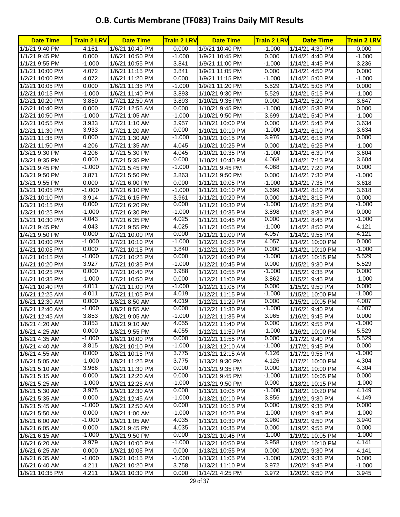### **O.B. Curtis Membrane (TF083) Trains Daily MIT Results**

| <b>Date Time</b> | <b>Train 2 LRV</b> | <b>Date Time</b> | <b>Train 2 LRV</b> | <b>Date Time</b> | <b>Train 2 LRV</b> | <b>Date Time</b> | <b>Train 2 LRV</b> |
|------------------|--------------------|------------------|--------------------|------------------|--------------------|------------------|--------------------|
| 1/1/21 9:40 PM   | 4.161              | 1/6/21 10:40 PM  | 0.000              | 1/9/21 10:40 PM  | $-1.000$           | 1/14/21 4:30 PM  | 0.000              |
| 1/1/21 9:45 PM   | 0.000              | 1/6/21 10:50 PM  | $-1.000$           | 1/9/21 10:45 PM  | 0.000              | 1/14/21 4:40 PM  | $-1.000$           |
| 1/1/21 9:55 PM   | $-1.000$           | 1/6/21 10:55 PM  | 3.841              | 1/9/21 11:00 PM  | $-1.000$           | 1/14/21 4:45 PM  | 3.236              |
| 1/1/21 10:00 PM  | 4.072              | 1/6/21 11:15 PM  | 3.841              | 1/9/21 11:05 PM  | 0.000              | 1/14/21 4:50 PM  | 0.000              |
| 1/2/21 10:00 PM  | 4.072              | 1/6/21 11:20 PM  | 0.000              | 1/9/21 11:15 PM  | $-1.000$           | 1/14/21 5:00 PM  | $-1.000$           |
| 1/2/21 10:05 PM  | 0.000              | 1/6/21 11:35 PM  | $-1.000$           | 1/9/21 11:20 PM  | 5.529              | 1/14/21 5:05 PM  | 0.000              |
| 1/2/21 10:15 PM  | $-1.000$           | 1/6/21 11:40 PM  | 3.893              | 1/10/21 9:30 PM  | 5.529              | 1/14/21 5:15 PM  | $-1.000$           |
| 1/2/21 10:20 PM  | 3.850              | 1/7/21 12:50 AM  | 3.893              | 1/10/21 9:35 PM  | 0.000              | 1/14/21 5:20 PM  | 3.647              |
| 1/2/21 10:40 PM  | 0.000              | 1/7/21 12:55 AM  | 0.000              | 1/10/21 9:45 PM  | $-1.000$           | 1/14/21 5:30 PM  | 0.000              |
| 1/2/21 10:50 PM  | $-1.000$           | 1/7/21 1:05 AM   | $-1.000$           | 1/10/21 9:50 PM  | 3.699              | 1/14/21 5:40 PM  | $-1.000$           |
| 1/2/21 10:55 PM  | 3.933              | 1/7/21 1:10 AM   | 3.957              | 1/10/21 10:00 PM | 0.000              | 1/14/21 5:45 PM  | 3.634              |
| 1/2/21 11:30 PM  | 3.933              | 1/7/21 1:20 AM   | 0.000              | 1/10/21 10:10 PM | $-1.000$           | 1/14/21 6:10 PM  | 3.634              |
| 1/2/21 11:35 PM  | 0.000              | 1/7/21 1:30 AM   | $-1.000$           | 1/10/21 10:15 PM | 3.976              | 1/14/21 6:15 PM  | 0.000              |
| 1/2/21 11:50 PM  | 4.206              | 1/7/21 1:35 AM   | 4.045              | 1/10/21 10:25 PM | 0.000              | 1/14/21 6:25 PM  | $-1.000$           |
| 1/3/21 9:30 PM   | 4.206              | 1/7/21 5:30 PM   | 4.045              | 1/10/21 10:35 PM | $-1.000$           | 1/14/21 6:30 PM  | 3.604              |
| 1/3/21 9:35 PM   | 0.000              | 1/7/21 5:35 PM   | 0.000              | 1/10/21 10:40 PM | 4.068              | 1/14/21 7:15 PM  | 3.604              |
| 1/3/21 9:45 PM   | $-1.000$           | 1/7/21 5:45 PM   | $-1.000$           | 1/11/21 9:45 PM  | 4.068              | 1/14/21 7:20 PM  | 0.000              |
| 1/3/21 9:50 PM   | 3.871              | 1/7/21 5:50 PM   | 3.863              | 1/11/21 9:50 PM  | 0.000              | 1/14/21 7:30 PM  | $-1.000$           |
| 1/3/21 9:55 PM   | 0.000              | 1/7/21 6:00 PM   | 0.000              | 1/11/21 10:05 PM | $-1.000$           | 1/14/21 7:35 PM  | 3.618              |
| 1/3/21 10:05 PM  | $-1.000$           | 1/7/21 6:10 PM   | $-1.000$           | 1/11/21 10:10 PM | 3.699              | 1/14/21 8:10 PM  | 3.618              |
| 1/3/21 10:10 PM  | 3.914              | 1/7/21 6:15 PM   | 3.961              | 1/11/21 10:20 PM | 0.000              | 1/14/21 8:15 PM  | 0.000              |
| 1/3/21 10:15 PM  | 0.000              | 1/7/21 6:20 PM   | 0.000              | 1/11/21 10:30 PM | $-1.000$           | 1/14/21 8:25 PM  | $-1.000$           |
| 1/3/21 10:25 PM  | $-1.000$           | 1/7/21 6:30 PM   | $-1.000$           | 1/11/21 10:35 PM | 3.898              | 1/14/21 8:30 PM  | 0.000              |
| 1/3/21 10:30 PM  | 4.043              | 1/7/21 6:35 PM   | 4.025              | 1/11/21 10:45 PM | 0.000              | 1/14/21 8:45 PM  | $-1.000$           |
| 1/4/21 9:45 PM   | 4.043              | 1/7/21 9:55 PM   | 4.025              | 1/11/21 10:55 PM | $-1.000$           | 1/14/21 8:50 PM  | 4.121              |
| 1/4/21 9:50 PM   | 0.000              | 1/7/21 10:00 PM  | 0.000              | 1/11/21 11:00 PM | 4.057              | 1/14/21 9:55 PM  | 4.121              |
| 1/4/21 10:00 PM  | $-1.000$           | 1/7/21 10:10 PM  | $-1.000$           | 1/12/21 10:25 PM | 4.057              | 1/14/21 10:00 PM | 0.000              |
| 1/4/21 10:05 PM  | 0.000              | 1/7/21 10:15 PM  | 3.840              | 1/12/21 10:30 PM | 0.000              | 1/14/21 10:10 PM | $-1.000$           |
| 1/4/21 10:15 PM  | $-1.000$           | 1/7/21 10:25 PM  | 0.000              | 1/12/21 10:40 PM | $-1.000$           | 1/14/21 10:15 PM | 5.529              |
| 1/4/21 10:20 PM  | 3.927              | 1/7/21 10:35 PM  | $-1.000$           | 1/12/21 10:45 PM | 0.000              | 1/15/21 9:30 PM  | 5.529              |
| 1/4/21 10:25 PM  | 0.000              | 1/7/21 10:40 PM  | 3.988              | 1/12/21 10:55 PM | $-1.000$           | 1/15/21 9:35 PM  | 0.000              |
| 1/4/21 10:35 PM  | $-1.000$           | 1/7/21 10:50 PM  | 0.000              | 1/12/21 11:00 PM | 3.862              | 1/15/21 9:45 PM  | $-1.000$           |
| 1/4/21 10:40 PM  | 4.011              | 1/7/21 11:00 PM  | $-1.000$           | 1/12/21 11:05 PM | 0.000              | 1/15/21 9:50 PM  | 0.000              |
| 1/6/21 12:25 AM  | 4.011              | 1/7/21 11:05 PM  | 4.019              | 1/12/21 11:15 PM | $-1.000$           | 1/15/21 10:00 PM | $-1.000$           |
| 1/6/21 12:30 AM  | 0.000              | 1/8/21 8:50 AM   | 4.019              | 1/12/21 11:20 PM | 0.000              | 1/15/21 10:05 PM | 4.007              |
| 1/6/21 12:40 AM  | $-1.000$           | 1/8/21 8:55 AM   | 0.000              | 1/12/21 11:30 PM | $-1.000$           | 1/16/21 9:40 PM  | 4.007              |
| 1/6/21 12:45 AM  | 3.853              | 1/8/21 9:05 AM   | $-1.000$           | 1/12/21 11:35 PM | 3.965              | 1/16/21 9:45 PM  | 0.000              |
| 1/6/21 4:20 AM   | 3.853              | 1/8/21 9:10 AM   | 4.055              | 1/12/21 11:40 PM | 0.000              | 1/16/21 9:55 PM  | $-1.000$           |
| 1/6/21 4:25 AM   | 0.000              | 1/8/21 9:55 PM   | 4.055              | 1/12/21 11:50 PM | $-1.000$           | 1/16/21 10:00 PM | 5.529              |
| 1/6/21 4:35 AM   | $-1.000$           | 1/8/21 10:00 PM  | 0.000              | 1/12/21 11:55 PM | 0.000              | 1/17/21 9:40 PM  | 5.529              |
| 1/6/21 4:40 AM   | 3.815              | 1/8/21 10:10 PM  | $-1.000$           | 1/13/21 12:10 AM | $-1.000$           | 1/17/21 9:45 PM  | 0.000              |
| 1/6/21 4:55 AM   | 0.000              | 1/8/21 10:15 PM  | 3.775              | 1/13/21 12:15 AM | 4.126              | 1/17/21 9:55 PM  | $-1.000$           |
| 1/6/21 5:05 AM   | $-1.000$           | 1/8/21 11:25 PM  | 3.775              | 1/13/21 9:30 PM  | 4.126              | 1/17/21 10:00 PM | 4.304              |
| 1/6/21 5:10 AM   | 3.966              | 1/8/21 11:30 PM  | 0.000              | 1/13/21 9:35 PM  | 0.000              | 1/18/21 10:00 PM | 4.304              |
| 1/6/21 5:15 AM   | 0.000              | 1/9/21 12:20 AM  | 0.000              | 1/13/21 9:45 PM  | $-1.000$           | 1/18/21 10:05 PM | 0.000              |
| 1/6/21 5:25 AM   | $-1.000$           | 1/9/21 12:25 AM  | $-1.000$           | 1/13/21 9:50 PM  | 0.000              | 1/18/21 10:15 PM | $-1.000$           |
| 1/6/21 5:30 AM   | 3.975              | 1/9/21 12:30 AM  | 0.000              | 1/13/21 10:05 PM | $-1.000$           | 1/18/21 10:20 PM | 4.149              |
| 1/6/21 5:35 AM   | 0.000              | 1/9/21 12:45 AM  | $-1.000$           | 1/13/21 10:10 PM | 3.856              | 1/19/21 9:30 PM  | 4.149              |
| 1/6/21 5:45 AM   | $-1.000$           | 1/9/21 12:50 AM  | 0.000              | 1/13/21 10:15 PM | 0.000              | 1/19/21 9:35 PM  | 0.000              |
| 1/6/21 5:50 AM   | 0.000              | 1/9/21 1:00 AM   | $-1.000$           | 1/13/21 10:25 PM | $-1.000$           | 1/19/21 9:45 PM  | $-1.000$           |
| 1/6/21 6:00 AM   | $-1.000$           | 1/9/21 1:05 AM   | 4.035              | 1/13/21 10:30 PM | 3.960              | 1/19/21 9:50 PM  | 3.940              |
| 1/6/21 6:05 AM   | 0.000              | 1/9/21 9:45 PM   | 4.035              | 1/13/21 10:35 PM | 0.000              | 1/19/21 9:55 PM  | 0.000              |
| 1/6/21 6:15 AM   | $-1.000$           | 1/9/21 9:50 PM   | 0.000              | 1/13/21 10:45 PM | $-1.000$           | 1/19/21 10:05 PM | $-1.000$           |
| 1/6/21 6:20 AM   | 3.979              | 1/9/21 10:00 PM  | $-1.000$           | 1/13/21 10:50 PM | 3.958              | 1/19/21 10:10 PM | 4.141              |
| 1/6/21 6:25 AM   | 0.000              | 1/9/21 10:05 PM  | 0.000              | 1/13/21 10:55 PM | 0.000              | 1/20/21 9:30 PM  | 4.141              |
| 1/6/21 6:35 AM   | $-1.000$           | 1/9/21 10:15 PM  | $-1.000$           | 1/13/21 11:05 PM | $-1.000$           | 1/20/21 9:35 PM  | 0.000              |
| 1/6/21 6:40 AM   | 4.211              | 1/9/21 10:20 PM  | 3.758              | 1/13/21 11:10 PM | 3.972              | 1/20/21 9:45 PM  | $-1.000$           |
| 1/6/21 10:35 PM  | 4.211              | 1/9/21 10:30 PM  | 0.000              | 1/14/21 4:25 PM  | 3.972              | 1/20/21 9:50 PM  | 3.945              |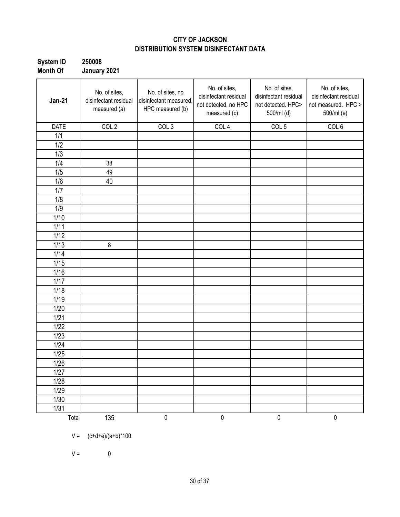#### **CITY OF JACKSON DISTRIBUTION SYSTEM DISINFECTANT DATA**

| <b>System ID</b> | 250008       |
|------------------|--------------|
| <b>Month Of</b>  | January 2021 |

| <b>Jan-21</b> | No. of sites,<br>disinfectant residual<br>measured (a) | No. of sites, no<br>disinfectant measured,<br>HPC measured (b) | No. of sites,<br>disinfectant residual<br>not detected, no HPC<br>measured (c) | No. of sites,<br>disinfectant residual<br>not detected. HPC><br>500/ml (d) | No. of sites,<br>disinfectant residual<br>not measured. HPC ><br>500/ml (e) |
|---------------|--------------------------------------------------------|----------------------------------------------------------------|--------------------------------------------------------------------------------|----------------------------------------------------------------------------|-----------------------------------------------------------------------------|
| <b>DATE</b>   | COL <sub>2</sub>                                       | COL <sub>3</sub>                                               | COL 4                                                                          | COL <sub>5</sub>                                                           | COL <sub>6</sub>                                                            |
| 1/1           |                                                        |                                                                |                                                                                |                                                                            |                                                                             |
| 1/2           |                                                        |                                                                |                                                                                |                                                                            |                                                                             |
| 1/3           |                                                        |                                                                |                                                                                |                                                                            |                                                                             |
| 1/4           | 38                                                     |                                                                |                                                                                |                                                                            |                                                                             |
| 1/5           | 49                                                     |                                                                |                                                                                |                                                                            |                                                                             |
| 1/6           | 40                                                     |                                                                |                                                                                |                                                                            |                                                                             |
| 1/7           |                                                        |                                                                |                                                                                |                                                                            |                                                                             |
| 1/8           |                                                        |                                                                |                                                                                |                                                                            |                                                                             |
| 1/9           |                                                        |                                                                |                                                                                |                                                                            |                                                                             |
| 1/10          |                                                        |                                                                |                                                                                |                                                                            |                                                                             |
| 1/11          |                                                        |                                                                |                                                                                |                                                                            |                                                                             |
| 1/12          |                                                        |                                                                |                                                                                |                                                                            |                                                                             |
| 1/13          | $\,8\,$                                                |                                                                |                                                                                |                                                                            |                                                                             |
| 1/14          |                                                        |                                                                |                                                                                |                                                                            |                                                                             |
| 1/15          |                                                        |                                                                |                                                                                |                                                                            |                                                                             |
| 1/16          |                                                        |                                                                |                                                                                |                                                                            |                                                                             |
| 1/17          |                                                        |                                                                |                                                                                |                                                                            |                                                                             |
| 1/18          |                                                        |                                                                |                                                                                |                                                                            |                                                                             |
| 1/19          |                                                        |                                                                |                                                                                |                                                                            |                                                                             |
| 1/20          |                                                        |                                                                |                                                                                |                                                                            |                                                                             |
| 1/21          |                                                        |                                                                |                                                                                |                                                                            |                                                                             |
| 1/22          |                                                        |                                                                |                                                                                |                                                                            |                                                                             |
| 1/23          |                                                        |                                                                |                                                                                |                                                                            |                                                                             |
| 1/24          |                                                        |                                                                |                                                                                |                                                                            |                                                                             |
| 1/25          |                                                        |                                                                |                                                                                |                                                                            |                                                                             |
| 1/26          |                                                        |                                                                |                                                                                |                                                                            |                                                                             |
| 1/27          |                                                        |                                                                |                                                                                |                                                                            |                                                                             |
| 1/28          |                                                        |                                                                |                                                                                |                                                                            |                                                                             |
| 1/29          |                                                        |                                                                |                                                                                |                                                                            |                                                                             |
| $1/30$        |                                                        |                                                                |                                                                                |                                                                            |                                                                             |
| 1/31          |                                                        |                                                                |                                                                                |                                                                            |                                                                             |
| Total         | 135                                                    | $\pmb{0}$                                                      | $\pmb{0}$                                                                      | $\pmb{0}$                                                                  | $\pmb{0}$                                                                   |

 $V = (c+d+e)/(a+b)^*100$ 

 $V = 0$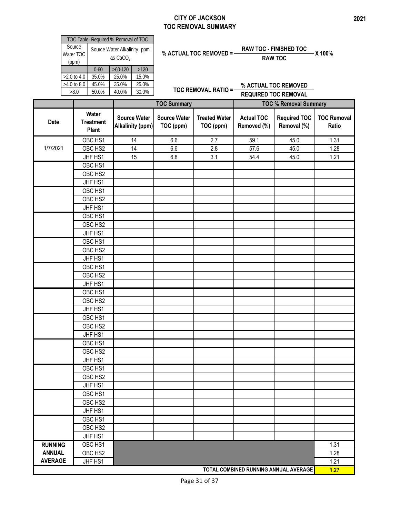#### **CITY OF JACKSON TOC REMOVAL SUMMARY**

| TOC Table- Required % Removal of TOC |                                                      |           |       |  |  |  |  |
|--------------------------------------|------------------------------------------------------|-----------|-------|--|--|--|--|
| Source<br>Water TOC<br>(ppm)         | Source Water Alkalinity, ppm<br>as CaCO <sub>3</sub> |           |       |  |  |  |  |
|                                      | $0 - 60$                                             | $>60-120$ | >120  |  |  |  |  |
| $>2.0$ to 4.0                        | 35.0%                                                | 25.0%     | 15.0% |  |  |  |  |
| $>4.0$ to 8.0                        | 45.0%                                                | 35.0%     | 25.0% |  |  |  |  |
| >8.0                                 | 50.0%                                                | 40.0%     | 30.0% |  |  |  |  |

% ACTUAL TOC REMOVED = 
$$
\frac{RAW\ TOC - FINISHED\ TOC}{RAW\ TOC} \times 100\%
$$

**TOC REMOVAL RATIO = % ACTUAL TOC REMOVED REQUIRED TOC REMOVAL**

|                |                                    |                                                | <b>TOC Summary</b>               |                                   | <b>TOC % Removal Summary</b>     |                                       |                             |
|----------------|------------------------------------|------------------------------------------------|----------------------------------|-----------------------------------|----------------------------------|---------------------------------------|-----------------------------|
| <b>Date</b>    | Water<br><b>Treatment</b><br>Plant | <b>Source Water</b><br><b>Alkalinity (ppm)</b> | <b>Source Water</b><br>TOC (ppm) | <b>Treated Water</b><br>TOC (ppm) | <b>Actual TOC</b><br>Removed (%) | <b>Required TOC</b><br>Removal (%)    | <b>TOC Removal</b><br>Ratio |
|                | OBC HS1                            | $\overline{14}$                                | 6.6                              | 2.7                               | 59.1                             | 45.0                                  | 1.31                        |
| 1/7/2021       | OBC HS2                            | 14                                             | 6.6                              | 2.8                               | 57.6                             | 45.0                                  | 1.28                        |
|                | JHF HS1                            | 15                                             | 6.8                              | 3.1                               | 54.4                             | 45.0                                  | 1.21                        |
|                | OBC HS1                            |                                                |                                  |                                   |                                  |                                       |                             |
|                | OBC HS2                            |                                                |                                  |                                   |                                  |                                       |                             |
|                | JHF HS1                            |                                                |                                  |                                   |                                  |                                       |                             |
|                | OBC HS1                            |                                                |                                  |                                   |                                  |                                       |                             |
|                | OBC HS2                            |                                                |                                  |                                   |                                  |                                       |                             |
|                | JHF HS1                            |                                                |                                  |                                   |                                  |                                       |                             |
|                | OBC HS1                            |                                                |                                  |                                   |                                  |                                       |                             |
|                | OBC HS2                            |                                                |                                  |                                   |                                  |                                       |                             |
|                | JHF HS1                            |                                                |                                  |                                   |                                  |                                       |                             |
|                | OBC HS1                            |                                                |                                  |                                   |                                  |                                       |                             |
|                | OBC HS2                            |                                                |                                  |                                   |                                  |                                       |                             |
|                | JHF HS1                            |                                                |                                  |                                   |                                  |                                       |                             |
|                | OBC HS1                            |                                                |                                  |                                   |                                  |                                       |                             |
|                | OBC HS2                            |                                                |                                  |                                   |                                  |                                       |                             |
|                | JHF HS1                            |                                                |                                  |                                   |                                  |                                       |                             |
|                | OBC HS1                            |                                                |                                  |                                   |                                  |                                       |                             |
|                | OBC HS2                            |                                                |                                  |                                   |                                  |                                       |                             |
|                | JHF HS1                            |                                                |                                  |                                   |                                  |                                       |                             |
|                | OBC HS1                            |                                                |                                  |                                   |                                  |                                       |                             |
|                | OBC HS2                            |                                                |                                  |                                   |                                  |                                       |                             |
|                | JHF HS1                            |                                                |                                  |                                   |                                  |                                       |                             |
|                | OBC HS1                            |                                                |                                  |                                   |                                  |                                       |                             |
|                | OBC HS2                            |                                                |                                  |                                   |                                  |                                       |                             |
|                | JHF HS1                            |                                                |                                  |                                   |                                  |                                       |                             |
|                | OBC HS1                            |                                                |                                  |                                   |                                  |                                       |                             |
|                | OBC HS2                            |                                                |                                  |                                   |                                  |                                       |                             |
|                | JHF HS1                            |                                                |                                  |                                   |                                  |                                       |                             |
|                | OBC HS1                            |                                                |                                  |                                   |                                  |                                       |                             |
|                | OBC HS2                            |                                                |                                  |                                   |                                  |                                       |                             |
|                | JHF HS1                            |                                                |                                  |                                   |                                  |                                       |                             |
|                | OBC HS1                            |                                                |                                  |                                   |                                  |                                       |                             |
|                | OBC HS2                            |                                                |                                  |                                   |                                  |                                       |                             |
|                | JHF HS1                            |                                                |                                  |                                   |                                  |                                       |                             |
| <b>RUNNING</b> | OBC HS1                            |                                                |                                  |                                   |                                  |                                       | 1.31                        |
| <b>ANNUAL</b>  | OBC HS2                            |                                                |                                  |                                   |                                  |                                       | 1.28                        |
| <b>AVERAGE</b> | JHF HS1                            |                                                |                                  |                                   |                                  |                                       | 1.21                        |
|                |                                    |                                                |                                  |                                   |                                  | TOTAL COMBINED RUNNING ANNUAL AVERAGE | 1.27                        |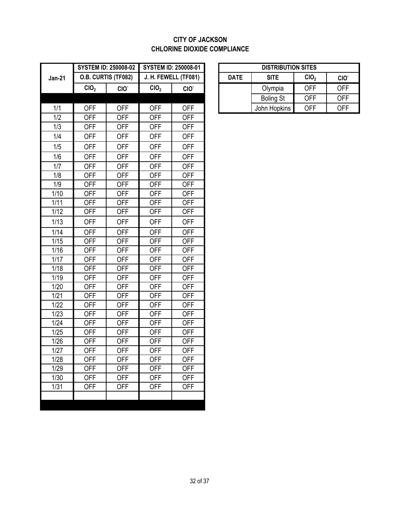#### **CITY OF JACKSON CHLORINE DIOXIDE COMPLIANCE**

|               | <b>SYSTEM ID: 250008-02</b> |                     | <b>SYSTEM ID: 250008-01</b> |                  | <b>DISTRIBUTION SITES</b> |             |                  |                  |                  |
|---------------|-----------------------------|---------------------|-----------------------------|------------------|---------------------------|-------------|------------------|------------------|------------------|
| <b>Jan-21</b> |                             | O.B. CURTIS (TF082) | J. H. FEWELL (TF081)        |                  |                           | <b>DATE</b> | <b>SITE</b>      | CIO <sub>2</sub> | CIO <sup>-</sup> |
|               | CIO <sub>2</sub>            | CIO <sup>-</sup>    | CIO <sub>2</sub>            | CIO <sup>-</sup> |                           |             | Olympia          | <b>OFF</b>       | <b>OFF</b>       |
|               |                             |                     |                             |                  |                           |             | <b>Boling St</b> | <b>OFF</b>       | <b>OFF</b>       |
| 1/1           | <b>OFF</b>                  | <b>OFF</b>          | <b>OFF</b>                  | <b>OFF</b>       |                           |             | John Hopkins     | <b>OFF</b>       | <b>OFF</b>       |
| 1/2           | <b>OFF</b>                  | <b>OFF</b>          | <b>OFF</b>                  | <b>OFF</b>       |                           |             |                  |                  |                  |
| 1/3           | <b>OFF</b>                  | <b>OFF</b>          | <b>OFF</b>                  | <b>OFF</b>       |                           |             |                  |                  |                  |
| 1/4           | <b>OFF</b>                  | <b>OFF</b>          | <b>OFF</b>                  | <b>OFF</b>       |                           |             |                  |                  |                  |
| 1/5           | <b>OFF</b>                  | <b>OFF</b>          | <b>OFF</b>                  | <b>OFF</b>       |                           |             |                  |                  |                  |
| 1/6           | <b>OFF</b>                  | <b>OFF</b>          | <b>OFF</b>                  | <b>OFF</b>       |                           |             |                  |                  |                  |
| 1/7           | <b>OFF</b>                  | <b>OFF</b>          | <b>OFF</b>                  | <b>OFF</b>       |                           |             |                  |                  |                  |
| 1/8           | <b>OFF</b>                  | <b>OFF</b>          | <b>OFF</b>                  | <b>OFF</b>       |                           |             |                  |                  |                  |
| 1/9           | <b>OFF</b>                  | <b>OFF</b>          | <b>OFF</b>                  | <b>OFF</b>       |                           |             |                  |                  |                  |
| 1/10          | <b>OFF</b>                  | <b>OFF</b>          | <b>OFF</b>                  | <b>OFF</b>       |                           |             |                  |                  |                  |
| 1/11          | <b>OFF</b>                  | <b>OFF</b>          | <b>OFF</b>                  | <b>OFF</b>       |                           |             |                  |                  |                  |
| 1/12          | <b>OFF</b>                  | <b>OFF</b>          | <b>OFF</b>                  | <b>OFF</b>       |                           |             |                  |                  |                  |
| 1/13          | <b>OFF</b>                  | <b>OFF</b>          | <b>OFF</b>                  | <b>OFF</b>       |                           |             |                  |                  |                  |
| 1/14          | <b>OFF</b>                  | <b>OFF</b>          | <b>OFF</b>                  | <b>OFF</b>       |                           |             |                  |                  |                  |
| 1/15          | <b>OFF</b>                  | <b>OFF</b>          | <b>OFF</b>                  | <b>OFF</b>       |                           |             |                  |                  |                  |
| 1/16          | <b>OFF</b>                  | <b>OFF</b>          | <b>OFF</b>                  | <b>OFF</b>       |                           |             |                  |                  |                  |
| 1/17          | <b>OFF</b>                  | <b>OFF</b>          | <b>OFF</b>                  | <b>OFF</b>       |                           |             |                  |                  |                  |
| 1/18          | <b>OFF</b>                  | <b>OFF</b>          | <b>OFF</b>                  | <b>OFF</b>       |                           |             |                  |                  |                  |
| 1/19          | <b>OFF</b>                  | <b>OFF</b>          | <b>OFF</b>                  | <b>OFF</b>       |                           |             |                  |                  |                  |
| 1/20          | <b>OFF</b>                  | <b>OFF</b>          | <b>OFF</b>                  | <b>OFF</b>       |                           |             |                  |                  |                  |
| 1/21          | <b>OFF</b>                  | <b>OFF</b>          | <b>OFF</b>                  | <b>OFF</b>       |                           |             |                  |                  |                  |
| 1/22          | <b>OFF</b>                  | <b>OFF</b>          | <b>OFF</b>                  | <b>OFF</b>       |                           |             |                  |                  |                  |
| 1/23          | <b>OFF</b>                  | <b>OFF</b>          | <b>OFF</b>                  | <b>OFF</b>       |                           |             |                  |                  |                  |
| 1/24          | <b>OFF</b>                  | <b>OFF</b>          | <b>OFF</b>                  | <b>OFF</b>       |                           |             |                  |                  |                  |
| 1/25          | <b>OFF</b>                  | <b>OFF</b>          | <b>OFF</b>                  | <b>OFF</b>       |                           |             |                  |                  |                  |
| 1/26          | <b>OFF</b>                  | <b>OFF</b>          | <b>OFF</b>                  | <b>OFF</b>       |                           |             |                  |                  |                  |
| 1/27          | <b>OFF</b>                  | <b>OFF</b>          | <b>OFF</b>                  | <b>OFF</b>       |                           |             |                  |                  |                  |
| 1/28          | <b>OFF</b>                  | <b>OFF</b>          | <b>OFF</b>                  | <b>OFF</b>       |                           |             |                  |                  |                  |
| 1/29          | <b>OFF</b>                  | <b>OFF</b>          | <b>OFF</b>                  | <b>OFF</b>       |                           |             |                  |                  |                  |
| 1/30          | <b>OFF</b>                  | <b>OFF</b>          | <b>OFF</b>                  | <b>OFF</b>       |                           |             |                  |                  |                  |
| 1/31          | <b>OFF</b>                  | <b>OFF</b>          | <b>OFF</b>                  | <b>OFF</b>       |                           |             |                  |                  |                  |
|               |                             |                     |                             |                  |                           |             |                  |                  |                  |

|                           | STEM ID: 250008-02 | <b>SYSTEM ID: 250008-01</b> |                  | <b>DISTRIBUTION SITES</b>                      |                  |            |                  |  |
|---------------------------|--------------------|-----------------------------|------------------|------------------------------------------------|------------------|------------|------------------|--|
| <b>.B. CURTIS (TF082)</b> |                    | J. H. FEWELL (TF081)        |                  | CIO <sub>2</sub><br><b>DATE</b><br><b>SITE</b> |                  |            | CIO <sup>.</sup> |  |
| CIO <sub>2</sub>          | CIO <sup>-</sup>   | CIO <sub>2</sub>            | CIO <sup>-</sup> |                                                | Olympia          | <b>OFF</b> | <b>OFF</b>       |  |
|                           |                    |                             |                  |                                                | <b>Boling St</b> | <b>OFF</b> | <b>OFF</b>       |  |
| OFF                       | <b>OFF</b>         | OFF                         | OFF              |                                                | John Hopkins     | <b>OFF</b> | <b>OFF</b>       |  |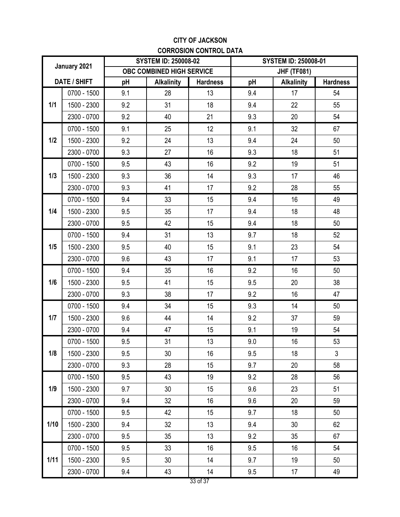### **CITY OF JACKSON CORROSION CONTROL DATA**

| January 2021        |             |                           | <b>SYSTEM ID: 250008-02</b> |                 | <b>SYSTEM ID: 250008-01</b> |                   |                 |  |
|---------------------|-------------|---------------------------|-----------------------------|-----------------|-----------------------------|-------------------|-----------------|--|
|                     |             | OBC COMBINED HIGH SERVICE |                             |                 | <b>JHF (TF081)</b>          |                   |                 |  |
| <b>DATE / SHIFT</b> |             | pH                        | <b>Alkalinity</b>           | <b>Hardness</b> | pH                          | <b>Alkalinity</b> | <b>Hardness</b> |  |
| 1/1                 | 0700 - 1500 | 9.1                       | 28                          | 13              | 9.4                         | 17                | 54              |  |
|                     | 1500 - 2300 | 9.2                       | 31                          | 18              | 9.4                         | 22                | 55              |  |
|                     | 2300 - 0700 | 9.2                       | 40                          | 21              | 9.3                         | 20                | 54              |  |
|                     | 0700 - 1500 | 9.1                       | 25                          | 12              | 9.1                         | 32                | 67              |  |
| 1/2                 | 1500 - 2300 | 9.2                       | 24                          | 13              | 9.4                         | 24                | 50              |  |
|                     | 2300 - 0700 | 9.3                       | 27                          | 16              | 9.3                         | 18                | 51              |  |
|                     | 0700 - 1500 | 9.5                       | 43                          | 16              | 9.2                         | 19                | 51              |  |
| 1/3                 | 1500 - 2300 | 9.3                       | 36                          | 14              | 9.3                         | 17                | 46              |  |
|                     | 2300 - 0700 | 9.3                       | 41                          | 17              | 9.2                         | 28                | 55              |  |
|                     | 0700 - 1500 | 9.4                       | 33                          | 15              | 9.4                         | 16                | 49              |  |
| 1/4                 | 1500 - 2300 | 9.5                       | 35                          | 17              | 9.4                         | 18                | 48              |  |
|                     | 2300 - 0700 | 9.5                       | 42                          | 15              | 9.4                         | 18                | 50              |  |
|                     | 0700 - 1500 | 9.4                       | 31                          | 13              | 9.7                         | 18                | 52              |  |
| 1/5                 | 1500 - 2300 | 9.5                       | 40                          | 15              | 9.1                         | 23                | 54              |  |
|                     | 2300 - 0700 | 9.6                       | 43                          | 17              | 9.1                         | 17                | 53              |  |
|                     | 0700 - 1500 | 9.4                       | 35                          | 16              | 9.2                         | 16                | 50              |  |
| 1/6                 | 1500 - 2300 | 9.5                       | 41                          | 15              | 9.5                         | 20                | 38              |  |
|                     | 2300 - 0700 | 9.3                       | 38                          | 17              | 9.2                         | 16                | 47              |  |
|                     | 0700 - 1500 | 9.4                       | 34                          | 15              | 9.3                         | 14                | 50              |  |
| 1/7                 | 1500 - 2300 | 9.6                       | 44                          | 14              | 9.2                         | 37                | 59              |  |
|                     | 2300 - 0700 | 9.4                       | 47                          | 15              | 9.1                         | 19                | 54              |  |
|                     | 0700 - 1500 | 9.5                       | 31                          | 13              | 9.0                         | 16                | 53              |  |
| 1/8                 | 1500 - 2300 | 9.5                       | 30                          | 16              | 9.5                         | 18                | 3               |  |
|                     | 2300 - 0700 | 9.3                       | 28                          | 15              | 9.7                         | 20                | 58              |  |
|                     | 0700 - 1500 | 9.5                       | 43                          | 19              | 9.2                         | 28                | 56              |  |
| 1/9                 | 1500 - 2300 | 9.7                       | 30                          | 15              | 9.6                         | 23                | 51              |  |
|                     | 2300 - 0700 | 9.4                       | 32                          | 16              | 9.6                         | 20                | 59              |  |
| 1/10                | 0700 - 1500 | 9.5                       | 42                          | 15              | 9.7                         | 18                | 50              |  |
|                     | 1500 - 2300 | 9.4                       | 32                          | 13              | 9.4                         | 30                | 62              |  |
|                     | 2300 - 0700 | 9.5                       | 35                          | 13              | 9.2                         | 35                | 67              |  |
|                     | 0700 - 1500 | 9.5                       | 33                          | 16              | 9.5                         | 16                | 54              |  |
| $1/11$              | 1500 - 2300 | 9.5                       | 30                          | 14              | 9.7                         | 19                | 50              |  |
|                     | 2300 - 0700 | 9.4                       | 43                          | 14              | 9.5                         | 17                | 49              |  |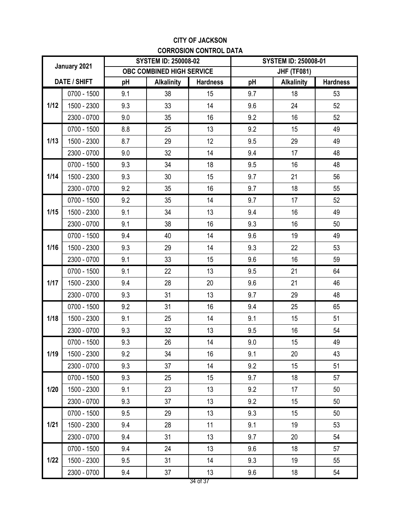### **CITY OF JACKSON CORROSION CONTROL DATA**

| January 2021        |             |                           | <b>SYSTEM ID: 250008-02</b> |                 | <b>SYSTEM ID: 250008-01</b> |                   |                 |  |
|---------------------|-------------|---------------------------|-----------------------------|-----------------|-----------------------------|-------------------|-----------------|--|
|                     |             | OBC COMBINED HIGH SERVICE |                             |                 | <b>JHF (TF081)</b>          |                   |                 |  |
| <b>DATE / SHIFT</b> |             | pH                        | <b>Alkalinity</b>           | <b>Hardness</b> | pH                          | <b>Alkalinity</b> | <b>Hardness</b> |  |
| $1/12$              | 0700 - 1500 | 9.1                       | 38                          | 15              | 9.7                         | 18                | 53              |  |
|                     | 1500 - 2300 | 9.3                       | 33                          | 14              | 9.6                         | 24                | 52              |  |
|                     | 2300 - 0700 | 9.0                       | 35                          | 16              | 9.2                         | 16                | 52              |  |
|                     | 0700 - 1500 | 8.8                       | 25                          | 13              | 9.2                         | 15                | 49              |  |
| 1/13                | 1500 - 2300 | 8.7                       | 29                          | 12              | 9.5                         | 29                | 49              |  |
|                     | 2300 - 0700 | 9.0                       | 32                          | 14              | 9.4                         | 17                | 48              |  |
|                     | 0700 - 1500 | 9.3                       | 34                          | 18              | 9.5                         | 16                | 48              |  |
| 1/14                | 1500 - 2300 | 9.3                       | 30                          | 15              | 9.7                         | 21                | 56              |  |
|                     | 2300 - 0700 | 9.2                       | 35                          | 16              | 9.7                         | 18                | 55              |  |
|                     | 0700 - 1500 | 9.2                       | 35                          | 14              | 9.7                         | 17                | 52              |  |
| 1/15                | 1500 - 2300 | 9.1                       | 34                          | 13              | 9.4                         | 16                | 49              |  |
|                     | 2300 - 0700 | 9.1                       | 38                          | 16              | 9.3                         | 16                | 50              |  |
|                     | 0700 - 1500 | 9.4                       | 40                          | 14              | 9.6                         | 19                | 49              |  |
| 1/16                | 1500 - 2300 | 9.3                       | 29                          | 14              | 9.3                         | 22                | 53              |  |
|                     | 2300 - 0700 | 9.1                       | 33                          | 15              | 9.6                         | 16                | 59              |  |
|                     | 0700 - 1500 | 9.1                       | 22                          | 13              | 9.5                         | 21                | 64              |  |
| 1/17                | 1500 - 2300 | 9.4                       | 28                          | 20              | 9.6                         | 21                | 46              |  |
|                     | 2300 - 0700 | 9.3                       | 31                          | 13              | 9.7                         | 29                | 48              |  |
|                     | 0700 - 1500 | 9.2                       | 31                          | 16              | 9.4                         | 25                | 65              |  |
| 1/18                | 1500 - 2300 | 9.1                       | 25                          | 14              | 9.1                         | 15                | 51              |  |
|                     | 2300 - 0700 | 9.3                       | 32                          | 13              | 9.5                         | 16                | 54              |  |
|                     | 0700 - 1500 | 9.3                       | 26                          | 14              | 9.0                         | 15                | 49              |  |
| 1/19                | 1500 - 2300 | 9.2                       | 34                          | 16              | 9.1                         | 20                | 43              |  |
|                     | 2300 - 0700 | 9.3                       | 37                          | 14              | 9.2                         | 15                | 51              |  |
|                     | 0700 - 1500 | 9.3                       | 25                          | 15              | 9.7                         | 18                | 57              |  |
| 1/20                | 1500 - 2300 | 9.1                       | 23                          | 13              | 9.2                         | 17                | 50              |  |
|                     | 2300 - 0700 | 9.3                       | 37                          | 13              | 9.2                         | 15                | 50              |  |
| $1/21$              | 0700 - 1500 | 9.5                       | 29                          | 13              | 9.3                         | 15                | 50              |  |
|                     | 1500 - 2300 | 9.4                       | 28                          | 11              | 9.1                         | 19                | 53              |  |
|                     | 2300 - 0700 | 9.4                       | 31                          | 13              | 9.7                         | 20                | 54              |  |
|                     | 0700 - 1500 | 9.4                       | 24                          | 13              | 9.6                         | 18                | 57              |  |
| $1/22$              | 1500 - 2300 | 9.5                       | 31                          | 14              | 9.3                         | 19                | 55              |  |
|                     | 2300 - 0700 | 9.4                       | 37                          | 13              | 9.6                         | 18                | 54              |  |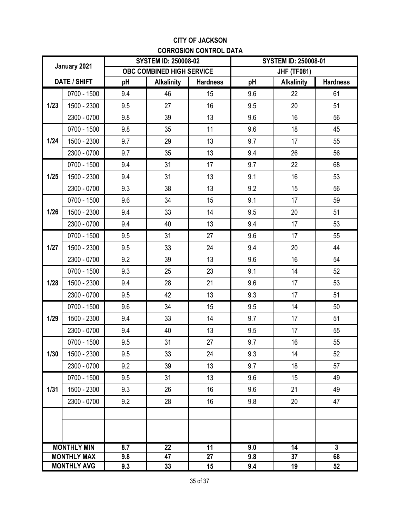### **CITY OF JACKSON CORROSION CONTROL DATA**

| January 2021        |                    |     | <b>SYSTEM ID: 250008-02</b> |                 | <b>SYSTEM ID: 250008-01</b> |                   |                 |  |
|---------------------|--------------------|-----|-----------------------------|-----------------|-----------------------------|-------------------|-----------------|--|
|                     |                    |     | OBC COMBINED HIGH SERVICE   |                 | <b>JHF (TF081)</b>          |                   |                 |  |
| <b>DATE / SHIFT</b> |                    | pH  | <b>Alkalinity</b>           | <b>Hardness</b> | pH                          | <b>Alkalinity</b> | <b>Hardness</b> |  |
|                     | 0700 - 1500        | 9.4 | 46                          | 15              | 9.6                         | 22                | 61              |  |
| 1/23                | 1500 - 2300        | 9.5 | 27                          | 16              | 9.5                         | 20                | 51              |  |
|                     | 2300 - 0700        | 9.8 | 39                          | 13              | 9.6                         | 16                | 56              |  |
|                     | 0700 - 1500        | 9.8 | 35                          | 11              | 9.6                         | 18                | 45              |  |
| 1/24                | 1500 - 2300        | 9.7 | 29                          | 13              | 9.7                         | 17                | 55              |  |
|                     | 2300 - 0700        | 9.7 | 35                          | 13              | 9.4                         | 26                | 56              |  |
|                     | 0700 - 1500        | 9.4 | 31                          | 17              | 9.7                         | 22                | 68              |  |
| 1/25                | 1500 - 2300        | 9.4 | 31                          | 13              | 9.1                         | 16                | 53              |  |
|                     | 2300 - 0700        | 9.3 | 38                          | 13              | 9.2                         | 15                | 56              |  |
|                     | 0700 - 1500        | 9.6 | 34                          | 15              | 9.1                         | 17                | 59              |  |
| 1/26                | 1500 - 2300        | 9.4 | 33                          | 14              | 9.5                         | 20                | 51              |  |
|                     | 2300 - 0700        | 9.4 | 40                          | 13              | 9.4                         | 17                | 53              |  |
|                     | 0700 - 1500        | 9.5 | 31                          | 27              | 9.6                         | 17                | 55              |  |
| 1/27                | 1500 - 2300        | 9.5 | 33                          | 24              | 9.4                         | 20                | 44              |  |
|                     | 2300 - 0700        | 9.2 | 39                          | 13              | 9.6                         | 16                | 54              |  |
|                     | 0700 - 1500        | 9.3 | 25                          | 23              | 9.1                         | 14                | 52              |  |
| 1/28                | 1500 - 2300        | 9.4 | 28                          | 21              | 9.6                         | 17                | 53              |  |
|                     | 2300 - 0700        | 9.5 | 42                          | 13              | 9.3                         | 17                | 51              |  |
|                     | 0700 - 1500        | 9.6 | 34                          | 15              | 9.5                         | 14                | 50              |  |
| 1/29                | 1500 - 2300        | 9.4 | 33                          | 14              | 9.7                         | 17                | 51              |  |
|                     | 2300 - 0700        | 9.4 | 40                          | 13              | 9.5                         | 17                | 55              |  |
|                     | 0700 - 1500        | 9.5 | 31                          | 27              | 9.7                         | 16                | 55              |  |
| 1/30                | 1500 - 2300        | 9.5 | 33                          | 24              | 9.3                         | 14                | 52              |  |
|                     | 2300 - 0700        | 9.2 | 39                          | 13              | 9.7                         | 18                | 57              |  |
|                     | 0700 - 1500        | 9.5 | 31                          | 13              | 9.6                         | 15                | 49              |  |
| $1/31$              | 1500 - 2300        | 9.3 | 26                          | 16              | 9.6                         | 21                | 49              |  |
|                     | 2300 - 0700        | 9.2 | 28                          | 16              | 9.8                         | 20                | 47              |  |
|                     |                    |     |                             |                 |                             |                   |                 |  |
|                     |                    |     |                             |                 |                             |                   |                 |  |
|                     |                    |     |                             |                 |                             |                   |                 |  |
| <b>MONTHLY MIN</b>  |                    | 8.7 | 22                          | 11              | 9.0                         | 14                | $\mathbf{3}$    |  |
|                     | <b>MONTHLY MAX</b> | 9.8 | 47                          | 27              | 9.8                         | 37                | 68              |  |
| <b>MONTHLY AVG</b>  |                    | 9.3 | 33                          | 15              | 9.4                         | 19                | 52              |  |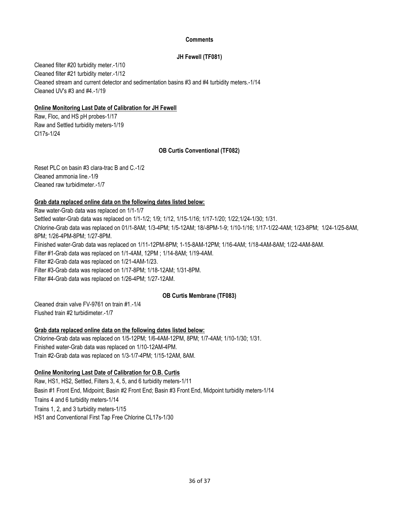#### **Comments**

#### **JH Fewell (TF081)**

Cleaned filter #20 turbidity meter.-1/10 Cleaned stream and current detector and sedimentation basins #3 and #4 turbidity meters.-1/14 Cleaned filter #21 turbidity meter.-1/12 Cleaned UV's #3 and #4.-1/19

#### **Online Monitoring Last Date of Calibration for JH Fewell**

Raw, Floc, and HS pH probes-1/17 Raw and Settled turbidity meters-1/19 Cl17s-1/24

#### **OB Curtis Conventional (TF082)**

Reset PLC on basin #3 clara-trac B and C.-1/2 Cleaned ammonia line.-1/9 Cleaned raw turbidimeter.-1/7

#### **Grab data replaced online data on the following dates listed below:**

Filter #2-Grab data was replaced on 1/21-4AM-1/23. Chlorine-Grab data was replaced on 01/1-8AM; 1/3-4PM; 1/5-12AM; 18/-8PM-1-9; 1/10-1/16; 1/17-1/22-4AM; 1/23-8PM; 1/24-1/25-8AM, 8PM; 1/26-4PM-8PM; 1/27-8PM. Fiinished water-Grab data was replaced on 1/11-12PM-8PM; 1-15-8AM-12PM; 1/16-4AM; 1/18-4AM-8AM; 1/22-4AM-8AM. Filter #1-Grab data was replaced on 1/1-4AM, 12PM ; 1/14-8AM; 1/19-4AM. Filter #3-Grab data was replaced on 1/17-8PM; 1/18-12AM; 1/31-8PM. Filter #4-Grab data was replaced on 1/26-4PM; 1/27-12AM. Raw water-Grab data was replaced on 1/1-1/7 Settled water-Grab data was replaced on 1/1-1/2; 1/9; 1/12, 1/15-1/16; 1/17-1/20; 1/22;1/24-1/30; 1/31.

#### **OB Curtis Membrane (TF083)**

Cleaned drain valve FV-9761 on train #1.-1/4 Flushed train #2 turbidimeter.-1/7

#### **Grab data replaced online data on the following dates listed below:**

Chlorine-Grab data was replaced on 1/5-12PM; 1/6-4AM-12PM, 8PM; 1/7-4AM; 1/10-1/30; 1/31. Train #2-Grab data was replaced on 1/3-1/7-4PM; 1/15-12AM, 8AM. Finished water-Grab data was replaced on 1/10-12AM-4PM.

#### **Online Monitoring Last Date of Calibration for O.B. Curtis**

Raw, HS1, HS2, Settled, Filters 3, 4, 5, and 6 turbidity meters-1/11 Basin #1 Front End, Midpoint; Basin #2 Front End; Basin #3 Front End, Midpoint turbidity meters-1/14 Trains 4 and 6 turbidity meters-1/14 Trains 1, 2, and 3 turbidity meters-1/15 HS1 and Conventional First Tap Free Chlorine CL17s-1/30